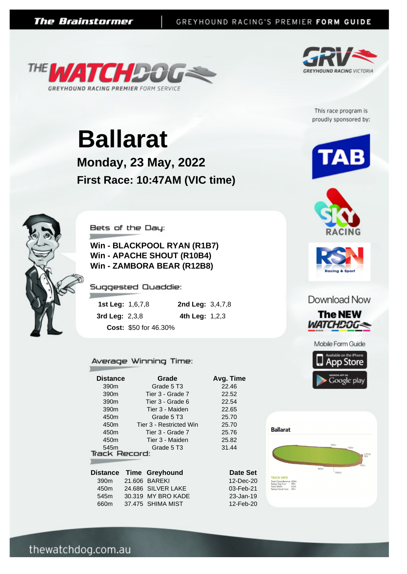



This race program is proudly sponsored by:

**Monday, 23 May, 2022 Ballarat First Race: 10:47AM (VIC time)**



Bets of the Day:

**Win - BLACKPOOL RYAN (R1B7) Win - APACHE SHOUT (R10B4) Win - ZAMBORA BEAR (R12B8)**

Suggested Quaddie:

| 1st Leg: $1,6,7,8$    | <b>2nd Leg:</b> $3,4,7,8$ |  |
|-----------------------|---------------------------|--|
| 3rd Leg: $2,3,8$      | 4th Leg: $1,2,3$          |  |
| Cost: \$50 for 46.30% |                           |  |

#### Average Winning Time:

| <b>Distance</b>      | Grade                   | Avg. Ti |
|----------------------|-------------------------|---------|
| 390 <sub>m</sub>     | Grade 5 T3              | 22.46   |
| 390 <sub>m</sub>     | Tier 3 - Grade 7        | 22.52   |
| 390 <sub>m</sub>     | Tier 3 - Grade 6        | 22.54   |
| 390 <sub>m</sub>     | Tier 3 - Maiden         | 22.65   |
| 450 <sub>m</sub>     | Grade 5 T3              | 25.70   |
| 450 <sub>m</sub>     | Tier 3 - Restricted Win | 25.70   |
| 450 <sub>m</sub>     | Tier 3 - Grade 7        | 25.76   |
| 450 <sub>m</sub>     | Tier 3 - Maiden         | 25.82   |
| 545 <sub>m</sub>     | Grade 5 T3              | 31.44   |
| <b>Track Record:</b> |                         |         |
|                      |                         |         |
|                      |                         |         |

| ustance          | Time Greynound     |
|------------------|--------------------|
| 390 <sub>m</sub> | 21.606 BAREKI      |
| 450 <sub>m</sub> | 24.686 SILVER LAKE |
| 545m             | 30.319 MY BRO KADE |
| 660m             | 37.475 SHIMA MIST  |
|                  |                    |











#### Download Now



Mobile Form Guide



 $\frac{1}{r}$  FINISH

CATCH

**Ballarat**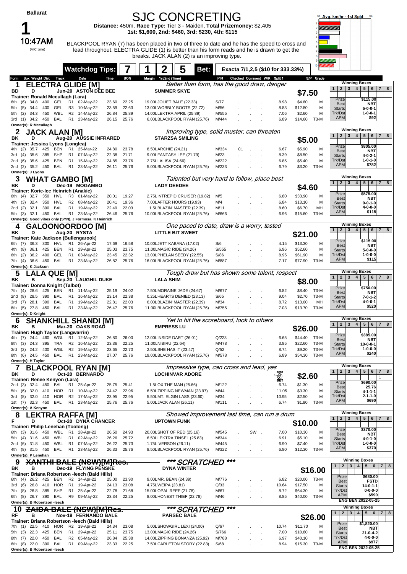|                    |                    | <b>Ballarat</b>                         |            |                                       |                      |                                                                          |                |                |                       | <b>SJC CONCRETING</b>                                                                                                                                                                                                                      |                |    |     |                                   |                    |                     | Avg. km/hr - 1st Split                       |                                                                                     |
|--------------------|--------------------|-----------------------------------------|------------|---------------------------------------|----------------------|--------------------------------------------------------------------------|----------------|----------------|-----------------------|--------------------------------------------------------------------------------------------------------------------------------------------------------------------------------------------------------------------------------------------|----------------|----|-----|-----------------------------------|--------------------|---------------------|----------------------------------------------|-------------------------------------------------------------------------------------|
|                    |                    |                                         |            |                                       |                      |                                                                          |                |                |                       | Distance: 450m, Race Type: Tier 3 - Maiden, Total Prizemoney: \$2,405                                                                                                                                                                      |                |    |     |                                   |                    |                     |                                              |                                                                                     |
|                    |                    | 10:47AM                                 |            |                                       |                      |                                                                          |                |                |                       | 1st: \$1,600, 2nd: \$460, 3rd: \$230, 4th: \$115                                                                                                                                                                                           |                |    |     |                                   |                    |                     |                                              |                                                                                     |
|                    |                    | (VIC time)                              |            |                                       |                      |                                                                          |                |                |                       | BLACKPOOL RYAN (7) has been placed in two of three to date and he has the speed to cross and<br>lead throughout. ELECTRA GLIDE (1) is better than his form reads and he is drawn to get the<br>breaks. JACK ALAN (2) is an improving type. |                |    |     |                                   |                    |                     |                                              |                                                                                     |
|                    |                    |                                         |            |                                       |                      | <b>Watchdog Tips:</b>                                                    |                |                |                       | 5<br>Bet:                                                                                                                                                                                                                                  |                |    |     | Exacta 7/1,2,5 (\$10 for 333.33%) |                    |                     |                                              |                                                                                     |
| Form<br>1          |                    |                                         |            | <b>Box Weight Dist Track</b>          |                      | Date<br><b>ELECTRA GLIDE [M]</b>                                         | Time           | <b>BON</b>     | Margin 1st/2nd (Time) | Better than form, has the good draw, danger                                                                                                                                                                                                |                |    |     | PIR Checked Comment W/R Split 1   |                    | S/P Grade           |                                              | <b>Winning Boxes</b>                                                                |
| BD                 |                    | D                                       |            | Trainer: Ronald Mccullagh (Lara)      |                      | <b>Jun-20 ASTON DEE BEE</b>                                              |                |                |                       | <b>SUMMER SKYE</b>                                                                                                                                                                                                                         |                |    |     |                                   | \$7.50             |                     | $\mathbf{2}$<br>$\mathbf{3}$<br>$\mathbf{1}$ | 5 <sup>1</sup><br>4<br>$6 \mid 7 \mid 8$                                            |
| 6th                | (6)                | 34.8                                    | 400        | GEL                                   | R1                   | 02-May-22                                                                | 23.60          | 22.25          |                       | 19.00LJOLIET BALE (22.33)                                                                                                                                                                                                                  | S/77           |    |     | 8.98                              | \$4.60             | M                   | Prize<br>Best                                | \$115.00<br>NBT                                                                     |
| 5th<br>5th         | (5)<br>(2)         | 34.4<br>34.3 450                        | 400        | GEL<br>WBL                            | R <sub>2</sub>       | R3 10-May-22<br>14-May-22                                                | 23.59<br>26.84 | 22.63<br>25.89 |                       | 13.00LWOBBLY BOOTS (22.72)<br>14.00LLEKTRA APRIL (25.89)                                                                                                                                                                                   | M/56<br>M/555  |    |     | 8.83<br>7.06                      | \$12.80<br>\$2.60  | M<br>M              | <b>Starts</b><br>Trk/Dst                     | $5 - 0 - 0 - 1$<br>1-0-0-1                                                          |
| 3rd                |                    | $(1)$ 34.2 450<br>Owner(s): R Mccullagh |            | BAL                                   |                      | R1 23-May-22                                                             | 26.15          | 25.76          |                       | 6.00LBLACKPOOL RYAN (25.76)                                                                                                                                                                                                                | M/444          |    |     | 6.89                              | \$14.60            | T3-M                | <b>APM</b>                                   | \$92                                                                                |
| 2                  |                    |                                         |            | JACK ALAN [M]                         |                      |                                                                          |                |                |                       | Improving type, solid muster, can threaten                                                                                                                                                                                                 |                |    |     |                                   |                    |                     |                                              | <b>Winning Boxes</b>                                                                |
| ΒK                 |                    | D                                       |            | Trainer: Jessica Lyons (Longlea)      |                      | Aug-20 AUSSIE INFRARED                                                   |                |                |                       | <b>STARZSA SMILING</b>                                                                                                                                                                                                                     |                |    |     |                                   | \$5.00             |                     | $\mathbf{2}$<br>3<br>$\mathbf{1}$            | $\overline{\mathbf{4}}$<br>5 <sup>5</sup><br>$6\phantom{.}6$<br>$\overline{7}$<br>8 |
| 4th                | (2)                | 35.7                                    | 425        | BEN                                   | R <sub>1</sub>       | 25-Mar-22                                                                | 24.80          | 23.78          | 8.50LARCHIE (24.21)   |                                                                                                                                                                                                                                            | M/334          | C1 |     | 6.67                              | \$5.90             | м                   | Prize<br>Best                                | \$805.00<br><b>NBT</b>                                                              |
| 3rd<br>2nd (6)     | (4)                | 35.6<br>35.6                            | 385<br>425 | SHP<br>BEN                            | R <sub>1</sub>       | 07-May-22<br>R1 15-May-22                                                | 22.38<br>24.85 | 21.71<br>23.76 | 2.75LLALISA (24.66)   | 9.00LFANTASY LEE (21.79)                                                                                                                                                                                                                   | M/23<br>M/222  |    |     | 8.39<br>6.85                      | \$8.50<br>\$5.40   | M<br>M              | <b>Starts</b><br>Trk/Dst                     | 4-0-2-1<br>1-0-1-0                                                                  |
| 2nd (2)            |                    | 35.2<br>Owner(s): J Lyons               | 450        | BAL                                   |                      | R1 23-May-22                                                             | 26.11          | 25.76          |                       | 5.00LBLACKPOOL RYAN (25.76)                                                                                                                                                                                                                | M/233          |    |     | 6.79                              | \$3.20             | T3-M                | <b>APM</b>                                   | \$782                                                                               |
| 3                  |                    |                                         |            |                                       |                      | <b>WHAT GAMBO [M]</b>                                                    |                |                |                       | Talented but very hard to follow, place best                                                                                                                                                                                               |                |    |     |                                   |                    |                     |                                              | <b>Winning Boxes</b>                                                                |
| ΒK                 |                    | D                                       |            |                                       |                      | Dec-19 MOGAMBO<br>Trainer: Korie-lee Heinrich (Anakie)                   |                |                |                       | <b>LADY DEEDEE</b>                                                                                                                                                                                                                         |                |    |     |                                   | \$4.60             |                     | 1<br>$\mathbf{2}$<br>$\mathbf{3}$            | 4<br>5 <sup>1</sup><br>$6\phantom{.0}$<br>$7 \mid 8$                                |
| 6th                | (4)                | 32.7                                    | 350        | HVL                                   |                      | R3 01-May-22                                                             | 20.01          | 19.27          |                       | 2.75LINTREPID CRUISER (19.82)                                                                                                                                                                                                              | M/5            |    |     | 6.80                              | \$33.90            | M                   | Prize<br>Best                                | \$575.00<br>NBT                                                                     |
| 4th<br>2nd (2)     | (3)                | 32.4<br>32.1                            | 350<br>390 | HVL<br><b>BAL</b>                     | R <sub>1</sub>       | R2 08-May-22<br>19-May-22                                                | 20.41<br>22.49 | 19.36<br>22.03 |                       | 7.00LAFTER HOURS (19.93)<br>1.5LBLAZIN' MASTER (22.39)                                                                                                                                                                                     | M/4<br>M/11    |    |     | 6.84<br>8.60                      | \$13.10<br>\$6.70  | M<br>MH             | <b>Starts</b><br>Trk/Dst                     | $9 - 0 - 1 - 0$<br>4-0-0-0                                                          |
| 5th (3)            |                    | 32.1                                    | 450        | BAL                                   |                      | R1 23-May-22                                                             | 26.46          | 25.76          |                       | 10.00LBLACKPOOL RYAN (25.76)                                                                                                                                                                                                               | M/666          |    |     | 6.96                              | \$15.60            | T3-M                | <b>APM</b>                                   | \$115                                                                               |
| 4                  |                    | GAL                                     |            |                                       |                      | Owner(s): Good vibes only (SYN), J Formosa, K Heinrich<br>.OONOORDOO IMI |                |                |                       | One paced to date, draw is a worry, tested                                                                                                                                                                                                 |                |    |     |                                   |                    |                     |                                              | <b>Winning Boxes</b>                                                                |
| BK                 |                    | D                                       |            |                                       |                      | Aug-20 RYSTA<br>Trainer: Kate Jackson (Bullengarook)                     |                |                |                       | <b>LITTLE BIT SWEET</b>                                                                                                                                                                                                                    |                |    |     |                                   | \$21.00            |                     | $\mathbf{2}$<br>3<br>$\mathbf{1}$            | 5 <sup>5</sup><br>$\overline{\mathbf{4}}$<br>6<br>$\overline{7}$<br>8               |
| 6th                | (7)                | 36.3                                    | 300        | HVL                                   | R <sub>1</sub>       | 26-Apr-22                                                                | 17.69          | 16.58          |                       | 10.00LJETT KABANA (17.02)                                                                                                                                                                                                                  | S/6            |    |     | 4.15                              | \$13.30            | м                   | Prize<br>Best                                | \$115.00<br>NBT                                                                     |
| 4th<br>6th         | (8)<br>(2)         | 36.1<br>36.2                            | 425<br>400 | BEN<br>GEL                            | R1<br>R1             | 29-Apr-22<br>03-May-22                                                   | 25.03<br>23.45 | 23.75<br>22.32 |                       | 11.00LMAGIC RIDE (24.26)<br>13.00LPHELAN SEEDY (22.55)                                                                                                                                                                                     | S/555<br>S/86  |    |     | 6.96<br>8.95                      | \$52.60<br>\$61.90 | M<br>M              | <b>Starts</b><br>Trk/Dst                     | $5 - 0 - 0 - 0$<br>$1 - 0 - 0 - 0$                                                  |
| 7th                | (4)                | 36.6 450                                |            | BAL                                   | R <sub>1</sub>       | 23-May-22                                                                | 26.82          | 25.76          |                       | 16.00LBLACKPOOL RYAN (25.76)                                                                                                                                                                                                               | M/887          |    |     | 7.17                              | \$77.90            | ТЗ-М                | <b>APM</b>                                   | \$115                                                                               |
| 5                  |                    | Owner(s): K Jackson<br>Αl               |            | .A QUE [M]                            |                      |                                                                          |                |                |                       | Tough draw but has shown some talent, respect                                                                                                                                                                                              |                |    |     |                                   |                    |                     |                                              | <b>Winning Boxes</b>                                                                |
| ΒK                 |                    | в                                       |            | <b>Trainer: Donna Knight (Talbot)</b> |                      | Sep-20 LAUGHIL DUKE                                                      |                |                | <b>LALA SHIM</b>      |                                                                                                                                                                                                                                            |                |    |     |                                   | \$8.00             |                     | $\mathbf{1}$<br>$\mathbf{2}$<br>$\mathbf{3}$ | 5 <sup>1</sup><br>$\overline{\mathbf{4}}$<br>6<br>7 8                               |
| 7th (4)            |                    | 28.6                                    | 425        | <b>BEN</b>                            | R1                   | 11-May-22                                                                | 25.19          | 24.02          |                       | 7.50LMORAINE JADE (24.67)                                                                                                                                                                                                                  | M/677          |    |     | 6.82                              | \$8.40             | ТЗ-М                | Prize<br>Best                                | \$750.00<br>NBT                                                                     |
| 2nd (8)            | 3rd (7)            | 28.5<br>28.1                            | 390<br>390 | BAL<br>BAL                            | R1<br>R1             | 16-May-22<br>19-May-22                                                   | 23.14<br>22.81 | 22.38<br>22.03 |                       | 0.25LHEARTS DENIED (23.13)<br>6.00LBLAZIN' MASTER (22.39)                                                                                                                                                                                  | S/65<br>M/34   |    |     | 9.04<br>8.72                      | \$2.70<br>\$13.00  | T3-M<br>МH          | <b>Starts</b><br>Trk/Dst                     | $7 - 0 - 1 - 2$<br>4-0-0-1                                                          |
| 6th                | (5)                | 27.8                                    | 450        | <b>BAL</b>                            | R <sub>1</sub>       | 23-May-22                                                                | 26.47          | 25.76          |                       | 11.00LBLACKPOOL RYAN (25.76)                                                                                                                                                                                                               | M/755          |    |     | 7.03                              | \$13.70            | $T3-M$              | <b>APM</b>                                   | \$520                                                                               |
| 6                  |                    | Owner(s): D Knight                      |            |                                       |                      | <b>SHANKHILL SHANDI [M]</b>                                              |                |                |                       | Yet to hit the scoreboard, look to others                                                                                                                                                                                                  |                |    |     |                                   |                    |                     |                                              | <b>Winning Boxes</b>                                                                |
| ΒK                 |                    | в                                       |            | Trainer: Hugh Taylor (Langwarrin)     |                      | Mar-20 OAKS ROAD                                                         |                |                |                       | <b>EMPRESS LU</b>                                                                                                                                                                                                                          |                |    |     |                                   | \$26.00            |                     | $\mathbf{1}$<br>$\mathbf{2}$<br>3            | $\overline{\mathbf{4}}$<br>5 <sub>5</sub><br>6<br>$\overline{7}$<br>8               |
|                    | 4th (7)            | 24.4                                    | 460        | WGL                                   | R <sub>1</sub>       | 12-May-22                                                                | 26.80          | 26.00          |                       | 12.00LINSIDE DART (26.01)                                                                                                                                                                                                                  | Q/223          |    |     | 6.65                              | \$44.40 T3-M       |                     | Prize<br><b>Best</b>                         | \$385.00<br>NBT                                                                     |
| 8th<br>3rd         | (3)<br>(2)         | 24.3<br>24.2                            | 395<br>400 | TRA<br>WGL                            |                      | R2 16-May-22<br>R2 19-May-22                                             | 23.36<br>23.65 | 22.25<br>22.70 | 11.00LNIBIRU (22.64)  | 2.50LSHE HAS IT (23.47)                                                                                                                                                                                                                    | M/478<br>Q/52  |    |     | 3.85<br>8.74                      | \$22.60<br>\$9.20  | <b>T3-M</b><br>T3-M | <b>Starts</b><br>Trk/Dst                     | 10-0-0-1<br>$1 - 0 - 0 - 0$                                                         |
|                    |                    | 8th (6) 24.5 450                        |            | BAL                                   | R <sub>1</sub>       | 23-May-22                                                                | 27.07          | 25.76          |                       | 19.00LBLACKPOOL RYAN (25.76)                                                                                                                                                                                                               | M/578          |    |     | 6.89                              | \$54.30            | T3-M                | <b>APM</b>                                   | \$240                                                                               |
| 7                  |                    | Owner(s): H Taylor                      |            |                                       |                      | <b>BLACKPOOL RYAN [M]</b>                                                |                |                |                       | Impressive type, can cross and lead, yes                                                                                                                                                                                                   |                |    |     |                                   |                    |                     |                                              | <b>Winning Boxes</b>                                                                |
| BK                 |                    | D                                       |            | Trainer: Renee Kenvon (Lara)          |                      | Oct-20 BERNARDO                                                          |                |                |                       | <b>LOCHINVAR ADORE</b>                                                                                                                                                                                                                     |                |    |     | $\mathcal{Q}_\mathrm{eff}$        | \$2.60             |                     | $\mathbf{1}$<br>$\mathbf{2}$<br>$\mathbf{3}$ | $5 \mid 6$<br>$\overline{4}$<br>7 8<br>$\mathbf{1}$                                 |
|                    | 2nd (3)            | 32.4 450                                |            | BAL                                   | R1                   | 25-Apr-22                                                                | 25.75          | 25.41          |                       | 1.5LOX THE MAN (25.66)                                                                                                                                                                                                                     | M/122          |    |     | 6.74                              | \$1.30             | M                   | Prize<br><b>Best</b>                         | \$690.00<br>25.76                                                                   |
| 3rd (8)            | 5th (6)            | 32.0 410<br>32.0 410                    |            | HOR<br>HOR                            |                      | R1 10-May-22<br>R2 17-May-22                                             | 24.42<br>23.95 | 22.96<br>22.95 |                       | 6.50LZIPPING NEWMAN (23.97)<br>5.50LMT. ELGIN LASS (23.60)                                                                                                                                                                                 | M/44<br>M/34   |    |     | 11.05<br>10.95                    | \$3.30<br>\$2.50   | М<br>M              | <b>Starts</b><br>Trk/Dst                     | 4-1-1-1<br>$2 - 1 - 1 - 0$                                                          |
|                    |                    | 1st (7) 32.3 450                        |            | BAL                                   |                      | R1 23-May-22                                                             | 25.76          | 25.76          |                       | 5.00LJACK ALAN (26.11)                                                                                                                                                                                                                     | M/111          |    |     | 6.74                              | \$1.80             | T3-M                | <b>APM</b>                                   | \$690                                                                               |
| 8                  |                    | Owner(s): A Kenyon                      |            |                                       |                      | <b>LEKTRA RAFFA [M]</b>                                                  |                |                |                       | Showed improvement last time, can run a drum                                                                                                                                                                                               |                |    |     |                                   |                    |                     |                                              | <b>Winning Boxes</b>                                                                |
| F                  |                    | D                                       |            | Trainer: Philip Lenehan (Toolong)     |                      | Oct-20 DYNA CHANCER                                                      |                |                |                       | <b>UPTOWN FUNK</b>                                                                                                                                                                                                                         |                |    |     |                                   | \$10.00            |                     | $\mathbf{2}$<br>3<br>$\mathbf{1}$            | 5 <sup>5</sup><br>$\overline{\mathbf{4}}$<br>6<br>$\overline{7}$<br>8               |
|                    | 6th (3)            | 31.6                                    | 450        | WBL                                   | R1                   | 28-Apr-22                                                                | 26.50          | 24.93          |                       | 20.00LSHOT OF RED (25.16)                                                                                                                                                                                                                  | M/545          |    | SW. | 7.00                              | \$10.30            | м                   | Prize<br><b>Best</b>                         | \$370.00<br><b>NBT</b>                                                              |
|                    | 5th (4)<br>2nd (6) | 31.6<br>31.8                            | 450<br>450 | WBL<br>WBL                            | R1<br>R <sub>1</sub> | 02-May-22<br>07-May-22                                                   | 26.26<br>26.22 | 25.72<br>25.73 |                       | 6.50LLEKTRA TINSEL (25.83)<br>1.75LIVERSON (26.11)                                                                                                                                                                                         | M/344<br>M/445 |    |     | 6.91<br>6.90                      | \$5.10<br>\$7.40   | M<br>M              | <b>Starts</b><br>Trk/Dst                     | 4-0-1-0<br>$1 - 0 - 0 - 0$                                                          |
|                    |                    | 4th (8) 31.5 450                        |            | <b>BAL</b>                            | R <sub>1</sub>       | 23-May-22                                                                | 26.33          | 25.76          |                       | 8.50LBLACKPOOL RYAN (25.76)                                                                                                                                                                                                                | M/322          |    |     | 6.80                              | \$12.30            | T3-M                | <b>APM</b>                                   | \$370                                                                               |
| 9                  |                    | Owner(s): P Lenehan                     |            |                                       |                      | <b>XANTHI BALE (NSW)[M]Res.</b>                                          |                |                |                       | *** SCRATCHED                                                                                                                                                                                                                              | $***$          |    |     |                                   |                    |                     |                                              | <b>Winning Boxes</b>                                                                |
| ΒK                 |                    | в                                       |            |                                       |                      | Dec-19 FLYING PENSKE<br>Trainer: Briana Robertson -leech (Bald Hills)    |                |                |                       | <b>DYNA WINTER</b>                                                                                                                                                                                                                         |                |    |     |                                   |                    | \$16.00             | $\mathbf{1}$<br>$\mathbf{2}$<br>3            | 5 6 <br>$4 \mid$<br>7 <sup>1</sup><br>8                                             |
|                    | 6th (4)            | 26.2                                    | 425        | BEN                                   |                      | R2 14-Apr-22                                                             | 25.00          | 23.90          |                       | 9.00LMR. BEAN (24.39)                                                                                                                                                                                                                      | M/776          |    |     | 6.82                              | \$20.00            | Т3-М                | Prize<br><b>Best</b>                         | \$680.00<br><b>FSTD</b>                                                             |
| 3rd (6)<br>7th (8) |                    | 26.8<br>26.8                            | 410<br>385 | HOR<br>SHP                            | R1                   | R1 19-Apr-22<br>25-Apr-22                                                | 24.13<br>22.78 | 23.08<br>21.68 | 4.75LWEIPA (23.81)    | 15.00LOPAL REEF (21.78)                                                                                                                                                                                                                    | Q/33<br>M/67   |    |     | 10.64<br>8.72                     | \$17.50<br>\$64.30 | м<br>М              | <b>Starts</b><br>Trk/Dst                     | 14-0-1-1<br>$0 - 0 - 0 - 0$                                                         |
|                    | 6th (8)            | 26.7 390                                |            | BAL                                   |                      | R9 09-May-22                                                             | 23.34          | 22.25          |                       | 8.00LHONEST THIEF (22.78)                                                                                                                                                                                                                  | M/46           |    |     | 8.85                              | \$40.00            | T3-M                | <b>APM</b>                                   | \$590<br>ENG BEN 2022-05-25                                                         |
| 10                 |                    |                                         |            | Owner(s): B Robertson -leech          |                      | <del>(NSW)[M]Res.</del>                                                  |                |                |                       | <i>SCRATCHED</i>                                                                                                                                                                                                                           | $***$          |    |     |                                   |                    |                     |                                              | <b>Winning Boxes</b>                                                                |
| RF                 |                    | в                                       |            |                                       |                      | Nov-19 FERNANDO BALE<br>Trainer: Briana Robertson -leech (Bald Hills)    |                |                |                       | <b>PARSEC BALE</b>                                                                                                                                                                                                                         |                |    |     |                                   |                    | \$26.00             | $\mathbf{1}$<br>$\overline{2}$<br>3          | 5   6  <br>$4 \mid$<br>7 8                                                          |
|                    | 7th (1)            | 22.5                                    | 410        | HOR                                   | R <sub>2</sub>       | 19-Apr-22                                                                | 24.34          | 23.08          |                       | 5.00LSHOWGIRL LEXI (24.00)                                                                                                                                                                                                                 | Q/67           |    |     | 10.74                             | \$11.70            | M                   | Prize<br><b>Best</b>                         | \$1,820.00<br>NBT                                                                   |
|                    | 5th (3)            | 22.3<br>8th (7) 22.0                    | 425<br>450 | BEN<br>BAL                            | R <sub>1</sub>       | 29-Apr-22<br>R2 05-May-22                                                | 25.11<br>26.84 | 23.75<br>25.38 |                       | 13.00LMAGIC RIDE (24.26)<br>14.00LZIPPING BONANZA (25.92)                                                                                                                                                                                  | S/766<br>M/788 |    |     | 7.00<br>6.97                      | \$10.80<br>\$40.10 | М<br>M              | <b>Starts</b><br>Trk/Dst                     | $21 - 0 - 4 - 2$<br>$4 - 0 - 0 - 0$                                                 |
|                    |                    | 6th (8) 22.0                            | 300        | <b>RAI</b>                            | P <sub>1</sub>       | $09 - M21 22$                                                            | วววว           | 22.25          |                       | 7 50LCARLETON STORY (22.83)                                                                                                                                                                                                                | S/68           |    |     | $R$ $Q$ $A$                       | 415.30             | $TA$ -M             | <b>APM</b>                                   | \$977                                                                               |

6th (8) 22.0 390 BAL R1 09-May-22 23.33 22.25 7.50LCARLETON STORY (22.83) S/68 . . . 8.94 \$15.30 T3-M

**ENG BEN 2022-05-25**

**Owner(s): B Robertson -leech**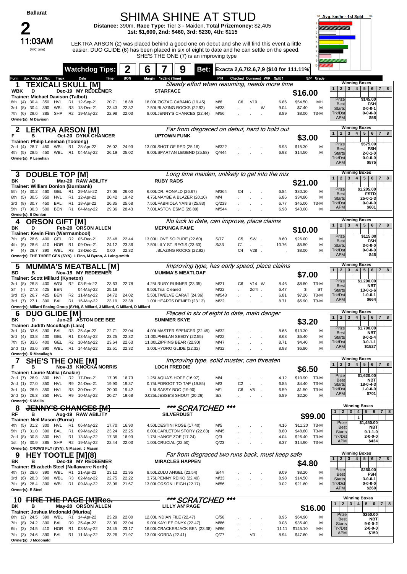| ⊿llar<br>л. |
|-------------|
|-------------|

## SHIMA SHINE AT STUD **Distance:** 390m, **Race Type:** Tier 3 - Maiden, **Total Prizemoney:** \$2,405

**1st: \$1,600, 2nd: \$460, 3rd: \$230, 4th: \$115**



11:03AM LEKTRA ARSON (2) was placed behind a good one on debut and she will find this event a little easier. DUO GLIDE (6) has been placed in six of eight to date and he can settle on the speed. SHE'S THE ONE (7) is an improving type



|                     |                                                         |                  |                          |                      | <b>Watchdog Tips:</b>                                                                            |                | 2              | 6                                                        |                                                  |              |                |                | Bet: Exacta 2,6,7/2,6,7,9 (\$10 for 111.11%) |                     |              |                                   |                                                        |
|---------------------|---------------------------------------------------------|------------------|--------------------------|----------------------|--------------------------------------------------------------------------------------------------|----------------|----------------|----------------------------------------------------------|--------------------------------------------------|--------------|----------------|----------------|----------------------------------------------|---------------------|--------------|-----------------------------------|--------------------------------------------------------|
| Form                | <b>Box Weight Dist Track</b>                            |                  |                          |                      | Date                                                                                             | Time           | <b>BON</b>     | Margin<br>1st/2nd (Time)                                 |                                                  | PIR          |                |                | Checked Comment W/R Split 1                  |                     | S/P Grade    |                                   |                                                        |
| 1                   |                                                         |                  |                          |                      | <b>TEXICALI SKULL [M]</b>                                                                        |                |                |                                                          | Steady effort when resuming, needs more time     |              |                |                |                                              |                     |              | 2 <sub>1</sub><br>1               | <b>Winning Boxes</b><br>3   4   5   6   7   8          |
| <b>WBK</b>          | D                                                       |                  |                          |                      | Dec-19 MY REDEEMER                                                                               |                |                | <b>STARFACE</b>                                          |                                                  |              |                |                |                                              | \$16.00             |              |                                   |                                                        |
| (4)<br>8th          | Trainer: Michael Davison (Talbot)<br>30.4               | 350              | HVL                      |                      | R1 12-Sep-21                                                                                     | 20.71          | 18.88          | 18.00LZIGZAG CABANG (19.45)                              |                                                  | M/6          | C6             | $V10$ .        | 6.86                                         | \$54.50             | MH           | Prize                             | \$145.00                                               |
| (8)<br>3rd          | 30.4                                                    | 390              | WBL                      | R3                   | 13-Dec-21                                                                                        | 23.43          | 22.32          |                                                          | 7.50LBLAZING ROCKS (22.92)                       | M/33         |                |                | W<br>9.04                                    | \$7.40              | M            | Best<br><b>Starts</b>             | <b>FSH</b><br>$3 - 0 - 0 - 1$                          |
| (6)<br>7th          | 29.6                                                    | 385              | SHP                      |                      | R2 19-May-22                                                                                     | 22.98          | 22.03          |                                                          | 8.00LJENNY'S CHANCES (22.44)                     | M/56         |                |                | 8.89                                         | \$8.00              | <b>T3-M</b>  | Trk/Dst                           | $0 - 0 - 0 - 0$<br>\$58                                |
|                     | Owner(s): M Davison                                     |                  |                          |                      |                                                                                                  |                |                |                                                          |                                                  |              |                |                |                                              |                     |              | <b>APM</b>                        |                                                        |
| 2                   |                                                         |                  |                          |                      | <b>LEKTRA ARSON [M]</b>                                                                          |                |                |                                                          | Far from disgraced on debut, hard to hold out    |              |                |                |                                              |                     |              |                                   | <b>Winning Boxes</b>                                   |
|                     | в                                                       |                  |                          |                      | Oct-20 DYNA CHANCER                                                                              |                |                | <b>UPTOWN FUNK</b>                                       |                                                  |              |                |                |                                              | \$3.00              |              | 2 <br>1                           | 3 <br>4   5   6   7   8                                |
|                     | Trainer: Philip Lenehan (Toolong)<br>2nd (4) 28.7 450   |                  | WBL                      |                      | R1 28-Apr-22                                                                                     |                | 24.93          | 13.00LSHOT OF RED (25.16)                                |                                                  | M/322        |                |                | 6.93                                         | \$15.30             | м            | Prize                             | \$575.00                                               |
|                     | 4th (5) 28.5 450                                        |                  |                          |                      | WBL R1 04-May-22                                                                                 | 26.02<br>26.19 | 25.02          |                                                          | 9.00LSPARTAN LEGEND (25.58)                      | Q/444        |                |                | 6.93                                         | \$14.50             | M            | <b>Best</b><br><b>Starts</b>      | <b>FSH</b><br>$2 - 0 - 1 - 0$                          |
|                     | Owner(s): P Lenehan                                     |                  |                          |                      |                                                                                                  |                |                |                                                          |                                                  |              |                |                |                                              |                     |              | Trk/Dst                           | $0 - 0 - 0 - 0$                                        |
|                     |                                                         |                  |                          |                      |                                                                                                  |                |                |                                                          |                                                  |              |                |                |                                              |                     |              | <b>APM</b>                        | \$575                                                  |
| 3                   | <b>DOUBLE TOP [M]</b>                                   |                  |                          |                      |                                                                                                  |                |                |                                                          | Long time maiden, unlikely to get into the mix   |              |                |                |                                              |                     |              |                                   | <b>Winning Boxes</b>                                   |
| ΒK                  | D                                                       |                  |                          |                      | Mar-20 RAW ABILITY                                                                               |                |                | <b>RUBY RADS</b>                                         |                                                  |              |                |                |                                              | \$21.00             |              | 2 <sup>1</sup><br>1               | 4   5   6   7   8<br>3                                 |
|                     | Trainer: William Donlon (Burnbank)                      |                  |                          |                      |                                                                                                  |                |                |                                                          |                                                  |              |                |                |                                              |                     |              | Prize                             | \$1,205.00                                             |
| (4)<br>(5)<br>6th   | 30.2<br>30.5                                            | 460<br>350       | GEL<br>HVL               | R <sub>1</sub>       | 29-Mar-22<br>R1 12-Apr-22                                                                        | 27.06<br>20.42 | 26.00<br>19.42 | 6.00LDR. RONALD (26.67)                                  | 4.75LMAYBE A BLAZER (20.10)                      | M/364<br>M/4 | C4             |                | 6.84<br>6.86                                 | \$30.10<br>\$34.80  | M<br>M       | <b>Best</b>                       | <b>FSTD</b>                                            |
| (8)<br>3rd          | 30.7                                                    | 450              | BAL                      | R <sub>1</sub>       | 18-Apr-22                                                                                        | 26.35          | 25.68          |                                                          | 7.50LFABRIOLA YANIS (25.83)                      | Q/233        |                |                | 6.77                                         | \$45.00             | ТЗ-М         | <b>Starts</b><br>Trk/Dst          | $25 - 0 - 1 - 3$<br>$0 - 0 - 0 - 0$                    |
| 5th (7)             | 30.3 500                                                |                  | BEN                      |                      | R1 04-May-22                                                                                     | 29.36          | 28.43          | 7.00LASTON ESME (28.89)                                  |                                                  | M/544        |                |                | 6.98                                         | \$43.00             | M            | <b>APM</b>                        | \$601                                                  |
|                     | Owner(s): S Donlon                                      |                  |                          |                      |                                                                                                  |                |                |                                                          |                                                  |              |                |                |                                              |                     |              |                                   |                                                        |
| 4                   | <b>ORSON GIFT [M]</b>                                   |                  |                          |                      |                                                                                                  |                |                |                                                          | No luck to date, can improve, place claims       |              |                |                |                                              |                     |              | 1                                 | <b>Winning Boxes</b><br>2 3 4 5 6 7 8                  |
| ΒK                  | D<br>Trainer: Kevin Finn (Warrnambool)                  |                  |                          |                      | Feb-20 ORSON ALLEN                                                                               |                |                | <b>MEPUNGA FAME</b>                                      |                                                  |              |                |                |                                              | \$10.00             |              |                                   |                                                        |
| (6)                 | 28.6                                                    | 400              | GEL                      | R <sub>2</sub>       | 05-Dec-21                                                                                        | 23.48          | 22.44          | 13.00LLOVE SO PURE (22.60)                               |                                                  | S/77         | C5             | SW.            | 8.60                                         | \$26.00             | м            | Prize<br><b>Best</b>              | \$115.00<br><b>FSH</b>                                 |
| (6)<br>4th          | 28.6                                                    | 410              | HOR                      |                      | R1 09-Dec-21                                                                                     | 24.12          | 23.36          | 7.50LLILY ST. REGIS (23.60)                              |                                                  | S/33         | C <sub>1</sub> |                | 10.76<br>$\overline{\phantom{a}}$            | \$5.80              | M            | <b>Starts</b>                     | $3 - 0 - 0 - 0$                                        |
| (4)                 |                                                         |                  |                          |                      | 28.7 390 WBL R3 13-Dec-21<br>Owner(s): THE THREE GEN (SYN), L Finn, M Byron, A Laing-smith       | 0.00           | 22.32          |                                                          | .BLAZING ROCKS (22.92)                           |              | C <sub>4</sub> | $V28$ .        |                                              | \$8.00              | M            | Trk/Dst<br><b>APM</b>             | $0 - 0 - 0 - 0$<br>\$46                                |
|                     |                                                         |                  |                          |                      |                                                                                                  |                |                |                                                          |                                                  |              |                |                |                                              |                     |              |                                   |                                                        |
| 5                   |                                                         |                  |                          |                      | <b>MUMMA'S MEATBALL [M]</b>                                                                      |                |                |                                                          | Improving type, has early speed, place claims    |              |                |                |                                              |                     |              | 1 <sup>1</sup><br>$2 \mid 3 \mid$ | <b>Winning Boxes</b><br>4   5   6   7   8              |
| BD                  | в<br>Trainer: Scott Millard (Kyneton)                   |                  |                          |                      | Nov-19 MY REDEEMER                                                                               |                |                |                                                          | <b>MUMMA'S MEATLOAF</b>                          |              |                |                |                                              | \$7.00              |              |                                   |                                                        |
| 3rd<br>(8)          | 26.8                                                    | 400              |                          |                      | WGL R2 03-Feb-22                                                                                 | 23.63          | 22.78          | 4.25LRUBY RUNNER (23.35)                                 |                                                  | M/21         | C6             | V14 W          | 8.46                                         | \$8.60              | <b>T3-M</b>  | Prize<br><b>Best</b>              | \$1,290.00                                             |
| IST<br>$(\text{-})$ | 27.3                                                    | 425              | BEN                      |                      | 04-May-22                                                                                        | 25.18          |                | 9.50LTrial Cleared                                       |                                                  | M/22         |                | $20f4$ .       | 6.47                                         | \$.                 | ST           | <b>Starts</b>                     | <b>NBT</b><br>13-0-1-6                                 |
| (5)<br>3rd          | 26.7                                                    | 425              | <b>BEN</b>               |                      | R2 11-May-22                                                                                     | 24.72          | 24.02          |                                                          | 5.50LTWELVE CARAT (24.36)                        | M/543        |                |                | 6.81                                         | \$7.20              | ТЗ-М         | Trk/Dst<br><b>APM</b>             | $1 - 0 - 0 - 1$<br>\$664                               |
|                     | 3rd (7) 27.1 390 BAL                                    |                  |                          |                      | R1 16-May-22<br>Owner(s): Millard Racing Group (SYN), S Millard, J Millard, C Millard, D Millard | 23.19          | 22.38          |                                                          | 1.00LHEARTS DENIED (23.13)                       | M/22         |                |                | 8.71                                         | \$5.90              | $T3-M$       |                                   |                                                        |
|                     |                                                         |                  |                          |                      |                                                                                                  |                |                |                                                          |                                                  |              |                |                |                                              |                     |              |                                   |                                                        |
|                     |                                                         |                  |                          |                      |                                                                                                  |                |                |                                                          |                                                  |              |                |                |                                              |                     |              |                                   | <b>Winning Boxes</b>                                   |
| 6<br>ΒK             | <b>DUO</b><br>D                                         | <b>GLIDE IMI</b> |                          |                      | Jun-20 ASTON DEE BEE                                                                             |                |                | <b>SUMMER SKYE</b>                                       | Placed in six of eight to date, main danger      |              |                |                |                                              |                     |              | 1 <sup>1</sup><br>2 <sup>1</sup>  | 3   4   5   6   7   8                                  |
|                     | Trainer: Judith Mccullagh (Lara)                        |                  |                          |                      |                                                                                                  |                |                |                                                          |                                                  |              |                |                |                                              | \$3.20              |              |                                   |                                                        |
| 3rd<br>(4)          | 33.6                                                    | 390              | BAL                      | R3                   | 25-Apr-22                                                                                        | 22.71          | 22.04          |                                                          | 4.00LMASTER SPENCER (22.45)                      | M/32         |                |                | 8.65                                         | \$13.30             | M            | Prize<br><b>Best</b>              | \$1,700.00<br><b>NBT</b>                               |
| (4)<br>3rd<br>7th   | 33.8                                                    | 400              | GEL<br>GEL               | R <sub>1</sub>       | 03-May-22                                                                                        | 23.25          | 22.32          | 11.00LPHELAN SEEDY (22.55)<br>11.00LZIPPING BEAR (22.90) |                                                  | M/22<br>M/47 |                |                | 8.68<br>8.71                                 | \$5.40              | M<br>M       | <b>Starts</b><br>Trk/Dst          | $8 - 0 - 2 - 4$<br>$3 - 0 - 1 - 1$                     |
| (5)                 | 33.6<br>2nd (1) 33.6 390                                | 400              |                          | R <sub>2</sub>       | 10-May-22<br>WBL R1 14-May-22                                                                    | 23.64<br>22.51 | 22.63<br>22.32 | 3.00LHYDRO GLIDE (22.32)                                 |                                                  | M/32         |                |                | 8.88                                         | \$4.40<br>\$6.80    | M            | <b>APM</b>                        | \$1527                                                 |
|                     | Owner(s): R Mccullagh                                   |                  |                          |                      |                                                                                                  |                |                |                                                          |                                                  |              |                |                |                                              |                     |              |                                   |                                                        |
|                     |                                                         |                  |                          |                      | <b>SHE'S THE ONE [M]</b>                                                                         |                |                |                                                          | Improving type, solid muster, can threaten       |              |                |                |                                              |                     |              | 1 <sup>1</sup>                    | <b>Winning Boxes</b>                                   |
| F                   | в                                                       |                  |                          |                      | Nov-19 KNOCKA NORRIS                                                                             |                |                | <b>LOCH FREDDIE</b>                                      |                                                  |              |                |                |                                              | \$6.50              |              |                                   | 2   3   4   5   6   7   8                              |
|                     | Trainer: Laurie Mallia (Anakie)<br>2nd (7) 26.9 300 HVL |                  |                          |                      | R2 17-Dec-21                                                                                     | 17.05          | 16.73          | 1.25LAQUA'S HOPE (16.97)                                 |                                                  | M/4          |                |                | 4.12                                         | \$10.90             | T3-M         | Prize                             | \$1,620.00                                             |
| 2nd (1)             | 27.0                                                    | 350              | HVL                      | R <sub>9</sub>       | 24-Dec-21                                                                                        | 19.90          | 19.37          |                                                          | 0.75LFORGOT TO TAP (19.85)                       | M/3          | C <sub>2</sub> |                | 6.85                                         | \$4.40              | T3-M         | <b>Best</b><br><b>Starts</b>      | NBT<br>$18 - 0 - 4 - 3$                                |
| 3rd (4)             | 26.9                                                    | 350              | <b>HVL</b>               | R <sub>3</sub>       | 30-Dec-21                                                                                        | 20.00          | 19.42          | 1.5LSASSY BOO (19.90)                                    |                                                  | M/1          | C6             | V <sub>5</sub> | 6.59                                         | \$1.50              | T3-M         | Trk/Dst<br><b>APM</b>             | $1 - 0 - 0 - 0$<br>\$701                               |
|                     | 2nd (2) 26.3 350 HVL<br>Owner(s): S Mallia              |                  |                          | R <sub>9</sub>       | 10-May-22                                                                                        | 20.27          | 19.68          | 0.025LJESSE'S SHOUT (20.26)                              |                                                  | S/3          |                |                | 6.89                                         | \$2.20              | M            |                                   |                                                        |
| 8                   |                                                         |                  |                          |                      |                                                                                                  |                |                |                                                          |                                                  |              | ***            |                |                                              |                     |              |                                   | <b>Winning Boxes</b>                                   |
| RF                  | в                                                       |                  |                          |                      | <del>\Y'S CHANCES [M]</del><br>Aug-19 RAW ABILITY                                                |                |                |                                                          | *** SCRATCHED<br><b>SILVERDUST</b>               |              |                |                |                                              |                     |              | $\overline{2}$<br>$\mathbf{1}$    | 3 <br>4   5   6   7  <br>8                             |
|                     | Trainer: Neil Mason (Euroa)                             |                  |                          |                      |                                                                                                  |                |                |                                                          |                                                  |              |                |                |                                              |                     | \$99.00      | Prize                             | $\mathbf{1}$<br>\$1,450.00                             |
| 4th (5)             | 31.2<br>31.0                                            | 300<br>390       | HVL<br>BAL               | R1<br>R <sub>1</sub> | 06-May-22<br>09-May-22                                                                           | 17.70<br>23.24 | 16.90<br>22.25 | 4.50LDESTINI ROSE (17.40)                                |                                                  | M/5<br>M/45  |                |                | 4.16<br>8.80                                 | \$11.20<br>\$48.80  | T3-M<br>T3-M | <b>Best</b>                       | <b>NBT</b>                                             |
| 5th (7)<br>2nd (8)  | 30.8                                                    | 300              | <b>HVL</b>               | R <sub>1</sub>       | 13-May-22                                                                                        | 17.36          | 16.93          | 1.75LHANGE ZOE (17.24)                                   | 6.00LCARLETON STORY (22.83)                      | Q/3          |                |                | 4.04                                         | \$26.40             | T3-M         | <b>Starts</b><br>Trk/Dst          | 9-1-1-0<br>$2 - 0 - 0 - 0$                             |
|                     | 1st (4) 30.9 385 SHP                                    |                  |                          |                      | R2 19-May-22                                                                                     | 22.44          | 22.03          | 1.00LCRUCIAL (22.50)                                     |                                                  | Q/23         |                |                | 8.37                                         | \$14.90 T3-M        |              | <b>APM</b>                        | \$434                                                  |
|                     |                                                         |                  |                          |                      | Owner(s): CROWS FLY (SYN), N Mason, J Mason                                                      |                |                |                                                          |                                                  |              |                |                |                                              |                     |              |                                   |                                                        |
| 9                   |                                                         |                  |                          |                      | <b>HEY TOOTLE [M](8)</b>                                                                         |                |                |                                                          | Far from disgraced two runs back, must keep safe |              |                |                |                                              |                     |              | $2 \mid 3 \mid$<br>1              | <b>Winning Boxes</b><br>4   5   6   7   8              |
| ΒK                  | в                                                       |                  |                          |                      | Dec-19 MY REDEEMER<br>Trainer: Elizabeth Steel (Nullawarre North)                                |                |                |                                                          | <b>MIRACLES HAPPEN</b>                           |              |                |                |                                              | \$4.80              |              |                                   |                                                        |
| 4th (3)             | 28.6                                                    | 390              | WBL                      | R <sub>1</sub>       | 21-Apr-22                                                                                        |                | 23.12 21.95    | 8.50LZULU ANGEL (22.54)                                  |                                                  | S/44         |                |                | 9.09                                         | \$8.20              | M            | Prize<br><b>Best</b>              | \$260.00<br><b>FSH</b>                                 |
| 3rd                 | $(6)$ 28.3 390                                          |                  | WBL                      | R <sub>3</sub>       | 02-May-22                                                                                        | 22.75          | 22.22          | 3.75LPENNY REIKO (22.49)                                 |                                                  | M/33         |                |                | 8.98                                         | \$14.50             | M            | <b>Starts</b>                     | $3 - 0 - 0 - 1$                                        |
|                     | 7th (6) 28.4 390<br>Owner(s): E Steel                   |                  | WBL                      | R <sub>1</sub>       | 09-May-22                                                                                        | 23.06          | 21.67          | 13.00LORSON LEIGH (22.17)                                |                                                  | M/56         |                |                | 9.02                                         | \$21.60             | M            | Trk/Dst<br><b>APM</b>             | $0 - 0 - 0 - 0$<br>\$260                               |
|                     |                                                         |                  |                          |                      |                                                                                                  |                |                |                                                          |                                                  |              |                |                |                                              |                     |              |                                   |                                                        |
| 10                  |                                                         |                  |                          |                      | <b>FIRE THE PAGE [M]Res.</b>                                                                     |                |                |                                                          | *** SCRATCHED                                    |              | ***            |                |                                              |                     |              | $\mathbf{1}$<br>2                 | <b>Winning Boxes</b><br>3 <br>4 <br>5 6 <br>$7 \mid 8$ |
| ΒK                  | в                                                       |                  |                          |                      | May-20 ORSON ALLEN                                                                               |                |                |                                                          | <b>LILLY AN' PAGE</b>                            |              |                |                |                                              |                     | \$16.00      |                                   |                                                        |
| 6th (2)             | Trainer: Joshua Mcdonald (Murtoa)<br>24.5               | 390              | WBL                      | R1                   | 14-Apr-22                                                                                        | 23.29          | 22.00          | 12.00LINDIAN FILE (22.47)                                |                                                  | Q/56         |                |                | 8.95                                         | \$64.90             | M            | Prize<br><b>Best</b>              | \$250.00<br>NBT                                        |
|                     | 7th (8) 24.2 390                                        |                  | BAL                      | R9                   | 25-Apr-22                                                                                        | 23.09          | 22.04          | 9.00LKAYLEE ONYX (22.47)                                 |                                                  | M/86         |                |                | 9.08                                         | \$35.40             | M            | <b>Starts</b>                     | $9 - 0 - 0 - 2$                                        |
| 6th (3)             | 24.5<br>7th (3) 24.6                                    | 410<br>390       | <b>HOR</b><br><b>BAL</b> | R <sub>1</sub>       | 03-May-22<br>R1 11-May-22                                                                        | 24.45<br>23.26 | 23.17<br>21.97 | 16.00LCRACKERJACK BEN (23.38)<br>13.00LKORDA (22.41)     |                                                  | M/66<br>Q/77 |                | V0             | 11.11<br>8.94<br>$\ddot{\phantom{a}}$        | \$145.10<br>\$47.60 | MН<br>м      | Trk/Dst<br><b>APM</b>             | $2 - 0 - 0 - 0$<br>\$150                               |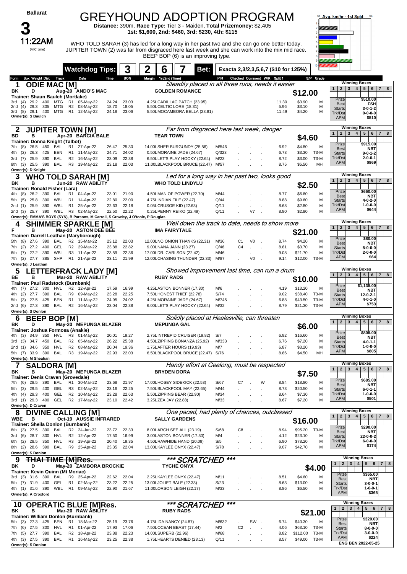|                    |            | <b>Ballarat</b>          |                                          |                                              |                |                                                     |                |                | <b>GREYHOUND ADOPTION PROGRAM</b><br>Distance: 390m, Race Type: Tier 3 - Maiden, Total Prizemoney: \$2,405<br>1st: \$1,600, 2nd: \$460, 3rd: \$230, 4th: \$115                               |               |                      |                |                                      |               |                    |                     | 58 Avg. km/hr - 1st Split<br>unnun. | 68                                                            |
|--------------------|------------|--------------------------|------------------------------------------|----------------------------------------------|----------------|-----------------------------------------------------|----------------|----------------|----------------------------------------------------------------------------------------------------------------------------------------------------------------------------------------------|---------------|----------------------|----------------|--------------------------------------|---------------|--------------------|---------------------|-------------------------------------|---------------------------------------------------------------|
|                    |            | (VIC time)               | 11:22AM                                  |                                              |                |                                                     |                |                | WHO TOLD SARAH (3) has led for a long way in her past two and she can go one better today.<br>JUPITER TOWN (2) was far from disgraced here last week and she can work into the mix mid race. |               |                      |                |                                      |               |                    |                     |                                     |                                                               |
|                    |            |                          |                                          |                                              |                |                                                     |                |                | BEEP BOP (6) is an improving type.                                                                                                                                                           |               |                      |                |                                      |               |                    |                     |                                     |                                                               |
|                    |            |                          |                                          |                                              |                | <b>Watchdog Tips:</b>                               |                | 3              | 2<br>6<br>Bet:                                                                                                                                                                               |               |                      |                | Exacta 2,3/2,3,5,6,7 (\$10 for 125%) |               |                    |                     |                                     |                                                               |
| Form               |            |                          | <b>Box Weight Dist</b>                   | Track                                        |                | Date                                                | Time           | <b>BON</b>     | 1st/2nd (Time)<br>Margin                                                                                                                                                                     | PR            |                      |                | Checked Comment W/R Split 1          |               |                    | S/P Grade           |                                     | <b>Winning Boxes</b>                                          |
| 1<br>BK            |            | D                        |                                          | <b>ODIE MAC [M]</b>                          |                | Aug-20 ANDO'S MAC                                   |                |                | Steadily placed in all three runs, needs it easier<br><b>GOLDEN ROMANCE</b>                                                                                                                  |               |                      |                |                                      |               | \$12.00            |                     | 2 <br>$\mathbf{1}$                  | 3   4   5   6   7<br>8                                        |
| 3rd                | (4)        | 29.2                     | 400                                      | Trainer: Shaun Baulch (Mortlake)<br>MTG      | R1             | 05-May-22                                           | 24.24          | 23.03          | 4.25LCADILLAC PATCH (23.95)                                                                                                                                                                  |               |                      |                |                                      | 11.30         | \$3.90             | м                   | Prize                               | \$510.00                                                      |
| 2nd<br>3rd         | (4)<br>(8) | 29.3                     | 305<br>29.1 400                          | MTG<br>MTG                                   | R <sub>2</sub> | 08-May-22<br>R1 12-May-22                           | 18.70<br>24.18 | 18.05<br>23.06 | 5.50LCELTIC LORE (18.31)<br>5.50LMOCAMBORA BELLA (23.81)                                                                                                                                     |               |                      |                |                                      | 5.96<br>11.49 | \$3.10<br>\$4.20   | м<br>м              | Best<br><b>Starts</b>               | <b>FSH</b><br>$3 - 0 - 1 - 2$                                 |
|                    |            | Owner(s): S Baulch       |                                          |                                              |                |                                                     |                |                |                                                                                                                                                                                              |               |                      |                |                                      |               |                    |                     | Trk/Dst<br><b>APM</b>               | 0-0-0-0<br>\$510                                              |
| $\boldsymbol{2}$   |            |                          |                                          |                                              |                | <b>JUPITER TOWN [M]</b>                             |                |                | Far from disgraced here last week, danger                                                                                                                                                    |               |                      |                |                                      |               |                    |                     |                                     | <b>Winning Boxes</b>                                          |
| BD                 |            | в                        |                                          |                                              |                | Apr-20 BARCIA BALE                                  |                |                | <b>TEAR TOWN</b>                                                                                                                                                                             |               |                      |                |                                      |               | \$4.60             |                     | $\mathbf{2}$<br>$\mathbf{1}$        | $3 \mid 4 \mid$<br>5 <sup>1</sup><br>6<br>$\overline{7}$<br>8 |
| 7th                | (8)        | 26.5                     | 450                                      | Trainer: Donna Knight (Talbot)<br><b>BAL</b> | R <sub>1</sub> | 27-Apr-22                                           | 26.47          | 25.30          | 14.00LSHER BURGUNDY (25.56)                                                                                                                                                                  | M/546         |                      |                |                                      | 6.92          | \$4.80             | м                   | Prize<br>Best                       | \$915.00<br><b>NBT</b>                                        |
| 4th<br>3rd         | (2)<br>(7) | 26.3<br>25.9             | 425<br>390                               | <b>BEN</b><br><b>BAL</b>                     |                | R1 11-May-22<br>R2 16-May-22                        | 24.71<br>23.09 | 24.02<br>22.38 | 0.50LMORAINE JADE (24.67)<br>6.50LLET'S PLAY HOOKY (22.64)                                                                                                                                   | Q/323<br>M/23 |                      |                |                                      | 6.73<br>8.72  | \$3.30<br>\$3.00   | T3-M<br><b>T3-M</b> | <b>Starts</b><br>Trk/Dst            | $9 - 0 - 1 - 2$<br>$2 - 0 - 0 - 1$                            |
| 8th (3)            |            |                          | 25.5 390                                 | BAL                                          |                | R3 19-May-22                                        | 23.18          | 22.03          | 11.00LBLACKPOOL BRUCE (22.47) M/57                                                                                                                                                           |               |                      |                |                                      | 8.75          | \$5.50             | MH                  | <b>APM</b>                          | \$869                                                         |
|                    |            | Owner(s): D Knight       |                                          |                                              |                |                                                     |                |                | Led for a long way in her past two, looks good                                                                                                                                               |               |                      |                |                                      |               |                    |                     |                                     | <b>Winning Boxes</b>                                          |
| 3<br>ΒK            |            | в                        |                                          | Trainer: Ronald Fisher (Lara)                |                | <b>WHO TOLD SARAH [M]</b><br>Jun-20 RAW ABILITY     |                |                | <b>WHO TOLD LINDYLU</b>                                                                                                                                                                      |               |                      |                |                                      |               | \$2.50             |                     | $\mathbf{1}$                        | 2   3   4   5   6<br> 7 <br>8                                 |
|                    | (8)        | 26.2                     | 390                                      | BAL                                          | R <sub>1</sub> | 04-Apr-22                                           | 23.01          | 21.90          | 4.50LMAN OF POWER (22.70)                                                                                                                                                                    | M/44          |                      |                |                                      | 8.77          | \$6.60             | м                   | Prize<br><b>Best</b>                | \$660.00<br><b>NBT</b>                                        |
| 5th                | (5)        | 25.8                     | 390                                      | WBL                                          |                | R1 14-Apr-22                                        | 22.80          | 22.00          | 4.75LINDIAN FILE (22.47)                                                                                                                                                                     | Q/44          |                      |                |                                      | 8.88          | \$9.60             | м                   | <b>Starts</b><br>Trk/Dst            | 4-0-2-0<br>1-0-0-0                                            |
| 2nd (1)<br>2nd (3) |            | 25.9<br>25.7             | 390<br>390                               | WBL<br>WBL                                   | R <sub>1</sub> | 25-Apr-22<br>R3 02-May-22                           | 22.63<br>22.50 | 22.18<br>22.22 | 0.05LCRUSOE KID (22.63)<br>0.25LPENNY REIKO (22.49)                                                                                                                                          | Q/11<br>Q/11  |                      | V <sub>7</sub> |                                      | 8.68<br>8.80  | \$2.80<br>\$2.80   | м<br>M              | <b>APM</b>                          | \$644                                                         |
|                    |            |                          |                                          |                                              |                |                                                     |                |                | Owner(s): EMMA'S BOYS (SYN), B Parsons, M Carroll, S Crowley, J O'toole, P Douglas                                                                                                           |               |                      |                |                                      |               |                    |                     |                                     | <b>Winning Boxes</b>                                          |
| 4                  |            | в                        |                                          |                                              |                | <b>SHIMMER SPARKLE [M]</b><br>May-20 ASTON DEE BEE  |                |                | Well down the track to date, needs to show more<br><b>IMA FAIRYTALE</b>                                                                                                                      |               |                      |                |                                      |               |                    |                     | 2   3   4  <br>$\mathbf{1}$         | $5 \mid 6 \mid 7$<br>8                                        |
|                    |            |                          |                                          |                                              |                | Trainer: Darrell Leathan (Maryborough)              |                |                |                                                                                                                                                                                              |               |                      |                |                                      |               | \$21.00            |                     | Prize                               | \$80.00                                                       |
| 5th<br>7th         | (8)<br>(2) | 27.6<br>27.2             | 390<br>400                               | BAL<br>GEL                                   | R2             | 15-Mar-22<br>R2 29-Mar-22                           | 23.12<br>23.88 | 22.03<br>22.82 | 12.00LNO ONION THANKS (22.31)<br>9.00LNANA JANN (23.27)                                                                                                                                      | M/36<br>Q/46  | C1<br>C <sub>4</sub> | V <sub>0</sub> |                                      | 8.74<br>8.81  | \$4.20<br>\$3.70   | м<br>М              | <b>Best</b>                         | <b>NBT</b>                                                    |
| 6th (7)            |            | 27.2                     | 390                                      | WBL                                          |                | R3 11-Apr-22                                        | 23.59          | 22.36          | 17.00LDR. CARLSON (22.42)                                                                                                                                                                    | M/46          |                      |                |                                      | 9.08          | \$21.70            | M                   | <b>Starts</b><br>Trk/Dst            | 5-0-0-0<br>2-0-0-0                                            |
|                    |            | 7th (2) 27.7             | 385                                      | SHP                                          |                | R1 21-Apr-22                                        | 23.11          | 21.99          | 12.00LCHASING THUNDER (22.33)                                                                                                                                                                | M/87          |                      | V <sub>0</sub> |                                      | 9.14          | \$12.00            | <b>T3-M</b>         | <b>APM</b>                          | \$64                                                          |
| 5<br>ВE            |            | Owner(s): J Leathan<br>в |                                          |                                              |                | ETTERFRACK LADY [M].<br>Mar-20 RAW ABILITY          |                |                | Showed improvement last time, can run a drum<br><b>RUBY RADS</b>                                                                                                                             |               |                      |                |                                      |               |                    |                     | 1                                   | <b>Winning Boxes</b><br>2 3 4 5 6 7 <br>8                     |
|                    |            |                          |                                          |                                              |                | Trainer: Paul Radstock (Burnbank)                   |                |                |                                                                                                                                                                                              |               |                      |                |                                      |               | \$10.00            |                     | Prize                               | \$1,135.00                                                    |
| 4th -<br>4th       | (7)<br>(2) | 27.2<br>27.7             | 300<br>390                               | HVL<br><b>BAL</b>                            | R9             | R2 12-Apr-22<br>09-May-22                           | 17.59<br>23.28 | 16.99<br>22.25 | 4.25LASTON BONNER (17.30)<br>7.50LHONEST THIEF (22.78)                                                                                                                                       | M/6<br>S/74   |                      |                |                                      | 4.19<br>9.02  | \$13.20<br>\$38.40 | M<br>T3-M           | <b>Best</b>                         | NBT                                                           |
| 5th                | (3)        | 27.5                     | 425                                      | <b>BEN</b>                                   |                | R1 11-May-22                                        | 24.95          | 24.02          | 4.25LMORAINE JADE (24.67)                                                                                                                                                                    | M/745         |                      |                |                                      | 6.88          | \$43.50            | <b>T3-M</b>         | <b>Starts</b><br>Trk/Dst            | $12 - 0 - 2 - 1$<br>4-0-1-0                                   |
| 2nd (6)            |            | 27.3                     | 390                                      | <b>BAL</b>                                   |                | R2 16-May-22                                        | 23.04          | 22.38          | 6.00LLET'S PLAY HOOKY (22.64)                                                                                                                                                                | M/32          |                      |                |                                      | 8.79          | \$21.30            | $T3-M$              | <b>APM</b>                          | \$753                                                         |
| 6                  |            | Owner(s): S Donlon       |                                          | <b>BEEP BOP [M]</b>                          |                |                                                     |                |                | Solidly placed at Healesville, can threaten                                                                                                                                                  |               |                      |                |                                      |               |                    |                     |                                     | <b>Winning Boxes</b>                                          |
| ΒK                 |            | D                        |                                          |                                              |                | May-20 MEPUNGA BLAZER                               |                |                | <b>MEPUNGA GAL</b>                                                                                                                                                                           |               |                      |                |                                      |               | \$6.00             |                     | $\mathbf{1}$                        | 2 3 4 5 6 7 <br>8                                             |
| 4th (3)            |            | 34.9                     | 350                                      | Trainer: Joshua Formosa (Anakie)<br>HVL      |                | R3 01-May-22                                        | 20.01          | 19.27          | 2.75LINTREPID CRUISER (19.82)                                                                                                                                                                | S/7           |                      |                |                                      | 6.92          | \$16.60            | М                   | Prize                               | \$805.00                                                      |
|                    |            |                          | 3rd (3) 34.7 450                         | BAL                                          |                | R2 05-May-22                                        | 26.22          | 25.38          | 4.50LZIPPING BONANZA (25.92)                                                                                                                                                                 | M/333         |                      |                |                                      | 6.76          | \$7.20             | M                   | <b>Best</b><br><b>Starts</b>        | NBT<br>$4 - 0 - 1 - 1$                                        |
|                    |            |                          | 2nd (1) 34.6 350<br>5th (7) 33.9 390     | HVL<br>BAL                                   |                | R2 08-May-22<br>R3 19-May-22                        | 20.04<br>22.93 | 19.36<br>22.03 | 1.75LAFTER HOURS (19.93)<br>6.50LBLACKPOOL BRUCE (22.47) S/76                                                                                                                                | M/7           |                      |                |                                      | 6.87<br>8.86  | \$3.20<br>\$4.50   | М<br>МH             | Trk/Dst<br><b>APM</b>               | $1 - 0 - 0 - 0$<br>\$805                                      |
|                    |            |                          | Owner(s): M Sheahan                      |                                              |                |                                                     |                |                |                                                                                                                                                                                              |               |                      |                |                                      |               |                    |                     |                                     |                                                               |
| 7                  |            |                          |                                          | <b>SALDORA [M]</b>                           |                |                                                     |                |                | Handy effort at Geelong, must be respected                                                                                                                                                   |               |                      |                |                                      |               |                    |                     | $\mathbf 1$                         | <b>Winning Boxes</b><br>2   3   4   5   6   7   8             |
| ΒK                 |            | в                        |                                          | Trainer: Denis Craven (Grovedale)            |                | May-20 MEPUNGA BLAZER                               |                |                | <b>BRYDEN DORA</b>                                                                                                                                                                           |               |                      |                |                                      |               | \$7.50             |                     |                                     |                                                               |
|                    |            | 7th (6) 28.5             | 390                                      | BAL                                          |                | R1 30-Mar-22                                        | 23.68          | 21.97          | 17.00LHOSEY SIDEKICK (22.53)                                                                                                                                                                 | S/67          | C7                   |                | w                                    | 8.84          | \$18.80            | м                   | Prize<br>Best                       | \$685.00<br>NBT                                               |
| 5th (3)            |            |                          | 29.5 400<br>4th (4) 29.3 400             | GEL<br>GEL                                   |                | R3 02-May-22<br>R2 10-May-22                        | 23.16<br>23.28 | 22.25<br>22.63 | 7.50LBLACKPOOL MAY (22.65)                                                                                                                                                                   | M/44          |                      |                |                                      | 8.73          | \$20.50            | M<br>M              | <b>Starts</b><br>Trk/Dst            | 6-0-1-1<br>$1 - 0 - 0 - 0$                                    |
|                    |            |                          | 3rd (1) 29.3 400                         | GEL                                          |                | R2 17-May-22                                        | 23.10          | 22.42          | 5.50LZIPPING BEAR (22.90)<br>3.25LZEA JAY (22.88)                                                                                                                                            | M/34<br>M/33  |                      |                |                                      | 8.64<br>8.67  | \$7.30<br>\$7.20   | М                   | <b>APM</b>                          | \$501                                                         |
|                    |            | Owner(s): D Craven       |                                          |                                              |                |                                                     |                |                |                                                                                                                                                                                              |               |                      |                |                                      |               |                    |                     |                                     | <b>Winning Boxes</b>                                          |
| 8<br>WBE           |            | в                        |                                          |                                              |                | <b>DIVINE CALLING [M]</b><br>Oct-19 AUSSIE INFRARED |                |                | One paced, had plenty of chances, outclassed<br><b>SALLY GARDENS</b>                                                                                                                         |               |                      |                |                                      |               |                    |                     | $\overline{2}$<br>$\mathbf{1}$      | $3 \mid 4 \mid$<br>$5 \mid 6$<br>$\vert$ 7<br>8               |
|                    |            |                          |                                          | Trainer: Sheila Donlon (Burnbank)            |                |                                                     |                |                |                                                                                                                                                                                              |               |                      |                |                                      |               | \$16.00            |                     | Prize                               | \$290.00                                                      |
| 8th (3)<br>3rd (6) |            | 27.5                     | 390<br>28.7 300                          | BAL<br>HVL                                   |                | R2 24-Jan-22<br>R2 12-Apr-22                        | 23.72<br>17.50 | 22.33<br>16.99 | 8.00LARCH SEE ALL (23.19)<br>3.00LASTON BONNER (17.30)                                                                                                                                       | S/68<br>M/4   | C8                   |                |                                      | 8.94<br>4.12  | \$95.20<br>\$23.10 | тз-м<br>м           | Best                                | NBT                                                           |
| 6th (2)            |            |                          | 28.5 350                                 | HVL                                          |                | R3 19-Apr-22                                        | 20.40          | 19.35          | 4.50LRAWHIDE HAND (20.09)                                                                                                                                                                    | S/5           |                      |                |                                      | 6.90          | \$78.20            | М                   | <b>Starts</b><br>Trk/Dst            | 22-0-0-2<br>$6 - 0 - 0 - 0$                                   |
|                    |            |                          | 8th (2) 28.6 390                         | <b>BAL</b>                                   |                | R9 25-Apr-22                                        | 23.35          | 22.04          | 13.00LKAYLEE ONYX (22.47)                                                                                                                                                                    | S/78          |                      |                |                                      | 9.07          | \$42.70            | M                   | <b>APM</b>                          | \$174                                                         |
| 9                  |            | Owner(s): S Donlon       |                                          |                                              |                | <del>TIME [M]Res.</del>                             |                |                | *** SCRATCHED                                                                                                                                                                                |               | ***                  |                |                                      |               |                    |                     |                                     | <b>Winning Boxes</b>                                          |
| ΒK                 |            | D                        |                                          |                                              |                | May-20 ZAMBORA BROCKIE                              |                |                | <b>TYCHE ONYX</b>                                                                                                                                                                            |               |                      |                |                                      |               |                    | \$4.00              | $\mathbf{1}$<br>2 <sub>1</sub>      | 5 6 7 8<br>3 <br>4 <sup>1</sup>                               |
|                    |            |                          | 3rd (3) 31.6 390                         | Trainer: Kevin Quinn (Mt Moriac)<br>BAL      |                | R9 25-Apr-22                                        | 22.62          | 22.04          | 2.25LKAYLEE ONYX (22.47)                                                                                                                                                                     | M/11          |                      |                |                                      | 8.51          | \$4.60             | M                   | Prize                               | \$365.00                                                      |
|                    |            |                          | 5th (7) 31.9 400                         | GEL                                          |                | R1 02-May-22                                        | 23.22          | 22.25          | 13.00LJOLIET BALE (22.33)                                                                                                                                                                    | S/23          |                      |                |                                      | 8.63          | \$13.00            | М                   | <b>Best</b><br><b>Starts</b>        | NBT<br>$3 - 0 - 0 - 1$                                        |
|                    |            |                          | 4th (1) 31.6 390<br>Owner(c): A Croxford | WBL                                          |                | R1 09-May-22                                        | 22.90          | 21.67          | 11.00LORSON LEIGH (22.17)                                                                                                                                                                    | M/33          |                      |                |                                      | 8.86          | \$6.50             | м                   | Trk/Dst<br><b>APM</b>               | 1-0-0-1<br>\$365                                              |

| Owner(s): A Croxford |      |                  |     |    |                                    |       |       |                            |       |                |           |      |          |             | <b>AFIVIL</b>   |                      | စု၁၀၁၊                    |    |
|----------------------|------|------------------|-----|----|------------------------------------|-------|-------|----------------------------|-------|----------------|-----------|------|----------|-------------|-----------------|----------------------|---------------------------|----|
|                      |      |                  |     |    |                                    |       |       |                            |       |                |           |      |          |             |                 |                      |                           |    |
| 10                   |      |                  |     |    | OPERATIC BLUE [M]Res.              |       |       | *** SCRATCHED ***          |       |                |           |      |          |             |                 | <b>Winning Boxes</b> |                           |    |
|                      |      |                  |     |    |                                    |       |       |                            |       |                |           |      |          |             | $2 \mid 3 \mid$ | 5<br>4 <sup>1</sup>  | 6 <sup>1</sup>            | 78 |
| <b>IBK</b>           | в    |                  |     |    | Mar-20 RAW ABILITY                 |       |       | <b>RUBY RADS</b>           |       |                |           |      |          | \$21.00     |                 |                      |                           |    |
|                      |      |                  |     |    | Trainer: William Donlon (Burnbank) |       |       |                            |       |                |           |      |          |             |                 |                      |                           |    |
|                      |      | 5th (3) 27.3 425 | BEN |    | R1 18-Mar-22                       | 25.19 | 23.76 | 4.75LIDA NANCY (24.87)     | M/632 |                | <b>SW</b> | 6.74 | \$40.30  |             | Prizel          |                      | \$320.00                  |    |
| 7th (6) 27.5 300     |      |                  | HVL | R1 | 01-Apr-22                          | 17.93 | 17.06 | 7.50LOCEAN BEAST (17.44)   | M/2   | C <sub>2</sub> |           | 4.06 | \$63.10  | $T3-M$      | <b>Best</b>     |                      | NBT                       |    |
|                      |      |                  |     |    |                                    |       |       |                            |       |                |           |      |          |             | Starts          |                      | $8 - 0 - 0 - 0$           |    |
| 7th (5)              | 27.7 | 390              | BAL |    | R2 18-Apr-22                       | 23.88 | 22.23 | 14.00LSUPERB (22.96)       | M/68  |                |           | 8.82 | \$112.00 | <b>T3-M</b> | Trk/Dst         |                      | $3 - 0 - 0 - 0$           |    |
| 4th (3) 27.5         |      | 390              | BAL | R1 | 16-Mav-22                          | 23.25 | 22.38 | 1.75LHEARTS DENIED (23.13) | Q/11  |                |           | 8.57 | \$49.00  | $T3-M$      | <b>APM</b>      |                      | \$224                     |    |
| Owner(s): S Donlon   |      |                  |     |    |                                    |       |       |                            |       |                |           |      |          |             |                 |                      | <b>ENG BEN 2022-05-25</b> |    |
|                      |      |                  |     |    |                                    |       |       |                            |       |                |           |      |          |             |                 |                      |                           |    |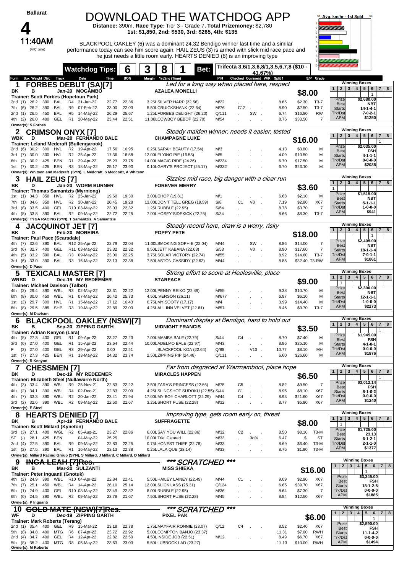| <b>Ballarat</b>                                                                        |                                                                                                  |                | DOWNLOAD THE WATCHDOG APP<br>Distance: 390m, Race Type: Tier 3 - Grade 7, Total Prizemoney: \$2,780<br>1st: \$1,850, 2nd: \$530, 3rd: \$265, 4th: \$135                     |               |                                                     |               |                                              | 68<br>58 Avg. km/hr - 1st Split                                                                                                         |
|----------------------------------------------------------------------------------------|--------------------------------------------------------------------------------------------------|----------------|-----------------------------------------------------------------------------------------------------------------------------------------------------------------------------|---------------|-----------------------------------------------------|---------------|----------------------------------------------|-----------------------------------------------------------------------------------------------------------------------------------------|
| 11:40AM                                                                                |                                                                                                  |                | BLACKPOOL OAKLEY (6) was a dominant 24.32 Bendigo winner last time and a similar                                                                                            |               |                                                     |               |                                              |                                                                                                                                         |
| (VIC time)                                                                             |                                                                                                  |                | performance today can see him score again. HAIL ZEUS (3) is armed with slick mid race pace and<br>he just needs a little room early. HEARTS DENIED (8) is an improving type |               |                                                     |               |                                              |                                                                                                                                         |
|                                                                                        | <b>Watchdog Tips:</b>                                                                            | 6              | 3<br>8<br>Bet:                                                                                                                                                              |               | Trifecta 3,6/1,3,6,8/1,3,5,6,7,8 (\$10 -<br>41.67%) |               |                                              |                                                                                                                                         |
| <b>Box Weight Dist Track</b><br>Form                                                   | Date<br>Time<br><b>FORBES DEBUT (SA)[7]</b>                                                      | <b>BON</b>     | Margin 1st/2nd (Time)<br>Led for a long way when placed here, respect                                                                                                       |               | PIR Checked Comment W/R Split 1                     |               | S/P Grade                                    | <b>Winning Boxes</b>                                                                                                                    |
| в<br>ΒK                                                                                | Jan-20 MOGAMBO                                                                                   |                | <b>AZALEA MONELLI</b>                                                                                                                                                       |               |                                                     |               | \$8.00                                       | $\overline{2}$<br>$\mathbf{3}$<br>4 <sup>1</sup><br>5 <sub>1</sub><br>6 <sup>1</sup><br>$\overline{7}$<br>1<br>8<br>$\overline{1}$      |
| Trainer: Scott Forbes (Hopetoun Park)<br>390<br>BAL<br>26.2<br>2nd                     | 31-Jan-22<br>R4<br>22.77                                                                         | 22.36          | 3.25LSILVER HARP (22.56)                                                                                                                                                    | M/22          |                                                     | 8.65          | \$2.30<br>$T3-7$                             | Prize<br>\$2,680.00<br>Best<br>NBT                                                                                                      |
| 26.2<br>390<br>BAL<br>(6)<br>7th.<br>26.5<br>450<br>BAL<br>2nd (1)                     | R9<br>07-Feb-22<br>23.00<br>R <sub>5</sub><br>14-May-22<br>26.29                                 | 22.03<br>25.67 | 5.50LCRUICKSHANK (22.64)<br>1.25LFORBES DELIGHT (26.20)                                                                                                                     | M/76<br>Q/111 | $C12$ .<br>SW.                                      | 8.90<br>6.74  | \$2.50<br>$T3-7$<br>\$16.80<br>RW            | <b>Starts</b><br>14-1-4-1<br>Trk/Dst<br>$7 - 0 - 2 - 1$                                                                                 |
| GEL<br>(2)<br>26.0<br>400<br>4th<br>Owner(s): S Forbes                                 | R1 20-May-22<br>23.44                                                                            | 22.51          | 11.00LCOWBOY BEBOP (22.70)                                                                                                                                                  | M/54          |                                                     | 8.76          | \$33.50<br>$\overline{7}$                    | <b>APM</b><br>\$1250                                                                                                                    |
| <b>CRIMSON ONYX [7]</b><br>2<br>WBK<br>D                                               | Mar-20 FERNANDO BALE                                                                             |                | Steady maiden winner, needs it easier, tested<br><b>CHAMPAGNE LUXE</b>                                                                                                      |               |                                                     |               | \$16.00                                      | <b>Winning Boxes</b><br>$2^{\circ}$<br>$\mathbf{3}$<br>$4 \mid 5 \mid$<br>$6\phantom{1}6$<br>1<br>$\overline{7}$<br>8<br>$\mathbf{1}$   |
| Trainer: Leland Medcraft (Bullengarook)<br>30.2 300 HVL<br>2nd (6)                     | R2 19-Apr-22<br>17.56                                                                            | 16.95          | 0.25LSARAH BEAUTY (17.54)                                                                                                                                                   | M/3           |                                                     | 4.13          | \$3.80<br>M                                  | Prize<br>\$2,035.00<br>Best<br>FSH                                                                                                      |
| <b>HVL</b><br>30.0<br>300<br>(7)<br>3rd<br><b>BEN</b><br>(2)<br>30.2<br>425<br>6th     | R2 26-Apr-22<br>17.36<br>R <sub>1</sub><br>29-Apr-22<br>25.23                                    | 16.58<br>23.75 | 12.00LFLYING PIE (16.58)<br>14.00LMAGIC RIDE (24.26)                                                                                                                        | M/5<br>M/234  |                                                     | 4.09<br>6.70  | \$10.50<br>M<br>\$17.50<br>M                 | <b>Starts</b><br>$4 - 1 - 1 - 1$<br>Trk/Dst<br>$0 - 0 - 0 - 0$                                                                          |
| 30.2 425 BEN<br>1st<br>(7)                                                             | R3 18-May-22<br>25.17<br>Owner(s): Whitson and Medcraft (SYN), L Medcraft, S Medcraft, A Whitson | 23.90          | 0.10LGARY'S PROJECT (25.17)                                                                                                                                                 | M/332         |                                                     | 6.70          | \$23.10<br>M                                 | <b>APM</b><br>\$2035                                                                                                                    |
| 3<br><b>ZEUS [7]</b><br>HAIL                                                           |                                                                                                  |                | Sizzles mid race, big danger with a clear run                                                                                                                               |               |                                                     |               |                                              | <b>Winning Boxes</b><br>4 <br>5 <sub>1</sub><br>6 <sup>1</sup><br>$\overline{2}$<br>$\mathbf{3}$<br>$\overline{7}$<br>8<br>$\mathbf{1}$ |
| ΒK<br>D<br>Trainer: Thomas Samantzis (Myrniong)                                        | Jan-20 WORM BURNER                                                                               |                | <b>FOREVER MERRY</b>                                                                                                                                                        |               |                                                     |               | \$3.60                                       | $\mathbf{1}$<br>Prize<br>\$1,515.00                                                                                                     |
| 34.3<br>350<br>HVL<br>1st<br><b>HVL</b><br>34.6<br>350<br>(1)<br>7th.                  | R <sub>2</sub><br>25-Jan-22<br>19.60<br>R2 30-Jan-22<br>20.45                                    | 19.30<br>19.28 | 3.00LCHOP (19.81)<br>13.00LDON'T TELL GREG (19.59)                                                                                                                          | M/1<br>S/8    | C <sub>1</sub><br>V <sub>0</sub>                    | 6.68<br>7.19  | \$2.10<br>м<br>\$2.80<br>X67                 | Best<br>NBT<br><b>Starts</b><br>$5 - 1 - 1 - 1$                                                                                         |
| GEL<br>3rd<br>33.5<br>400<br>(8)<br><b>BAL</b><br>(8)<br>33.8<br>390<br>4th            | R10 03-May-22<br>23.03<br>R2 09-May-22<br>22.72                                                  | 22.32<br>22.25 | 1.25LRUBBLE (22.95)<br>7.00LHOSEY SIDEKICK (22.25)                                                                                                                          | S/64<br>S/34  |                                                     | 8.78<br>8.66  | $\overline{7}$<br>\$3.70<br>\$8.30<br>$T3-7$ | Trk/Dst<br>$1 - 0 - 0 - 0$<br><b>APM</b><br>\$941                                                                                       |
|                                                                                        | Owner(s): TYGA RACING (SYN), T Samantzis, A Samantzis                                            |                |                                                                                                                                                                             |               |                                                     |               |                                              | <b>Winning Boxes</b>                                                                                                                    |
| 4<br>JACQUINOT JET [7]<br>D<br>ΒK                                                      | Feb-20 MOREIRA                                                                                   |                | Steady record here, draw is a worry, risky<br><b>POPPY PETE</b>                                                                                                             |               |                                                     |               | \$18.00                                      | 5 <sup>1</sup><br>$\mathbf{1}$<br>$\overline{2}$<br>$\mathbf{3}$<br>4 <sup>1</sup><br>6<br>$\overline{7}$<br>8<br>$\overline{1}$        |
| <b>Trainer: Paul Pace (Scarsdale)</b><br>BAL<br>32.6<br>390<br>(7)                     | R12 25-Apr-22<br>22.79                                                                           | 22.04          | 11.00LSMOKING SOPHIE (22.04)                                                                                                                                                | M/44          | SW.                                                 | 8.86          | \$14.00<br>7                                 | Prize<br>\$2,405.00<br>Best<br>NBT                                                                                                      |
| GEL<br>32.7<br>400<br>(6)<br>3rd<br><b>BAL</b><br>(5)<br>33.2<br>390<br>4th            | R11 03-May-22<br>23.32<br>09-May-22<br>R3<br>23.00                                               | 22.32<br>22.25 | 9.50LJETT KABANA (22.68)<br>3.75LSOLAR VICTORY (22.74)                                                                                                                      | S/53<br>M/55  | V0                                                  | 8.90<br>8.92  | \$17.60<br>7<br>\$14.60<br>$T3-7$            | <b>Starts</b><br>$18 - 1 - 1 - 4$<br>Trk/Dst<br>$7 - 0 - 1 - 1$                                                                         |
| 33.0<br>390<br><b>BAL</b><br>3rd<br>(6)                                                | R3 16-May-22<br>23.13                                                                            | 22.38          | 7.50LASTON CASSIDY (22.62)                                                                                                                                                  | M/44          |                                                     | 8.85          | \$32.40 T3-RW                                | <b>APM</b><br>\$1861                                                                                                                    |
| Owner(s): D Pace<br>5                                                                  | <b>TEXICALI MASTER [7]</b>                                                                       |                | Strong effort to score at Healesville, place                                                                                                                                |               |                                                     |               |                                              | <b>Winning Boxes</b><br>$\mathbf{2}$<br>3 <br>4   5   6<br>$\overline{7}$<br>8<br>$\mathbf{1}$                                          |
| <b>WRBD</b><br>D<br>Trainer: Michael Davison (Talbot)                                  | Dec-19 MY REDEEMER                                                                               |                | <b>STARFACE</b>                                                                                                                                                             |               |                                                     |               | \$9.00                                       | $\mathbf{1}$                                                                                                                            |
| 390<br>WBL<br>(2)<br>29.4<br>30.0<br>450<br>WBL<br>(8)<br>6th.                         | 02-May-22<br>23.31<br>R3<br>R <sub>1</sub><br>07-May-22<br>26.42                                 | 22.22<br>25.73 | 12.00LPENNY REIKO (22.49)<br>4.50LIVERSON (26.11)                                                                                                                           | M/55<br>M/677 |                                                     | 9.38<br>6.97  | \$10.70<br>м<br>\$6.10<br>м                  | Prize<br>\$2,390.00<br>Best<br>NBT                                                                                                      |
| HVL<br>(2)<br>29.7<br>300<br>1st                                                       | R <sub>1</sub><br>15-May-22<br>17.12                                                             | 16.43          | 0.75LMY SOOTY (17.17)                                                                                                                                                       | M/4           |                                                     | 3.99          | \$14.40<br>M                                 | <b>Starts</b><br>$12 - 1 - 1 - 1$<br>Trk/Dst<br>$1 - 0 - 0 - 0$<br><b>APM</b><br>\$2273                                                 |
| SHP<br>6th (8)<br>29.5<br>385<br>Owner(s): M Davison                                   | R <sub>3</sub><br>19-May-22<br>22.89                                                             | 22.03          | 4.25LALL INN VELVET (22.61)                                                                                                                                                 | M/57          |                                                     | 8.46          | \$9.70<br>$T3-7$                             |                                                                                                                                         |
| 6<br>ΒK<br>В                                                                           | <b>BLACKPOOL OAKLEY (NSW)[7]</b><br>Sep-20 ZIPPING GARTH                                         |                | Dominant display at Bendigo, hard to hold out<br><b>MIDNIGHT FRANCIS</b>                                                                                                    |               |                                                     |               | \$3.50                                       | <b>Winning Boxes</b><br>$\overline{2}$<br>$\mathbf{3}$<br>4   5   6<br>$\mathbf{1}$<br>7 8<br>$\mathbf{1}$                              |
| Trainer: Adrian Kenyon (Lara)<br>400 GEL<br>4th (8) 27.3                               | R1<br>09-Apr-22<br>23.27                                                                         | 22.23          | 7.00LMAMBA BALE (22.79)                                                                                                                                                     | S/44          | C4<br>$\mathcal{L}$                                 | 8.70          | \$7.40<br>M                                  | Prize<br>\$1,945.00<br><b>Best</b><br><b>FSH</b>                                                                                        |
| $(6)$ 27.0<br>GEL<br>400<br>3rd<br>GEL<br>(3)<br>27.0<br>400                           | R1 15-Apr-22<br>23.64<br>R <sub>3</sub><br>29-Apr-22<br>0.00                                     | 22.44<br>22.41 | 10.00LADELMO BALE (22.97)<br>BLACKPOOL KOA (22.64)                                                                                                                          | M/43<br>Q/88  | $V10$ .                                             | 8.86<br>10.77 | \$25.10<br>M<br>\$8.10<br>MН                 | <b>Starts</b><br>$4 - 1 - 0 - 1$<br>Trk/Dst<br>$0 - 0 - 0 - 0$                                                                          |
| 1st (7) 27.3 425<br>BEN                                                                | R1 13-May-22<br>24.32                                                                            | 23.74          | 2.50LZIPPING PIP (24.48)                                                                                                                                                    | Q/111         |                                                     | 6.60          | \$26.60<br>M                                 | <b>APM</b><br>\$1876                                                                                                                    |
| Owner(s): R Kenyon<br>7<br><b>CHESSMEN [7]</b>                                         |                                                                                                  |                | Far from disgraced at Warrnambool, place hope                                                                                                                               |               |                                                     |               |                                              | <b>Winning Boxes</b>                                                                                                                    |
| ΒK<br>D<br>Trainer: Elizabeth Steel (Nullawarre North)                                 | Dec-19 MY REDEEMER                                                                               |                | <b>MIRACLES HAPPEN</b>                                                                                                                                                      |               |                                                     |               | \$6.50                                       | $\overline{2}$<br>$\mathbf{3}$<br>4   5   6<br>7 8<br>$\mathbf{1}$<br>$\mathbf{1}$                                                      |
| (3)<br>33.4<br>390<br>4th (2)<br>34.1<br>390<br>WBL                                    | WBL R9 25-Nov-21<br>22.83<br>R4<br>02-Dec-21<br>22.83                                            | 22.22<br>22.09 | 2.50LZARA'S PRINCESS (22.66)<br>4.25LSLINGSHOT SUDOKU (22.55) S/44                                                                                                          | M/75          | C <sub>5</sub><br>C <sub>1</sub>                    | 8.82<br>8.96  | \$9.50<br>7<br>\$8.10<br>X67                 | Prize<br>\$3,012.14<br><b>Best</b><br><b>FSH</b>                                                                                        |
| 390<br>WBL<br>4th (7)<br>33.3                                                          | 20-Jan-22<br>R <sub>2</sub><br>23.41                                                             | 21.94          | 17.00LMY BOY CHARLOTT (22.29)                                                                                                                                               | M/44          | C4<br>$\ddot{\phantom{a}}$                          | 8.93          | X67<br>\$21.60                               | $8 - 1 - 0 - 2$<br><b>Starts</b><br>Trk/Dst<br>$0 - 0 - 0 - 0$<br><b>APM</b><br>\$1240                                                  |
| 32.6<br>390<br>WBL<br>3rd (2)<br>Owner(s): E Steel                                     | R2 09-May-22<br>22.50                                                                            | 21.67          | 3.25LSHORT FUSE (22.28)                                                                                                                                                     | M/32          |                                                     | 8.77          | X67<br>\$5.80                                |                                                                                                                                         |
| 8<br><b>HEARTS DENIED [7]</b><br>в<br>ΒK                                               | Apr-19 FERNANDO BALE                                                                             |                | Improving type, gets room early on, threat<br><b>SUFFRAGETTE</b>                                                                                                            |               |                                                     |               | \$8.00                                       | <b>Winning Boxes</b><br>4   5   6   7   8<br>$\mathbf{1}$<br>$\mathbf{2}$<br>$\mathbf{3}$                                               |
| Trainer: Scott Millard (Kyneton)<br>3rd (3)<br>27.1<br>400                             | WGL R2 05-Aug-21<br>23.27                                                                        | 22.86          | 6.00LSAY YOU WILL (22.86)                                                                                                                                                   | M/32          | C <sub>2</sub>                                      | 8.50          | \$8.10 T3-M                                  | $\mathbf{1}$<br>\$1,725.00<br>Prize<br><b>Best</b><br>23.13                                                                             |
| ST (-)<br>28.1<br>425<br>BEN                                                           | 04-May-22<br>25.25                                                                               |                | 10.00LTrial Cleared                                                                                                                                                         | M/33          | 3of4.                                               | 6.47          | \$.<br>ST                                    | <b>Starts</b><br>$6 - 1 - 2 - 1$<br>Trk/Dst<br>$2 - 1 - 1 - 0$                                                                          |
| 390<br><b>BAL</b><br>2nd (4)<br>27.5<br>1st (2) 27.5 390<br>BAL                        | 09-May-22<br>R9<br>22.83<br>R1 16-May-22<br>23.13                                                | 22.25<br>22.38 | 0.75LHONEST THIEF (22.78)<br>0.25LLALA QUE (23.14)                                                                                                                          | M/33<br>M/33  |                                                     | 8.69<br>8.75  | $T3-M$<br>\$6.40<br>\$1.80<br>T3-M           | <b>APM</b><br>\$1377                                                                                                                    |
|                                                                                        | Owner(s): Millard Racing Group (SYN), S Millard, J Millard, C Millard, D Millard                 |                | *** SCRATCHED                                                                                                                                                               |               | ***                                                 |               |                                              | <b>Winning Boxes</b>                                                                                                                    |
| в<br>ΒK<br>Trainer: Peter Inguanti (Gnotuk)                                            | Mar-20 SULZANTI                                                                                  |                | <b>MISS SHIEKA</b>                                                                                                                                                          |               |                                                     |               | \$16.00                                      | $\mathbf{3}$<br>5 <sup>1</sup><br>1<br>$\mathbf{2}$<br>4 <br>6   7   8<br>$\mathbf{1}$                                                  |
| 390<br>(2)<br>24.9<br>WBL<br>25.1<br>450<br>WBL                                        | R10 04-Apr-22<br>22.84<br>R4 14-Apr-22<br>26.10                                                  | 22.41<br>25.14 | 5.50LHAILEY LAINEY (22.49)                                                                                                                                                  | M/44<br>Q/124 | C <sub>1</sub>                                      | 9.09<br>6.65  | X67<br>\$2.90<br>\$39.70<br>X67              | Prize<br>\$3,345.00<br><b>Best</b><br><b>FSH</b>                                                                                        |
| 7th (7)<br><b>GEL</b><br>6th (1)<br>24.9<br>400                                        | R10 03-May-22<br>23.49                                                                           | 22.32          | 12.00LSLICK LASS (25.31)<br>8.00LRUBBLE (22.95)                                                                                                                             | M/36          |                                                     | 8.64          | $\overline{7}$<br>\$7.30                     | 18-1-2-5<br><b>Starts</b><br>Trk/Dst<br>$0 - 0 - 0 - 0$<br><b>APM</b><br>\$1885                                                         |
| 390<br>WBL<br>6th (6)<br>24.5<br>Owner(s): P Inguanti                                  | R2 09-May-22<br>22.78                                                                            | 21.67          | 7.50LSHORT FUSE (22.28)                                                                                                                                                     | M/45          |                                                     | 8.84          | X67<br>\$12.50                               |                                                                                                                                         |
| 10<br>WF<br>D                                                                          | <b>GOLD MATE (NSW)[7]Res.</b><br>Dec-19 ZIPPING GARTH                                            |                | *** SCRATCHED<br>PIXEL PAK                                                                                                                                                  |               | ***                                                 |               |                                              | <b>Winning Boxes</b><br>$\mathbf{1}$<br>2 <br>3 <sup>1</sup><br>4 <br>5 <sup>1</sup><br>$6 \mid$<br>$7 \mid 8$                          |
| Trainer: Mark Roberts (Terang)<br>35.4<br>400<br>GEL                                   | R9<br>15-Mar-22<br>23.18                                                                         | 22.78          |                                                                                                                                                                             | Q/12          | C4                                                  | 8.52          | \$6.00<br>X67<br>\$2.40                      | $\mathbf{1}$<br>Prize<br>\$2,590.00                                                                                                     |
| 2nd (1)<br>(8)<br>34.8<br>400<br>MTG<br>5th                                            | 07-Apr-22<br>R <sub>6</sub><br>23.72                                                             | 22.92          | 1.75LMAYFAIR RONNIE (23.07)<br>5.00LCOMPTON BANJO (23.37)                                                                                                                   |               |                                                     | 11.31         | <b>RWH</b><br>\$7.00                         | <b>Best</b><br><b>FSH</b><br><b>Starts</b><br>11-1-4-2                                                                                  |
| 2nd (4)<br>34.7<br>400<br>GEL<br>5th (8) 35.2 400<br><b>MTG</b><br>Owner(s): M Roberts | R4<br>12-Apr-22<br>22.82<br>R <sub>8</sub><br>05-May-22<br>23.63                                 | 22.50<br>23.03 | 4.50LINSIDE JOB (22.51)<br>5.50LLUBBOCK LAD (23.27)                                                                                                                         | M/12          |                                                     | 8.49<br>11.13 | \$6.70<br>X67<br>\$10.00<br><b>RWH</b>       | Trk/Dst<br>$0 - 0 - 0 - 0$<br><b>APM</b><br>\$1494                                                                                      |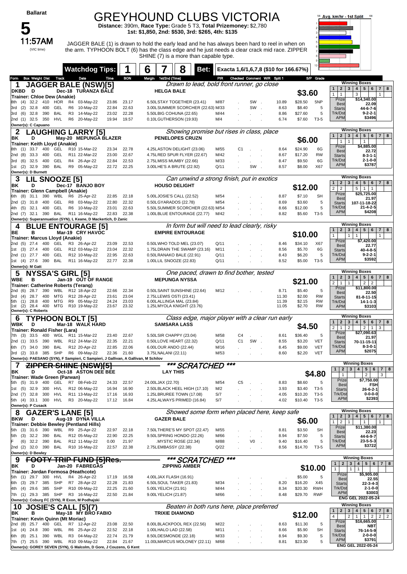#### GREYHOUND CLUBS VICTORIA

**Distance:** 390m, **Race Type:** Grade 5 T3, **Total Prizemoney:** \$2,780 **1st: \$1,850, 2nd: \$530, 3rd: \$265, 4th: \$135**

5<br>11:57AM (VIC time)

11:57AM JAGGER BALE (1) is drawn to hold the early lead and he has always been hard to reel in when on the arm. TYPHOON BOLT (6) has the class edge and he just needs a clear crack mid race. ZIPPER SHINE (7) is a more than capable type.



|                                                                                                 | <b>Watchdog Tips:</b>                          |                |                | 8<br>6<br>Bet:                                                      |              | Exacta 1,6/1,6,7,8 (\$10 for 166.67%) |                |                                            |                                                                                                                                                                      |
|-------------------------------------------------------------------------------------------------|------------------------------------------------|----------------|----------------|---------------------------------------------------------------------|--------------|---------------------------------------|----------------|--------------------------------------------|----------------------------------------------------------------------------------------------------------------------------------------------------------------------|
| <b>Box Weight Dist Track</b><br>Form                                                            | Date                                           | Time           | <b>BON</b>     | Margin 1st/2nd (Time)                                               |              | PIR Checked Comment W/R Split 1       |                | S/P Grade                                  |                                                                                                                                                                      |
| <b>JAGGER BALE (NSW)[5]</b><br>1                                                                |                                                |                |                | Drawn to lead, bold front runner, go close                          |              |                                       |                |                                            | <b>Winning Boxes</b><br>$\mathbf{2}$<br>3 <sup>1</sup><br>$5 \mid 6$<br>$7 \mid 8$                                                                                   |
| DKBD D                                                                                          | Dec-18 TURANZA BALE                            |                |                | <b>HELGA BALE</b>                                                   |              |                                       |                | \$3.60                                     | 1<br>4 <sup>1</sup><br>$\overline{1}$<br>3<br>$1 \vert$<br>$\mathbf{1}$                                                                                              |
| Trainer: Chloe Dew (Anakie)<br>32.2<br>410 HOR<br>8th (4)                                       | R4<br>03-May-22                                | 23.86          | 23.17          | 6.50LSTAY TOGETHER (23.41)                                          | M/87         | SW.                                   | 10.89          | \$28.50<br>5NP                             | Prize<br>\$14,340.00                                                                                                                                                 |
| GEL<br>(2)<br>32.8<br>400<br>3rd                                                                | 10-May-22<br>R <sub>6</sub>                    | 22.84          | 22.63          | 3.00LSUMMER SCORCHER (22.63) M/33                                   |              | SW.                                   | 8.63           | \$8.40<br>5                                | <b>Best</b><br>22.09<br><b>Starts</b><br>44-6-7-6                                                                                                                    |
| 32.8<br>390<br><b>BAL</b><br>(6)<br>3rd                                                         | 14-May-22<br>R3                                | 23.02          | 22.28          | 5.50LBIG COHUNA (22.65)                                             | M/44         |                                       | 8.86           | \$27.60<br>5                               | Trk/Dst<br>$9 - 2 - 2 - 1$                                                                                                                                           |
| 2nd (1) 32.5<br>350<br>HVL                                                                      | 20-May-22<br>R6                                | 19.94          | 19.57          | 0.10LGUTHERSON (19.93)                                              | M/4          |                                       | 6.74           | \$7.60<br>T3-5                             | <b>APM</b><br>\$3496                                                                                                                                                 |
| Owner(s): C Capuano                                                                             |                                                |                |                |                                                                     |              |                                       |                |                                            | <b>Winning Boxes</b>                                                                                                                                                 |
|                                                                                                 | AUGHING LARRY [5].                             |                |                | Showing promise but rises in class, place<br><b>PENELOPES CRUZN</b> |              |                                       |                |                                            | $2^{\circ}$<br>3 <sup>1</sup><br>5 <sup>1</sup><br>4<br>$6 \mid$<br>$7 \mid 8$<br>$\mathbf{1}$                                                                       |
| ΒK<br>D<br> Trainer: Keith Lloyd (Anakie)                                                       | May-20 MEPUNGA BLAZER                          |                |                |                                                                     |              |                                       |                | \$6.00                                     | $\mathbf{1}$<br>$\mathbf{1}$<br>$\mathbf{1}$                                                                                                                         |
| 33.7<br>400<br>GEL<br>(1)                                                                       | R10 15-Mar-22                                  | 23.34          | 22.78          | 4.25LASTON DELIGHT (23.06)                                          | M/55         | C <sub>1</sub><br>$\sim$              | 8.64           | \$24.90<br>6G                              | Prize<br>\$4,885.00<br><b>Best</b><br>22.72                                                                                                                          |
| 2nd (8)<br>33.3<br>400<br>GEL                                                                   | R11 22-Mar-22                                  | 23.00          | 22.67          | 4.75LRED SPUR FLYER (22.67)                                         | M/42         |                                       | 8.67           | \$17.20<br><b>RW</b>                       | <b>Starts</b><br>8-3-1-1                                                                                                                                             |
| GEL<br>3rd<br>32.5<br>400<br>(6)                                                                | R4<br>26-Apr-22                                | 22.84          | 22.53          | 2.75LMISS MUMBY (22.66)                                             | M/33         | $\mathbf{r}$                          | 8.47           | \$9.50<br>6G                               | Trk/Dst<br>$2 - 1 - 0 - 0$<br><b>APM</b><br>\$3787                                                                                                                   |
| 390<br>$1st$ (2)<br>32.9<br>BAL<br>Owner(s): D Burnett                                          | R9<br>05-May-22                                | 22.72          | 22.25          | 3.00LHE'S A BRUTE (22.92)                                           | Q/11         | SW                                    | 8.57           | X67<br>\$8.00                              |                                                                                                                                                                      |
| 3<br>LIL SNOOZE [5]                                                                             |                                                |                |                | Can unwind a strong finish, put in exotics                          |              |                                       |                |                                            | <b>Winning Boxes</b>                                                                                                                                                 |
| ΒK<br>D                                                                                         | Dec-17 BANJO BOY                               |                |                | <b>HOUSO DELIGHT</b>                                                |              |                                       |                | \$12.00                                    | $\overline{2}$<br>$5 \mid 6$<br>$7 \mid 8$<br>1<br>3<br>4<br>2 <sup>1</sup><br>$\overline{2}$<br>$\mathbf{1}$                                                        |
| Trainer: Glenn Campbell (Anakie)                                                                |                                                |                |                |                                                                     |              |                                       |                |                                            | 5 <sup>1</sup><br>1<br>\$25,725.00<br>Prize                                                                                                                          |
| 31.1 390<br>6th (8)                                                                             | WBL R6 25-Apr-22                               | 22.85          | 22.18          | 5.00LJOSIE'S CALL (22.52)                                           | M/54         |                                       | 8.87           | \$7.10<br><b>SH</b><br>5                   | <b>Best</b><br>21.97                                                                                                                                                 |
| GEL<br>2nd (2)<br>31.8<br>400<br>GEL<br>(5)<br>32.1<br>400<br>4th                               | 03-May-22<br>R8<br>R <sub>6</sub><br>10-Mav-22 | 22.80<br>23.01 | 22.32<br>22.63 | 0.50LGYARADOS (22.78)<br>5.50LSUMMER SCORCHER (22.63) M/54          | M/54         |                                       | 8.69<br>8.66   | \$3.60<br>5<br>\$12.00                     | 107-11-18-22<br><b>Starts</b><br>Trk/Dst<br>$21 - 4 - 2 - 5$                                                                                                         |
| 32.1 390 BAL<br>2nd (7)                                                                         | R11 16-May-22                                  | 22.83          | 22.38          | 1.00LBLUE ENTOURAGE (22.77)                                         | M/42         |                                       | 8.82           | \$5.60<br>T3-5                             | <b>APM</b><br>\$4208                                                                                                                                                 |
| Owner(s): Superannuation (SYN), L Keane, D Mackertich, D Zanic                                  |                                                |                |                |                                                                     |              |                                       |                |                                            |                                                                                                                                                                      |
| <b>BLUE ENTOURAGE [5]</b><br>4                                                                  |                                                |                |                | In form but will need to lead clearly, risky                        |              |                                       |                |                                            | <b>Winning Boxes</b><br>2 <sub>1</sub><br>4 <br>$5 \mid 6$<br>3 <sup>1</sup><br>$7 \mid 8$<br>1                                                                      |
| в<br>BE                                                                                         | Mar-19 CRY HAVOC                               |                |                | <b>EMPIRE ENTOURAGE</b>                                             |              |                                       |                | \$10.00                                    | $\mathbf{1}$<br>$\mathbf{1}$<br>$\mathbf{1}$<br>$\mathbf{1}$                                                                                                         |
| Trainer: Marcus Lloyd (Anakie)<br>2nd (5) 27.4<br>400                                           | GEL R3 26-Apr-22                               | 23.09          | 22.53          | 0.50LWHO TOLD MEL (23.07)                                           | Q/11         |                                       | 8.46           | \$34.10<br>X67                             | Prize<br>\$7,420.00                                                                                                                                                  |
| 27.4<br>400<br>GEL<br>1st (3)                                                                   | R12 03-May-22                                  | 23.04          | 22.32          | 1.75LDRAIN THE SWAMP (23.16)                                        | M/11         |                                       | 8.56           | \$5.70<br>6G                               | <b>Best</b><br>22.77<br><b>Starts</b><br>40-4-8-5                                                                                                                    |
| GEL<br>27.7<br>400<br>2nd (1)                                                                   | R12 10-May-22                                  | 22.95          | 22.63          | 0.50LRANAKO BALE (22.91)                                            | Q/11         |                                       | 8.43           | \$6.20<br>5                                | Trk/Dst<br>$9 - 2 - 2 - 1$                                                                                                                                           |
| 390<br><b>BAL</b><br>1st (4) 27.6                                                               | R11 16-May-22                                  | 22.77          | 22.38          | 1.00LLIL SNOOZE (22.83)                                             | Q/11         |                                       | 8.52           | \$5.00<br>T3-5                             | <b>APM</b><br>\$3592                                                                                                                                                 |
| Owner(s): M Gatt                                                                                |                                                |                |                | One paced, drawn to find bother, tested                             |              |                                       |                |                                            | <b>Winning Boxes</b>                                                                                                                                                 |
| <b>NYSSA'S GIRL [5]</b><br>5<br><b>WBE</b><br>в                                                 | Jan-19 OUT OF RANGE                            |                |                | <b>MEPUNGA NYSSA</b>                                                |              |                                       |                |                                            | $5 \mid 6$<br>$\overline{2}$<br>$3^{\circ}$<br>4<br>$7 \mid 8$<br>1                                                                                                  |
| Trainer: Catherine Roberts (Terang)                                                             |                                                |                |                |                                                                     |              |                                       |                | \$21.00                                    | 2 <sup>1</sup><br>2 <sup>1</sup><br>$\overline{2}$<br>$\overline{1}$                                                                                                 |
| 28.7<br>390<br>WBL<br>2nd (6)                                                                   | R12 18-Apr-22                                  | 22.66          | 22.34          | 0.50LSAINT SUNSHINE (22.64)                                         | M/12         |                                       | 8.71           | \$5.40<br>5                                | Prize<br>\$11,800.00<br><b>Best</b><br>22.50                                                                                                                         |
| <b>MTG</b><br>28.7<br>400<br>3rd<br>(4)<br>28.8<br>400<br>MTG<br>5th                            | R12 28-Apr-22<br>R9                            | 23.61<br>24.24 | 23.04<br>23.03 | 2.75LLEWIS OSTI (23.41)<br>6.00LALLINGA MAL (23.84)                 |              |                                       | 11.30<br>11.39 | \$2.00<br><b>RW</b><br>\$2.15<br><b>RW</b> | <b>Starts</b><br>81-8-11-15                                                                                                                                          |
| (1)<br>28.4 400<br>MTG<br>1st<br>(2)                                                            | 05-May-22<br>R10 19-May-22                     | 23.67          | 23.32          | 1.25LMYOLA KNIGHT (23.76)                                           |              |                                       | 11.05          | \$2.70<br>RW                               | Trk/Dst<br>14-1-1-3<br><b>APM</b><br>\$3103                                                                                                                          |
| Owner(s): C Roberts                                                                             |                                                |                |                |                                                                     |              |                                       |                |                                            |                                                                                                                                                                      |
|                                                                                                 |                                                |                |                |                                                                     |              |                                       |                |                                            |                                                                                                                                                                      |
| <b>TYPHOON BOLT [5]</b><br>6                                                                    |                                                |                |                | Class edge, major player with a clear run early                     |              |                                       |                |                                            | <b>Winning Boxes</b><br>1                                                                                                                                            |
| WBK<br>D                                                                                        | Mar-18 WALK HARD                               |                |                | <b>SAMSARA LASS</b>                                                 |              |                                       |                | \$4.50                                     | 4<br>5 <sup>1</sup><br>$2^{\circ}$<br>3 <sup>1</sup><br>6<br>$7 \mid 8$<br>2 <sup>1</sup><br>$\overline{1}$<br>$\overline{2}$<br>2 <sup>1</sup><br>3<br>$\mathbf{1}$ |
| Trainer: Ronald Fisher (Lara)<br>33.5<br>400<br>7th (3)                                         | WGL R11 15-Mar-22                              | 23.40          | 22.67          | 5.50LSIR CHAPPY (23.04)                                             | M/58         | C4                                    | 8.61           | \$36.40<br>5                               | Prize<br>\$27,090.63                                                                                                                                                 |
| <b>WBL</b><br>2nd (1)<br>33.5<br>390                                                            | R12 24-Mar-22                                  | 22.35          | 22.21          | 0.50LLOVE HEART (22.32)                                             | Q/11         | SW.<br>C <sub>1</sub>                 | 8.55           | <b>VET</b><br>\$3.20                       | <b>Best</b><br>21.97<br><b>Starts</b><br>70-11-15-11                                                                                                                 |
| <b>BAL</b><br>34.0<br>390<br>6th (7)                                                            | R12 20-Apr-22                                  | 22.85          | 22.06          | 6.00LOUR ANDO (22.44)                                               | M/16         |                                       | 8.45           | \$9.00<br><b>VET</b>                       | Trk/Dst<br>8-3-0-1                                                                                                                                                   |
| 385 SHP<br>3rd (2)<br>33.8                                                                      | R6 09-May-22                                   | 22.36          | 21.60          | 3.75LNALANI (22.11)                                                 | M/53         |                                       | 8.60           | \$2.20<br><b>VET</b>                       | <b>APM</b><br>\$2075                                                                                                                                                 |
| Owner(s): PAESANO (SYN), F Sampieri, C Sampieri, J Gallivan, A Gallivan, M Schilov              |                                                |                |                |                                                                     |              | ***                                   |                |                                            | <b>Winning Boxes</b>                                                                                                                                                 |
| <b>ZIPPER SHINE (NSW)[5]</b><br>BK<br>D                                                         | Oct-18 ASTON DEE BEE                           |                |                | *** SCRATCHED<br><b>LAY THIS</b>                                    |              |                                       |                |                                            | 2   3   4   5   6   7   8<br>$\overline{1}$                                                                                                                          |
| Trainer: Wade Green (Parwan)                                                                    |                                                |                |                |                                                                     |              |                                       |                | ა4.ŏU                                      | $\overline{2}$<br>3<br>$\mathbf{1}$                                                                                                                                  |
| 5th (5) 31.9<br>400 GEL                                                                         | R7 08-Feb-22                                   | 24.33          | 22.57          | 24.00LJAX (22.70)                                                   | M/54         | C5<br>$\sim$                          | 8.83           | \$8.60<br>5                                | \$7,750.00<br>Prize<br><b>FSH</b><br><b>Best</b>                                                                                                                     |
| 32.9<br>(5)<br>300<br>HVL<br>1st                                                                | R12 06-May-22                                  | 16.94          | 16.90          | 2.50LBLACK HEEL HIGH (17.10)                                        | M/2          |                                       | 3.93           | \$3.40<br>T3-5                             | $26 - 6 - 2 - 1$<br><b>Starts</b>                                                                                                                                    |
| 2nd (7) 32.8 300<br>HVL                                                                         | R11 13-May-22<br>R3 20-May-22                  | 17.16<br>17.12 | 16.93<br>16.84 | 1.25LBRUREE TOWN (17.08)                                            | S/7<br>S/7   |                                       | 4.05<br>4.02   | \$10.20<br>T3-5<br>\$10.40<br>T3-5         | $0 - 0 - 0 - 0$<br>Trk/Dst<br><b>APM</b><br>\$2393                                                                                                                   |
| 5th (4) 33.1 300 HVL<br>Owner(s): P Cusack                                                      |                                                |                |                | 4.25LALWAYS PRIMED (16.84)                                          |              |                                       |                |                                            |                                                                                                                                                                      |
| <b>GAZER'S LANE [5]</b><br>8                                                                    |                                                |                |                | Showed some form when placed here, keep safe                        |              |                                       |                |                                            | <b>Winning Boxes</b>                                                                                                                                                 |
| <b>BKW</b><br>D                                                                                 | Aug-19 DYNA VILLA                              |                |                | <b>GAZER BALE</b>                                                   |              |                                       |                | \$6.00                                     | 4 <br>$5 \mid 6$<br>2 <sub>1</sub><br>3 <br>1<br>7   8<br>$1 \mid 2$<br>$\mathbf{1}$<br>$\mathbf{1}$<br>$\mathbf{1}$                                                 |
| Trainer: Debbie Bewley (Pentland Hills)                                                         | R9 25-Apr-22                                   |                |                |                                                                     |              |                                       |                |                                            | Prize<br>\$11,380.00                                                                                                                                                 |
| 31.6<br>390<br>WBL<br>5th (3)<br>32.2<br>390<br>BAL<br>5th (3)                                  | R12 05-May-22                                  | 22.97<br>22.90 | 22.18<br>22.25 | 7.50LTHERE'S MY SPOT (22.47)<br>9.50LSPRING HONDO (22.26)           | M/55<br>M/66 |                                       | 8.81<br>8.94   | \$3.50<br>SH<br>\$7.50<br>5                | <b>Best</b><br>22.23                                                                                                                                                 |
| 32.2 390<br>BAL<br>(6)                                                                          | R12 11-May-22                                  | 0.00           | 21.97          | .MYSTIC ROSE (22.34)                                                | M/88         | V0                                    | 9.40           | \$16.40<br>5                               | <b>Starts</b><br>44-6-9-7<br>Trk/Dst<br>23-5-5-3                                                                                                                     |
| 2nd (2) 32.0 390<br>BAL                                                                         | R10 16-May-22                                  | 22.57          | 22.38          | 2.75LEMBASSY (22.38)                                                | Q/22         |                                       | 8.56           | \$14.70<br>T3-5                            | <b>APM</b><br>\$3722                                                                                                                                                 |
| Owner(s): D Bewley                                                                              |                                                |                |                |                                                                     |              |                                       |                |                                            | <b>Winning Boxes</b>                                                                                                                                                 |
| <b>FOOTY TRIP FUND [5]Res.</b><br>9                                                             |                                                |                |                | *** SCRATCHED                                                       |              | ***                                   |                |                                            | 3   4   5   6   7   8<br>$\mathbf{2}$<br>$\mathbf{1}$                                                                                                                |
| ΒK<br>D<br>Trainer: Jordan Formosa (Heathcote)                                                  | Jan-20 FABREGAS                                |                |                | <b>ZIPPING AMBER</b>                                                |              |                                       |                | \$10.00                                    | $\mathbf{1}$<br>$\mathbf{1}$<br>1                                                                                                                                    |
| 29.7<br>300 HVL<br>5th (1)                                                                      | R4 26-Apr-22                                   | 17.19          | 16.58          | 4.00LJAX FLASH (16.91)                                              |              |                                       |                | \$5.00<br>5                                | Prize<br>\$5,905.00<br>22.55<br><b>Best</b>                                                                                                                          |
| 29.7<br>385<br>SHP<br>6th (3)                                                                   | R7 28-Apr-22                                   | 22.28          | 21.83          | 6.50LSOUL TAKER (21.83)                                             | M/34         |                                       | 8.20           | \$16.20<br>X45                             | $22 - 3 - 4 - 3$<br><b>Starts</b>                                                                                                                                    |
| SHP<br>29.6<br>385<br>4th (4)                                                                   | R10 09-May-22                                  | 22.25          | 21.60          | 5.00LYELICH (21.91)                                                 | M/44         |                                       | 8.34           | \$20.30<br><b>RWH</b><br><b>RWF</b>        | $2 - 1 - 0 - 0$<br>Trk/Dst<br><b>APM</b><br>\$3003                                                                                                                   |
| 7th (1) 29.3 385 SHP<br>Owner(s): Coburg FC (SYN), R Exon, M Podhajski                          | R3 16-May-22                                   | 22.50          | 21.84          | 9.00LYELICH (21.87)                                                 | M/66         |                                       | 8.48           | \$29.70                                    | ENG GEL 2022-05-24                                                                                                                                                   |
| <b>JOSIE'S CALL [5](7)</b><br>10                                                                |                                                |                |                | Beaten in both runs here, place preferred                           |              |                                       |                |                                            | <b>Winning Boxes</b>                                                                                                                                                 |
| в<br>ΒK                                                                                         | May-18 MY BRO FABIO                            |                |                | <b>TRIXIE DIAMOND</b>                                               |              |                                       |                | \$12.00                                    | 2 <sub>1</sub><br>3 <br>4   5   6<br>1<br>7   8<br>$\overline{4}$<br>$2 \mid 2$<br>2 <br>$1 \mid 1 \mid 2$                                                           |
| <b>Trainer: Kevin Quinn (Mt Moriac)</b><br>25.7<br>400<br>GEL                                   |                                                | 23.08          | 22.50          | 8.00LBLACKPOOL REX (22.56)                                          | M/22         |                                       | 8.63           | 5<br>\$11.30                               | Prize<br>\$16,665.00                                                                                                                                                 |
| 2nd (8)<br>390<br>WBL<br>1st (4)<br>24.8                                                        | R7 12-Apr-22<br>R <sub>6</sub><br>25-Apr-22    | 22.52          | 22.18          | 1.00LHALO LAD (22.58)                                               | M/11         |                                       | 8.66           | \$5.90<br>SН                               | <b>Best</b><br>NBT<br>76-14-5-9<br><b>Starts</b>                                                                                                                     |
| 25.1<br>390<br>WBL<br>6th (8)                                                                   | R3<br>04-May-22                                | 22.74          | 21.79          | 8.50LDESMONDE (22.18)                                               | M/33         |                                       | 8.94           | \$9.30<br>S                                | Trk/Dst<br>2-0-0-0                                                                                                                                                   |
| 390 WBL<br>25.5<br>7th (7)<br>Owner(s): GOREY SEVEN (SYN), G Malcolm, D Gore, J Couzens, G Kent | R10 09-May-22                                  | 22.84          | 21.67          | 11.00LMARCUS MOLONEY (22.11) M/68                                   |              |                                       | 8.81           | 5<br>\$23.30                               | <b>APM</b><br>\$3791<br>ENG GEL 2022-05-24                                                                                                                           |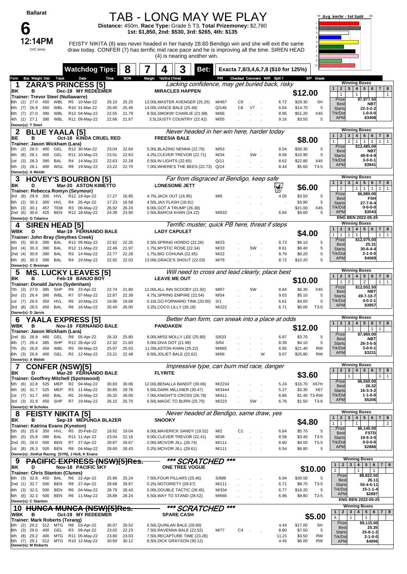| allar<br>ш<br>., |  |
|------------------|--|
|------------------|--|

# TAB - LONG MAY WE PLAY **Distance:** 450m, **Race Type:** Grade 5 T3, **Total Prizemoney:** \$2,780

**1st: \$1,850, 2nd: \$530, 3rd: \$265, 4th: \$135**

**6**<br>12:14PM (VIC time)

12:14PM FEISTY NIKITA (8) was never headed in her handy 28.60 Bendigo win and she will exit the same draw today. CONFER (7) has terrific mid race pace and he is improving all the time. SIREN HEAD (4) is nearing another win.



68

|                          |                                                         |                 |                       |                      | <b>Watchdog Tips:</b>                                    |                | 8              |                          |                                                                                       | Bet:             |                |                     | Exacta 7,8/3,4,6,7,8 (\$10 for 125%) |                    |                     |                                                          |                                                                                                        |
|--------------------------|---------------------------------------------------------|-----------------|-----------------------|----------------------|----------------------------------------------------------|----------------|----------------|--------------------------|---------------------------------------------------------------------------------------|------------------|----------------|---------------------|--------------------------------------|--------------------|---------------------|----------------------------------------------------------|--------------------------------------------------------------------------------------------------------|
| Form                     | <b>Box Weight Dist Track</b>                            |                 |                       |                      | Date                                                     | Time           | <b>BON</b>     | Margin 1st/2nd (Time)    |                                                                                       |                  |                |                     | PIR Checked Comment W/R Split 1      |                    | S/P Grade           |                                                          |                                                                                                        |
| 1                        |                                                         |                 |                       |                      | <b>ZARA'S PRINCESS [5]</b>                               |                |                |                          | Lacking confidence, may get buried back, risky                                        |                  |                |                     |                                      |                    |                     | $\mathbf{2}$<br>$\mathbf{1}$                             | <b>Winning Boxes</b><br>3 <sup>1</sup><br>5 6<br>4 <br>$7 \mid 8$                                      |
| ΒK                       | в                                                       |                 |                       |                      | Dec-19 MY REDEEMER                                       |                |                |                          | <b>MIRACLES HAPPEN</b>                                                                |                  |                |                     |                                      | \$12.00            |                     | $\mathbf{1}$                                             | $\mathbf{1}$<br>$\mathbf{1}$                                                                           |
| 6th                      | <b>Trainer: Trevor Steel (Nullawarre)</b><br>$(2)$ 27.0 | 450             | WBL                   | R5                   | 10-Mar-22                                                | 26.10          | 25.25          |                          | 13.00LMASTER AVENGER (25.25)                                                          | M/467            | C <sub>9</sub> |                     | 6.72                                 | \$29.30            | 5H                  | Prize                                                    | \$7,977.50                                                                                             |
| 6th                      | (7)<br>26.9                                             | 450             | WBL                   |                      | R10 31-Mar-22                                            | 26.40          | 25.46          | 14.00LVANCE BALE (25.48) |                                                                                       | Q/146            | C <sub>8</sub> | V7<br>$\sim$ $\sim$ | 6.64                                 | \$14.70            | 5                   | <b>Best</b><br><b>Starts</b>                             | <b>NBT</b><br>22-3-2-2                                                                                 |
| 6th                      | (7)<br>27.0                                             | 390             | <b>WBL</b>            |                      | R12 04-May-22                                            | 22.55          | 21.79          |                          | 8.50LSMOKIN' CHARLIE (21.98)                                                          | M/66             |                |                     | 8.95                                 | \$51.20            | X45                 | Trk/Dst                                                  | $1 - 0 - 0 - 0$                                                                                        |
|                          | 4th (1) 27.1 390                                        |                 | WBL                   |                      | R11 09-May-22                                            | 22.66          | 21.67          |                          | 3.5LDUSTY COUNTRY (22.42)                                                             | M/55             |                |                     | 9.16                                 | \$3.50             | 5                   | APM                                                      | \$3408                                                                                                 |
| 2                        | Owner(s): T Steel                                       |                 | <b>BLUE YAALA [5]</b> |                      |                                                          |                |                |                          | Never headed in her win here, harder today                                            |                  |                |                     |                                      |                    |                     |                                                          | <b>Winning Boxes</b>                                                                                   |
| BE                       | в                                                       |                 |                       |                      | Oct-18 KINDA CRUEL RED                                   |                |                |                          | <b>FREESIA BALE</b>                                                                   |                  |                |                     |                                      |                    |                     | $\overline{2}$<br>$\mathbf{1}$                           | 5 <sup>5</sup><br>3 <sup>1</sup><br>4<br>6<br>7   8                                                    |
|                          | Trainer: Jason Wickham (Lara)                           |                 |                       |                      |                                                          |                |                |                          |                                                                                       |                  |                |                     |                                      | \$8.00             |                     | $\mathbf{1}$<br>Prize                                    | $\overline{2}$<br>$\mathbf{1}$<br>$\overline{2}$<br>1<br>1 <sup>1</sup><br>$\mathbf{1}$<br>\$12,485.00 |
| 5th                      | (2)<br>28.3                                             | 400             | GEL                   |                      | R12 30-Mar-22                                            | 23.04          | 22.64          |                          | 5.00LBLAZING NENNA (22.70)                                                            | M/53             |                |                     | 8.54                                 | \$39.30            | 5                   | <b>Best</b>                                              | <b>NBT</b>                                                                                             |
| (8)<br>4th<br>1st        | 28.1<br>(3)<br>28.3                                     | 400<br>390      | GEL<br><b>BAL</b>     |                      | R11 10-May-22<br>R4 14-May-22                            | 23.01<br>22.63 | 22.63<br>22.28 | 0.50LIN LIGHTS (22.65)   | 4.25LCLEVER TREVOR (22.71)                                                            | M/34<br>Q/11     |                | SW.                 | 8.58<br>8.62                         | \$10.90<br>\$22.80 | 5<br>X45            | <b>Starts</b><br>Trk/Dst                                 | 48-9-4-9<br>$3 - 0 - 0 - 1$                                                                            |
| 5th (3)                  | 28.1                                                    | 400             | WGL                   | R8                   | 19-May-22                                                | 23.22          | 22.70          |                          | 7.00LWHERE'S THE BEES (22.73) Q/24                                                    |                  |                |                     | 8.44                                 | \$5.60             | T3-5                | <b>APM</b>                                               | \$3941                                                                                                 |
|                          | Owner(s): A Welsh                                       |                 |                       |                      |                                                          |                |                |                          |                                                                                       |                  |                |                     |                                      |                    |                     |                                                          |                                                                                                        |
| 3                        |                                                         |                 |                       |                      | <b>HOVEY'S BOURBON [5]</b>                               |                |                |                          | Far from disgraced at Bendigo, keep safe                                              |                  |                |                     |                                      |                    |                     | 2 <sup>2</sup><br>$\mathbf{1}$<br>$\mathbf{3}$           | <b>Winning Boxes</b><br>5 <sup>1</sup><br>$7 \mid 8$<br>4<br>6                                         |
| ΒK                       | D                                                       |                 |                       |                      | Mar-20 ASTON KIMETTO<br>Trainer: Rebecca Romyn (Seymour) |                |                |                          | <b>LONESOME JETT</b>                                                                  |                  |                |                     | 阌                                    | \$6.00             |                     | $\overline{2}$                                           | $\mathbf{1}$<br>$\mathbf{1}$<br>$1 \vert$<br>1<br>$\mathbf{1}$                                         |
| 3rd (8)                  | 29.9                                                    | 300             | HVL                   |                      | R12 19-Apr-22                                            | 17.27          | 16.95          | 4.75LJACK OUT (16.95)    |                                                                                       | M/8              |                |                     | 4.05                                 | \$3.50             | 5                   | Prize                                                    | \$6,880.00<br><b>FSH</b>                                                                               |
| (2)<br>6th               | 30.2                                                    | 300             | HVL                   |                      | R4 26-Apr-22                                             | 17.23          | 16.58          | 4.50LJAX FLASH (16.91)   |                                                                                       |                  |                |                     |                                      | \$3.90             | 5                   | <b>Best</b><br><b>Starts</b>                             | 27-7-6-4                                                                                               |
| 6th<br>2nd               | (3)<br>30.1<br>(6)<br>30.6                              | 457<br>425      | <b>TEM</b><br>BEN     | R <sub>3</sub>       | 06-May-22<br>R12 18-May-22                               | 26.92<br>24.39 | 26.24<br>23.90 |                          | 8.00LGOT A TRUMP (26.38)<br>2.50LBARCIA KHAN (24.22)                                  | M/633            |                |                     | 6.84                                 | \$21.00<br>\$9.60  | X45<br>5            | Trk/Dst<br><b>APM</b>                                    | $0 - 0 - 0 - 0$<br>\$3043                                                                              |
|                          | Owner(s): G Talarico                                    |                 |                       |                      |                                                          |                |                |                          |                                                                                       |                  |                |                     |                                      |                    |                     |                                                          | ENG BEN 2022-05-25                                                                                     |
| 4                        |                                                         |                 | <b>SIREN HEAD [5]</b> |                      |                                                          |                |                |                          | Terrific muster, quick PB here, threat if steps                                       |                  |                |                     |                                      |                    |                     |                                                          | <b>Winning Boxes</b>                                                                                   |
| <b>WBK</b>               | D                                                       |                 |                       |                      | Mar-19 FERNANDO BALE                                     |                |                |                          | <b>LADY CAPULET</b>                                                                   |                  |                |                     |                                      | \$4.00             |                     | 2 <sub>1</sub><br>1<br>$\mathbf{1}$<br>1<br>$\mathbf{1}$ | $4 \mid 5 \mid 6$<br>3 <sup>1</sup><br>$7 \mid 8$<br>$\mathbf{1}$<br>$\mathbf{1}$<br>$\mathbf{1}$      |
|                          |                                                         |                 |                       |                      | Trainer: John Bray (Smythes Creek)<br>R12 05-May-22      |                |                |                          |                                                                                       |                  |                |                     |                                      |                    |                     | Prize                                                    | \$12,075.00                                                                                            |
| 4th (5)<br>3rd           | 30.8<br>30.3<br>(4)                                     | 390<br>390      | BAL<br>BAL            |                      | R12 11-May-22                                            | 22.62<br>22.46 | 22.25<br>21.97 |                          | 5.50LSPRING HONDO (22.26)<br>1.75LMYSTIC ROSE (22.34)                                 | M/23<br>M/33     |                | SW.                 | 8.73<br>8.61                         | \$6.10<br>\$6.40   | 5<br>5              | <b>Best</b><br><b>Starts</b>                             | 25.31<br>$30-6-4-4$                                                                                    |
| 2nd (4)                  | 30.6                                                    | 390             | <b>BAL</b>            |                      | R3 14-May-22                                             | 22.77          | 22.28          |                          | 1.75LBIG COHUNA (22.65)                                                               | M/22             |                |                     | 8.79                                 | \$6.20             | 5                   | Trk/Dst                                                  | $2 - 1 - 0 - 0$                                                                                        |
|                          | 6th (6) 30.3 390                                        |                 | <b>BAL</b>            |                      | R4 19-May-22                                             | 22.92          | 22.03          |                          | 13.00LGRACE'S SHOUT (22.03)                                                           | M/78             |                |                     | 8.72                                 | \$10.20            | 5                   | <b>APM</b>                                               | \$4069                                                                                                 |
|                          | Owner(s): C Brennan                                     |                 |                       |                      |                                                          |                |                |                          | Will need to cross and lead clearly, place best                                       |                  |                |                     |                                      |                    |                     |                                                          | <b>Winning Boxes</b>                                                                                   |
| 5<br>ΒK                  | MS.<br>в                                                |                 |                       |                      | <b>.UCKY LEAVES [5]</b><br>Feb-19 BANJO BOY              |                |                |                          | <b>LEAVE ME OUT</b>                                                                   |                  |                |                     |                                      |                    |                     | 1<br>$\mathbf{2}$                                        | 3 <sup>1</sup><br>4 <sup>1</sup><br>5 <sup>1</sup><br>6<br>$7 \mid 8$                                  |
|                          |                                                         |                 |                       |                      | Trainer: Donald Jarvis (Sydenham)                        |                |                |                          |                                                                                       |                  |                |                     |                                      | \$10.00            |                     | $\overline{2}$<br>$\mathbf{1}$                           | $\overline{2}$<br>1<br>$\mathbf{1}$                                                                    |
| 7th                      | (3)<br>27.0                                             | 385             | <b>SHP</b>            | R9                   | 23-Apr-22                                                | 22.74          | 21.80          |                          | 12.00LALL INN SCOOBY (21.92)                                                          | M/67             |                | SW                  | 8.84                                 | \$6.30             | X45                 | Prize<br><b>Best</b>                                     | \$12,052.50<br>NBT                                                                                     |
| (2)<br>3rd<br>(7)<br>1st | 26.4<br>26.5                                            | 390<br>350      | WBL<br><b>HVL</b>     | R7<br>R <sub>6</sub> | 07-May-22<br>10-May-22                                   | 22.87<br>19.99 | 22.38<br>19.68 |                          | 4.75LSPRING EMPIRE (22.54)<br>0.10LGO FORWARD TINK (20.00)                            | M/54<br>S/1      |                |                     | 9.03<br>6.61                         | \$5.10<br>\$4.00   | 5<br>5              | <b>Starts</b><br>Trk/Dst                                 | 49-7-10-7<br>$4 - 0 - 2 - 1$                                                                           |
|                          | 3rd (8) 26.5 450                                        |                 | <b>BAL</b>            | R6                   | 16-May-22                                                | 26.40          | 26.00          |                          | 3.25LCOCO LILLY (26.18)                                                               | M/222            |                |                     | 6.71                                 | \$6.00             | T3-5                | <b>APM</b>                                               | \$3957                                                                                                 |
|                          | Owner(s): D Jarvis                                      |                 |                       |                      |                                                          |                |                |                          |                                                                                       |                  |                |                     |                                      |                    |                     |                                                          |                                                                                                        |
| 6                        |                                                         |                 |                       |                      | <b>YAALA EXPRESS [5]</b>                                 |                |                |                          | Better than form, can sneak into a place at odds                                      |                  |                |                     |                                      |                    |                     | 1                                                        | <b>Winning Boxes</b><br>2   3   4   5  <br>6<br>$7 \mid 8$                                             |
| WBK                      | в                                                       |                 |                       |                      | Nov-19 FERNANDO BALE                                     |                |                | <b>PANDAKEN</b>          |                                                                                       |                  |                |                     |                                      | \$12.00            |                     | 1                                                        | $\mathbf{1}$<br>$\mathbf{1}$                                                                           |
| 2nd (6)                  | Trainer: Jason Wickham (Lara)<br>26.9                   | 460             | GEL                   | R8                   | 05-Apr-22                                                | 26.33          | 25.80          |                          | 8.00LMISS MOLLY LEE (25.80)                                                           | S/633            |                |                     | 6.87                                 | \$3.70             | 5                   | Prize                                                    | \$7,960.00                                                                                             |
| (7)<br>4th               | 26.4                                                    | 385             | <b>SHP</b>            |                      | R12 28-Apr-22                                            | 22.32          | 21.83          | 5.00LDIVA DOT (21.98)    |                                                                                       | S/64             |                |                     | 8.39                                 | \$4.10             | 5                   | <b>Best</b><br><b>Starts</b>                             | NBT<br>$26 - 3 - 5 - 5$                                                                                |
| 7th (5)                  | 26.8                                                    | 450             | WBL                   | R <sub>5</sub>       | 09-May-22                                                | 25.97          | 25.03          |                          | 11.00LASTON KHAN (25.22)                                                              | M/665            |                |                     | 6.95                                 | \$21.40            | <b>RW</b>           | Trk/Dst<br><b>APM</b>                                    | $3 - 0 - 0 - 1$<br>\$3231                                                                              |
|                          | 6th (3) 26.9 400<br>Owner(s): A Welsh                   |                 | GEL                   |                      | R2 12-May-22                                             | 23.21          | 22.48          |                          | 8.50LJOLIET BALE (22.62)                                                              | M/66             |                |                     | W<br>9.07                            | \$25.80            | <b>RW</b>           |                                                          |                                                                                                        |
| 7                        |                                                         |                 |                       |                      | <b>CONFER (NSW)[5]</b>                                   |                |                |                          | Impressive type, can burn mid race, danger                                            |                  |                |                     |                                      |                    |                     |                                                          | <b>Winning Boxes</b>                                                                                   |
| ιBΚ.                     | D                                                       |                 |                       |                      | Mar-20 FERNANDO BALE                                     |                |                | FLYRIIE                  |                                                                                       |                  |                |                     |                                      | \$3.60             |                     |                                                          | $1 \mid 2 \mid 3 \mid 4 \mid 5 \mid 6 \mid 7 \mid 8$<br>$\mathbf{1}$                                   |
|                          |                                                         |                 |                       |                      | Trainer: Geoffrey Mitchell (Spotswood)                   |                |                |                          |                                                                                       |                  |                |                     |                                      |                    |                     | Prize                                                    | $1 \mid 1$<br>\$6,550.00                                                                               |
|                          | 5th (6) 31.8 525<br>4th (8) 31.7 525                    |                 | MEP<br>MEP            | R3                   | R2 04-May-22<br>11-May-22                                | 30.83<br>30.85 | 30.06<br>29.76 |                          | 12.00LBENALLA BANDIT (30.06)<br>5.50LDARK MILLINER (30.47)                            | M/2234<br>M/3444 |                |                     | 5.24<br>5.27                         | \$3.30             | \$16.70 X67H<br>X67 | <b>Best</b><br><b>Starts</b>                             | 26.32<br>$16 - 3 - 3 - 2$                                                                              |
|                          | 1st (7) 31.7 450                                        |                 | <b>BAL</b>            | R <sub>5</sub>       | 16-May-22                                                | 26.32          | 26.00          |                          | 7.00LKNIGHT'S CROSS (26.78)                                                           | M/411            |                |                     | 6.86                                 |                    | \$1.40 T3-RW        | Trk/Dst                                                  | $1 - 1 - 0 - 0$                                                                                        |
|                          | 3rd (3) 31.9 450                                        |                 | <b>SHP</b>            |                      | R7 19-May-22                                             | 26.15          | 25.70          |                          | 6.50LMAGIC TO BURN (25.70)                                                            | M/223            |                | SW                  | 6.76                                 | \$1.50             | T3-6                | <b>APM</b>                                               | \$5206                                                                                                 |
|                          | Owner(s): M Scholes                                     |                 |                       |                      |                                                          |                |                |                          |                                                                                       |                  |                |                     |                                      |                    |                     |                                                          | <b>Winning Boxes</b>                                                                                   |
| 8<br>ΒK                  | в                                                       |                 |                       |                      | <b>FEISTY NIKITA [5]</b><br>Sep-19 MEPUNGA BLAZER        |                |                | <b>SNOOKY</b>            | Never headed at Bendigo, same draw, yes                                               |                  |                |                     |                                      |                    |                     | 2 <sub>1</sub><br>1                                      | 3 <sup>1</sup><br>4   5   6  <br>7 8                                                                   |
|                          | Trainer: Katrina Evans (Kyneton)                        |                 |                       |                      |                                                          |                |                |                          |                                                                                       |                  |                |                     |                                      | \$4.80             |                     | 1<br>$\overline{1}$                                      | $\overline{c}$<br>1                                                                                    |
| 5th                      | 25.8<br>(6)                                             | 350             | HVL                   |                      | R5 20-Feb-22                                             | 19.92          | 19.04          |                          | 6.00LMAVERICK SANDY (19.52)                                                           | M/2              | C <sub>1</sub> |                     | 6.64                                 | \$5.70             | 5                   | Prize<br><b>Best</b>                                     | \$6,140.00<br><b>FSTD</b>                                                                              |
| 6th                      | 25.8<br>(5)                                             | 390             | BAL                   |                      | R11 11-Apr-22                                            | 23.04          | 22.16          |                          | 9.00LCLEVER TREVOR (22.41)                                                            | M/36             |                |                     | 8.58                                 | \$3.40             | T3-5                | <b>Starts</b><br>Trk/Dst                                 | $19 - 5 - 3 - 0$<br>$0 - 0 - 0 - 0$                                                                    |
| 2nd (5)                  | 1st (8) 26.3 500 BEN                                    | 26.0 500        | <b>BEN</b>            |                      | R7 27-Apr-22<br>R8 04-May-22                             | 28.87<br>28.60 | 28.67<br>28.43 |                          | 2.00LMCIVOR JILL (28.74)<br>0.25LMCIVOR JILL (28.61)                                  | M/111<br>M/111   |                |                     | 6.60<br>6.54                         | \$4.00<br>\$6.80   | T3-5<br>5           | <b>APM</b>                                               | \$2886                                                                                                 |
|                          |                                                         |                 |                       |                      | Owner(s): JimKat Racing (SYN), J Holt, K Evans           |                |                |                          |                                                                                       |                  |                |                     |                                      |                    |                     |                                                          |                                                                                                        |
| 9                        |                                                         |                 |                       |                      | PACIFIC EXPRESS (NSW)[5]Res.                             |                |                |                          | *** SCRATCHED                                                                         | $***$            |                |                     |                                      |                    |                     | $\overline{2}$<br>$\mathbf{1}$                           | <b>Winning Boxes</b><br>5 6 <br>$\mathbf{3}$<br>4 <br>7 <sup>1</sup><br>8                              |
| ΒK                       | D                                                       |                 |                       |                      | Nov-18 PACIFIC SKY                                       |                |                |                          | <b>ONE TREE VOGUE</b>                                                                 |                  |                |                     |                                      |                    | \$10.00             | $\overline{2}$                                           | $\mathbf{1}$<br>$\mathbf{1}$                                                                           |
|                          | <b>Trainer: Chris Stanton (Clunes)</b><br>6th (3) 32.8  | 450             | <b>BAL</b>            | R6                   | 22-Apr-22                                                | 25.96          | 25.24          |                          | 7.50LFOUR PILLARS (25.46)                                                             | S/886            |                |                     | 6.94                                 | \$39.50            | 5                   | Prize                                                    | \$8,822.50                                                                                             |
| 2nd (1)                  | 32.7                                                    | 500             | <b>BEN</b>            | R <sub>8</sub>       | 27-Apr-22                                                | 28.68          | 28.67          | 0.25LNOTORIETY (28.67)   |                                                                                       | M/111            |                |                     | 6.71                                 | \$8.70             | T3-5                | <b>Best</b><br><b>Starts</b>                             | 26.11<br>55-4-5-11                                                                                     |
| 4th                      | (3)<br>32.5                                             | 500             | <b>BEN</b>            | R6                   | 04-May-22                                                | 28.79          | 28.43          |                          | 5.00LDOUBLE TACTIC (28.45)                                                            | M/334            |                |                     | 6.77                                 | \$16.20            | 5                   | Trk/Dst<br><b>APM</b>                                    | $15 - 1 - 1 - 4$<br>\$2687                                                                             |
|                          | 6th (6) 32.3 500<br>Owner(s): C Stanton                 |                 | <b>BEN</b>            | R <sub>6</sub>       | 11-May-22                                                | 28.89          | 28.24          |                          | 5.50LWAY TO STAND (28.52)                                                             | M/666            |                |                     | 6.96                                 | \$9.80             | T3-5                |                                                          | <b>ENG BEN 2022-05-25</b>                                                                              |
|                          |                                                         |                 |                       |                      | 10 HUNCA MUNCA (NSW)[5]Res.                              |                |                |                          | *** SCRATCHED                                                                         | ***              |                |                     |                                      |                    |                     |                                                          | <b>Winning Boxes</b>                                                                                   |
| WBK                      | в                                                       |                 |                       |                      | Oct-19 MY REDEEMER                                       |                |                |                          | <b>SPARE CASH</b>                                                                     |                  |                |                     |                                      |                    | \$5.00              | $\mathbf{1}$<br>$\mathbf{2}$                             | 5 6 <br>8<br>$\mathbf{3}$<br>4 <br>7 <sup>1</sup>                                                      |
|                          |                                                         |                 |                       |                      |                                                          |                |                |                          |                                                                                       |                  |                |                     |                                      |                    |                     | 6<br>Prize                                               | $\mathbf{1}$<br>$\mathbf{1}$<br>\$9,115.00                                                             |
|                          | Trainer: Mark Roberts (Terang)                          |                 |                       |                      |                                                          |                |                |                          |                                                                                       |                  |                |                     |                                      |                    |                     |                                                          |                                                                                                        |
| 6th (2)<br>8th           | 29.0                                                    | 400             | 29.2 512 MTG<br>GEL   | R8<br>R3             | 03-Apr-22<br>09-Apr-22                                   | 30.07<br>23.02 | 29.52<br>22.23 |                          | 6.50LQUINLAN BALE (29.60)                                                             | M/77             | C4             |                     | 4.44<br>8.80                         | \$17.00<br>\$7.50  | SH<br>5             | <b>Best</b>                                              | 25.35                                                                                                  |
| 4th<br>6th (7)           | (3)<br>(8)<br>29.2                                      | 400<br>29.1 512 | MTG<br>MTG            |                      | R11 05-May-22<br>R10 12-May-22                           | 23.80<br>30.69 | 23.03<br>30.12 |                          | 7.50LRAVENNA BALE (22.52)<br>7.50LRECAPTURE TIME (23.28)<br>8.50LDICK GRAYSON (30.12) |                  |                |                     | 11.21<br>4.45                        | \$3.50<br>\$6.00   | RW<br><b>RW</b>     | <b>Starts</b><br>Trk/Dst<br><b>APM</b>                   | $25 - 8 - 1 - 2$<br>$2 - 1 - 0 - 0$<br>\$4006                                                          |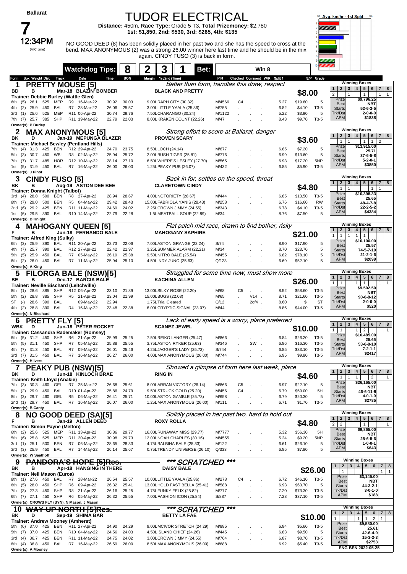### TUDOR ELECTRICAL

**Distance:** 450m, **Race Type:** Grade 5 T3, **Total Prizemoney:** \$2,780 **1st: \$1,850, 2nd: \$530, 3rd: \$265, 4th: \$135**

**7**<br>12:34PM (VIC time)

12:34PM NO GOOD DEED (8) has been solidly placed in her past two and she has the speed to cross at the bend. MAX ANONYMOUS (2) was a strong 26.00 winner here last time and he should be in the mix again. CINDY FUSO (3) is back in form.



|                                                                                 | <b>Watchdog Tips:</b>                     |                      | 8              | 3<br>2                                                   | Bet:                                             |                 |          | Win 8                       |              |                    |                   |                                                              |                                                                                                                                         |
|---------------------------------------------------------------------------------|-------------------------------------------|----------------------|----------------|----------------------------------------------------------|--------------------------------------------------|-----------------|----------|-----------------------------|--------------|--------------------|-------------------|--------------------------------------------------------------|-----------------------------------------------------------------------------------------------------------------------------------------|
| <b>Box Weight Dist</b><br><b>Track</b><br>Form                                  | Date                                      | Time                 | <b>BON</b>     | Margin 1st/2nd (Time)                                    |                                                  | PIR             |          | Checked Comment W/R Split 1 |              |                    | S/P Grade         |                                                              |                                                                                                                                         |
| -1                                                                              | <b>PRETTY MOUSE [5]</b>                   |                      |                |                                                          | Better than form, handles this draw, respect     |                 |          |                             |              |                    |                   | 1                                                            | <b>Winning Boxes</b><br>2 3 4 5 6<br>$7 \mid 8$                                                                                         |
| BD<br>в<br>Trainer: Debbie Burley (Wattle Glen)                                 | Mar-18 BLAZIN' BOMBER                     |                      |                | <b>BLACK AND PRETTY</b>                                  |                                                  |                 |          |                             |              | \$8.00             |                   | $\overline{2}$<br>$\mathbf{1}$                               | $\mathbf{1}$<br>1<br>$\overline{1}$                                                                                                     |
| 26.1<br>525<br>MEP<br>(5)<br>6th                                                | R9<br>16-Mar-22                           | 30.92                | 30.03          | 9.00LRAPH CITY (30.32)                                   |                                                  | M/4566          | C4       |                             | 5.27         | \$19.80            | 5                 | Prize<br>Best                                                | \$9,796.25<br><b>NBT</b>                                                                                                                |
| <b>BAL</b><br>4th<br>(2)<br>25.9<br>450                                         | R7 28-Mar-22                              | 26.06                | 25.57          | 3.00LLITTLE YAALA (25.86)                                |                                                  | M/755           |          |                             | 6.82         | \$4.10             | T3-5              | <b>Starts</b>                                                | $52 - 6 - 3 - 5$                                                                                                                        |
| 525<br>MEP<br>25.6<br>(1)<br>3rd                                                | R11 06-Apr-22                             | 30.74                | 29.76          | 7.50LCHARANGO (30.24)                                    |                                                  | M/1122          |          |                             | 5.22         | \$3.90             | 5                 | Trk/Dst<br><b>APM</b>                                        | $2 - 0 - 0 - 0$<br>\$1838                                                                                                               |
| SHP<br>7th (7) 25.7 385<br>Owner(s): P Burley                                   | R11 19-May-22                             | 22.79                | 22.03          | 8.00LKRAKEN COUNT (22.26)                                |                                                  | M/47            |          |                             | 8.43         | \$9.70             | T3-5              |                                                              |                                                                                                                                         |
| 2                                                                               | <b>MAX ANONYMOUS [5]</b>                  |                      |                |                                                          | Strong effort to score at Ballarat, danger       |                 |          |                             |              |                    |                   |                                                              | <b>Winning Boxes</b>                                                                                                                    |
| ΒK<br>D                                                                         | Jan-19 MEPUNGA BLAZER                     |                      |                | <b>PROVEN SCARY</b>                                      |                                                  |                 |          |                             |              | \$3.60             |                   | $\mathbf{2}$<br>$\mathbf{1}$<br>$\mathbf{1}$<br>$\mathbf{1}$ | $3 \mid 4 \mid$<br>5 <sup>1</sup><br>6<br>$7 \mid 8$<br>1<br>$\overline{1}$<br>$\overline{2}$                                           |
| Trainer: Michael Bewley (Pentland Hills)<br>$(4)$ 31.3<br>425<br>BEN<br>7th     | R12 29-Apr-22                             | 24.70                | 23.75          | 8.50LLOCH (24.14)                                        |                                                  | M/677           |          |                             | 6.85         | \$7.20             | 5                 | Prize                                                        | \$13,915.00                                                                                                                             |
| 30.7<br>450<br>WBL<br>(3)<br>5th                                                | R8 02-May-22                              | 25.94                | 25.72          | 2.00LBUSH TIGER (25.81)                                  |                                                  | M/776           |          |                             | 6.99         | \$13.60            | 5                 | <b>Best</b><br><b>Starts</b>                                 | 25.71<br>37-6-5-8                                                                                                                       |
| <b>HOR</b><br>31.7<br>485<br>7th<br>(7)                                         | R12 10-May-22                             | 28.14                | 27.10          | 6.50LWHERE'S LESLEY (27.70)                              |                                                  | M/565           |          |                             | 6.93         | \$17.20            | 5NP               | Trk/Dst                                                      | $5 - 2 - 0 - 1$                                                                                                                         |
| 1st (5) 31.9<br>450<br>BAL                                                      | R7 16-May-22                              | 26.00                | 26.00          | 1.25LPEAKY PUB (26.07)                                   |                                                  | M/432           |          |                             | 6.85         | \$5.90             | T3-5              | <b>APM</b>                                                   | \$3850                                                                                                                                  |
| Owner(s): J Pinot<br>3<br><b>CINDY FUSO [5]</b>                                 |                                           |                      |                |                                                          | Back in for, settles on the speed, threat        |                 |          |                             |              |                    |                   |                                                              | <b>Winning Boxes</b>                                                                                                                    |
| BK<br>в                                                                         | Aug-19 ASTON DEE BEE                      |                      |                | <b>CLARETOWN CINDY</b>                                   |                                                  |                 |          |                             |              |                    |                   | 1 <sup>1</sup>                                               | 2 3 4 5 6<br>$7 \mid 8$                                                                                                                 |
| Trainer: Donna Knight (Talbot)                                                  |                                           |                      |                |                                                          |                                                  |                 |          |                             |              | \$4.80             |                   | $\mathbf{1}$<br>$\mathbf{1}$<br>Prize                        | $\mathbf{1}$<br>$\mathbf{1}$<br>\$10,398.33                                                                                             |
| 28.8<br>500<br>BEN<br>3rd<br>(4)                                                | R8<br>27-Apr-22                           | 28.94                | 28.67          | 4.00LNOTORIETY (28.67)                                   |                                                  | M/444           |          |                             | 6.85         | \$13.50            | T3-5              | <b>Best</b>                                                  | 25.65                                                                                                                                   |
| <b>BEN</b><br>29.0<br>500<br>(7)<br>8th<br>425<br><b>BEN</b><br>2nd (6)<br>29.2 | R5 04-May-22<br>R11 11-May-22             | 29.42<br>24.69       | 28.43<br>24.02 | 15.00LFABRIOLA YANIS (28.43)<br>2.25LCROWN JIMMY (24.55) |                                                  | M/258<br>M/343  |          |                             | 6.76<br>6.78 | \$16.60<br>\$4.10  | <b>RW</b><br>T3-5 | <b>Starts</b><br>Trk/Dst                                     | 48-4-7-8<br>22-2-5-2                                                                                                                    |
| 1st (6) 29.5 390<br>BAL                                                         | R10 14-May-22                             | 22.79                | 22.28          | 1.5LMEATBALL SOUP (22.89)                                |                                                  | M/34            |          |                             | 8.76         | \$7.50             | 5                 | <b>APM</b>                                                   | \$4384                                                                                                                                  |
| Owner(s): D Knight                                                              |                                           |                      |                |                                                          |                                                  |                 |          |                             |              |                    |                   |                                                              |                                                                                                                                         |
|                                                                                 | <b>MAHOGANY QUEEN [5]</b>                 |                      |                |                                                          | Flat patch mid race, drawn to find bother, risky |                 |          |                             |              |                    |                   | 1<br>$\mathbf{2}$<br>3                                       | <b>Winning Boxes</b><br>4 <br>$5 \mid 6$<br>7 8                                                                                         |
| в<br>Trainer: Alfred King (Sulky)                                               | Jun-18 FERNANDO BALE                      |                      |                | <b>MAHOGANY SAPHIRE</b>                                  |                                                  |                 |          |                             |              | \$21.00            |                   | $\mathbf{1}$<br>$\overline{1}$<br>$\mathbf{1}$               | $\mathbf{1}$<br>$\overline{1}$                                                                                                          |
| BAL<br>6th<br>(3)<br>25.9<br>390                                                | R11 20-Apr-22                             | 22.73                | 22.06          | 7.00LASTON GRANGE (22.24)                                |                                                  | S/74            |          |                             | 8.90         | \$17.90            | 5                 | Prize<br><b>Best</b>                                         | \$10,100.00<br>25.57                                                                                                                    |
| 25.7<br>390<br>BAL<br>4th (7)                                                   | R12 27-Apr-22                             | 22.42                | 21.97          | 3.25LSUMMER ALARM (22.21)                                |                                                  | M/34            |          |                             | 8.70         | \$23.70            | 5                 | <b>Starts</b>                                                | 74-5-7-10                                                                                                                               |
| <b>BAL</b><br>(5)<br>25.9<br>450<br>5th<br>450<br>6th (2) 26.0<br>BAL           | R7 05-May-22<br>R7 11-May-22              | 26.19<br>25.94       | 25.38<br>25.10 | 9.50LNITRO BALE (25.54)<br>4.50LINDY JUNO (25.63)        |                                                  | M/455<br>Q/123  |          |                             | 6.82<br>6.69 | \$78.10<br>\$52.10 | 5<br>5            | Trk/Dst<br><b>APM</b>                                        | $21 - 2 - 1 - 6$<br>\$2099                                                                                                              |
| Owner(s): A King                                                                |                                           |                      |                |                                                          |                                                  |                 |          |                             |              |                    |                   |                                                              |                                                                                                                                         |
| 5                                                                               | <b>FILORGA BALE (NSW)[5]</b>              |                      |                |                                                          | Struggled for some time now, must show more      |                 |          |                             |              |                    |                   | $\mathbf{2}$<br>3                                            | <b>Winning Boxes</b>                                                                                                                    |
| BE<br>в                                                                         | Dec-17 BARCIA BALE                        |                      |                | <b>KACHINA ALLEN</b>                                     |                                                  |                 |          |                             |              | \$26.00            |                   | $\mathbf{1}$<br>1<br>$\overline{1}$                          | $5 \mid 6$<br>$7 \mid 8$<br>4 <br>$1 \mid$<br>$\overline{1}$<br>1 <sup>1</sup><br>$\overline{1}$                                        |
| Trainer: Neville Bischard (Leitchville)<br>8th (1) 28.6<br>385<br>SHP           | R12 06-Apr-22                             | 23.10                | 21.89          | 13.00LSILKY ROSE (22.20)                                 |                                                  | M/68            | C5       | $\sim$                      | 8.52         | \$58.60            | T3-5              | Prize                                                        | \$9,502.50                                                                                                                              |
| SHP<br>385<br>(2)<br>28.8<br>5th                                                | R5 21-Apr-22                              | 23.04                | 21.99          | 15.00LBUGS (22.03)                                       |                                                  | M/65            |          | $V14$ .                     | 8.71         | \$21.60            | $T3-5$            | <b>Best</b><br><b>Starts</b>                                 | NBT<br>$90 - 6 - 8 - 12$                                                                                                                |
| <b>BAL</b><br>$(-)$<br>28.6<br>390<br>ST                                        | 09-May-22                                 | 22.94                |                | 1.75LTrial Cleared                                       |                                                  | Q/12            |          | 2of4.                       | 8.60         | \$.                | <b>ST</b>         | Trk/Dst<br><b>APM</b>                                        | $2 - 0 - 0 - 0$<br>\$520                                                                                                                |
| <b>BAL</b><br>4th (2) 28.8 390<br>Owner(s): N Bischard                          | R4 16-May-22                              | 23.48                | 22.38          | 6.00LCRYPTIC SIGNAL (23.07)                              |                                                  | M/44            |          |                             | 8.86         | \$44.00            | $T3-5$            |                                                              |                                                                                                                                         |
| <b>PRETTY FLY [5]</b><br>b                                                      |                                           |                      |                |                                                          | Lack of early speed is a worry, place preferred  |                 |          |                             |              |                    |                   |                                                              | <b>Winning Boxes</b>                                                                                                                    |
| WBK<br>D                                                                        | Jun-18 PETER ROCKET                       |                      |                | <b>SCANEZ JEWEL</b>                                      |                                                  |                 |          |                             |              | \$10.00            |                   | $\mathbf{2}$<br>3<br>1<br>$\mathbf{1}$<br>$\mathbf{1}$       | 4<br>5 <br>6<br>7 8<br>$\overline{2}$<br>$\mathbf{1}$<br>$\mathbf{1}$                                                                   |
| Trainer: Cassandra Rademaker (Romsey)                                           |                                           |                      |                |                                                          |                                                  |                 |          |                             |              |                    |                   | Prize                                                        | \$10,485.00                                                                                                                             |
| SHP<br>6th<br>(5)<br>31.2<br>450<br><b>SHP</b><br>31.1<br>450<br>(5)<br>5th     | R6<br>21-Apr-22<br>R7 05-May-22           | 25.99<br>25.88       | 25.25<br>25.55 | 7.50LREIKO LANGER (25.47)<br>3.75LASTON RYKER (25.63)    |                                                  | M/866<br>M/346  |          | SW.                         | 6.84<br>6.86 | \$26.20<br>\$16.30 | T3-5<br>T3-5      | <b>Best</b><br><b>Starts</b>                                 | 25.65<br>53-6-8-10                                                                                                                      |
| <b>BAL</b><br>(7)<br>31.3<br>450<br>4th                                         | R7<br>09-May-22                           | 26.01                | 25.46          | 4.25LJAGGER'S LADY (25.73)                               |                                                  | S/744           |          |                             | 6.85         | \$33.10            | $T3-5$            | Trk/Dst                                                      | $7 - 2 - 1 - 1$                                                                                                                         |
| BAL<br>3rd (7) 31.5<br>450                                                      | R7 16-May-22                              | 26.27                | 26.00          | 4.00LMAX ANONYMOUS (26.00)                               |                                                  | M/744           |          |                             | 6.95         | \$9.80             | $T3-5$            | <b>APM</b>                                                   | \$2417                                                                                                                                  |
| Owner(s): H Ivers<br>7                                                          | <b>PEAKY PUB (NSW)[5]</b>                 |                      |                |                                                          | Showed a glimpse of form here last week, place   |                 |          |                             |              |                    |                   |                                                              | <b>Winning Boxes</b>                                                                                                                    |
| D<br>ΒK                                                                         | Jun-18 KINLOCH BRAE                       |                      |                | <b>RING IN</b>                                           |                                                  |                 |          |                             |              | \$4.60             |                   |                                                              | 12345678                                                                                                                                |
| Trainer: Keith Lloyd (Anakie)                                                   |                                           |                      |                |                                                          |                                                  |                 |          |                             |              |                    |                   | $\mathbf{1}$<br>$\mathbf{1}$<br>Prize                        | $\mathbf{1}$<br>$\mathbf{1}$<br>$\overline{c}$<br>\$26,165.00                                                                           |
| 7th (3)<br>30.3<br>460<br>GEL<br>(2)<br>29.9<br>450<br>BAL<br>5th               | R7 25-Mar-22<br>R10 01-Apr-22             | 26.68<br>25.86       | 25.61<br>24.79 | 8.00LARRAN VICTORY (26.14)<br>9.50LSTRUCK GOLD (25.20)   |                                                  | M/866<br>M/456  | C5<br>C4 |                             | 6.97<br>6.79 | \$22.10<br>\$59.00 | 5<br>5H           | <b>Best</b><br><b>Starts</b>                                 | NBT<br>46-6-11-9                                                                                                                        |
| 460<br>GEL<br>8th (3) 29.7                                                      | R5 06-May-22                              | 26.41                | 25.71          | 10.00LASTON GAMBLE (25.73)                               |                                                  | M/658           |          |                             | 6.79         | \$20.30            | 5                 | Trk/Dst                                                      | 4-0-1-0                                                                                                                                 |
| 2nd (1) 29.7 450 BAL                                                            | R7 16-May-22                              | 26.07                | 26.00          | 1.25LMAX ANONYMOUS (26.00)                               |                                                  | M/111           |          |                             | 6.71         | \$1.70             | T3-5              | <b>APM</b>                                                   | \$2785                                                                                                                                  |
| Owner(s): B Canty                                                               |                                           |                      |                |                                                          |                                                  |                 |          |                             |              |                    |                   |                                                              | <b>Winning Boxes</b>                                                                                                                    |
| 8<br>в                                                                          | NO GOOD DEED (SA)[5]<br>Jan-19 ALLEN DEED |                      |                | <b>ROXY ROLLA</b>                                        | Solidly placed in her past two, hard to hold out |                 |          |                             |              |                    |                   | $\mathbf{2}$<br>3 <sup>1</sup><br>$\mathbf{1}$               | 4<br>5 <br>6<br>7 <sup>1</sup><br>8                                                                                                     |
| <b>Trainer: Simon Payne (Melton)</b>                                            |                                           |                      |                |                                                          |                                                  |                 |          |                             |              | \$4.80             |                   | $\overline{2}$<br>$\overline{2}$                             | $\mathbf{1}$<br>$\mathbf{1}$                                                                                                            |
| $(2)$ 25.6<br>525<br>MEP<br>6th                                                 | R11 13-Apr-22                             | 30.86                | 29.77          | 16.00LRUNAWAY MISS (29.77)                               |                                                  | M/7777          |          |                             | 5.32         | \$56.30            | 5H                | Prize<br><b>Best</b>                                         | \$9,865.00<br>NBT                                                                                                                       |
| 5th (6) 25.8<br>525<br>MEP<br>$(1)$ 25.1 500<br>BEN<br>3rd                      | R11 20-Apr-22<br>R7 06-May-22             | 30.98<br>28.65       | 29.73<br>28.33 | 12.00LNOAH CHARLES (30.16)<br>4.75LBALBINA BALE (28.33)  |                                                  | M/4555<br>M/122 |          |                             | 5.24<br>6.61 | \$9.20<br>\$26.10  | 5NP<br>5          | <b>Starts</b><br>Trk/Dst                                     | 25-6-5-6<br>$1 - 0 - 0 - 1$                                                                                                             |
| 3rd (3) 25.9 450<br><b>BAL</b>                                                  | R7 14-May-22                              | 26.14                | 25.67          | 0.75LTRENDY UNIVERSE (26.10)                             |                                                  | Q/333           |          |                             | 6.85         | \$7.80             | 5                 | <b>APM</b>                                                   | \$643                                                                                                                                   |
| Owner(s): W Saathoff                                                            |                                           |                      |                |                                                          |                                                  |                 |          |                             |              |                    |                   |                                                              |                                                                                                                                         |
| 9                                                                               | <b>PANDORA'S HOPE [5]Res.</b>             |                      |                |                                                          | *** SCRATCHED                                    | ***             |          |                             |              |                    |                   | $\mathbf{1}$<br>$\overline{2}$<br>3                          | <b>Winning Boxes</b><br>$5 \mid 6$<br>4 <br>$\overline{7}$<br>8                                                                         |
| ΒK<br>в<br>Trainer: Neil Mason (Euroa)                                          | Apr-18 HANGING IN THERE                   |                      |                | <b>DAISY BALE</b>                                        |                                                  |                 |          |                             |              |                    | \$26.00           | $\mathbf{1}$                                                 | $\overline{1}$<br>$\mathbf{1}$                                                                                                          |
| 450<br>BAL<br>8th (1) 27.6                                                      | R7<br>28-Mar-22                           | 26.54                | 25.57          | 10.00LLITTLE YAALA (25.86)                               |                                                  | M/278           | C4       |                             | 6.72         | \$46.10            | T3-5              | Prize<br><b>Best</b>                                         | \$3,145.00<br>NBT                                                                                                                       |
| (5)<br>28.0<br>450<br>SHP<br>8th                                                | R6<br>09-Apr-22                           | 26.32                | 25.41          | 13.00LHOLD FAST BELLA (25.41)                            |                                                  | M/588           |          |                             | 6.93         | \$63.70            | 5                 | <b>Starts</b>                                                | 44-3-2-1                                                                                                                                |
| SHP<br>7th (3) 27.3<br>450<br>6th (7) 27.1 450 SHP                              | R8<br>21-Apr-22<br>R6 05-May-22           | 26.16<br>26.32 25.55 | 25.25          | 4.75LFUNKY FELIX (25.82)<br>7.00LFASHION ICON (25.84)    |                                                  | M/777<br>S/887  |          |                             | 7.20<br>7.28 | \$73.30<br>\$37.10 | T3-5<br>$T3-5$    | Trk/Dst<br><b>APM</b>                                        | $3 - 0 - 1 - 0$<br>\$188                                                                                                                |
| Owner(s): CROWS FLY (SYN), N Mason, J Mason                                     |                                           |                      |                |                                                          |                                                  |                 |          |                             |              |                    |                   |                                                              |                                                                                                                                         |
| 10                                                                              | WAY UP NORTH [5]Res.                      |                      |                |                                                          | *** SCRATCHED                                    | $***$           |          |                             |              |                    |                   | $\mathbf{1}$<br>$\mathbf{2}$<br>3                            | <b>Winning Boxes</b>                                                                                                                    |
| ΒK<br>D                                                                         | Sep-19 SHIMA BAR                          |                      |                | <b>BETTY LA FAE</b>                                      |                                                  |                 |          |                             |              |                    | \$10.00           | $\mathbf{1}$                                                 | $\overline{\mathbf{4}}$<br>5 <sub>5</sub><br>$\overline{7}$<br>6<br>8<br>$\mathbf{1}$<br>$\mathbf{1}$<br>$\overline{2}$<br>$\mathbf{1}$ |
| <b>Trainer: Andrew Mooney (Amherst)</b><br>425<br>BEN<br>5th<br>(6)<br>37.0     | R11 27-Apr-22                             | 24.90                | 24.29          | 9.00LMCIVOR STRETCH (24.29)                              |                                                  | M/885           |          |                             | 6.84         | \$5.60             | T3-5              | Prize                                                        | \$9,580.00                                                                                                                              |
| 37.0<br>425<br>BEN<br>5th (7)                                                   | R10 04-May-22                             | 24.56                | 24.03          | 4.50LISLAND CHIEF (24.26)                                |                                                  | M/445           |          |                             | 6.83         | \$9.50             | 5                 | <b>Best</b><br><b>Starts</b>                                 | 25.61<br>42-6-4-9                                                                                                                       |
| <b>BEN</b><br>(4)<br>36.7<br>425<br>3rd                                         | R11 11-May-22                             | 24.75                | 24.02          | 3.00LCROWN JIMMY (24.55)                                 |                                                  | M/764           |          |                             | 6.87         | \$8.70             | T3-5              | Trk/Dst                                                      | $15 - 3 - 2 - 3$                                                                                                                        |
| 8th (4) 36.8<br>450<br><b>BAL</b>                                               | R7 16-May-22                              | 26.59                | 26.00          | 8.50LMAX ANONYMOUS (26.00)                               |                                                  | M/688           |          |                             | 6.92         | \$5.40             | T3-5              | <b>APM</b>                                                   | \$2753                                                                                                                                  |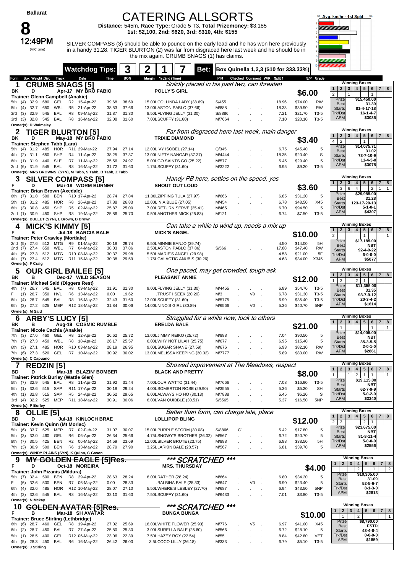| allarat |
|---------|
|---------|

### CATERING ALLSORTS

**Distance:** 545m, **Race Type:** Grade 5 T3, **Total Prizemoney:** \$3,185 **1st: \$2,100, 2nd: \$620, 3rd: \$310, 4th: \$155**

**Owner(s): J Stirling**

12:49PM SILVER COMPASS (3) should be able to pounce on the early lead and he has won here previously in a handy 31.28. TIGER BLURTON (2) was far from disgraced here last week and he should be in the mix again. CRUMB SNAGS (1) has claims.



|                                                                       | <b>Watchdog Tips:</b>                       |                | 3              | 2 |                                                            |                  |                |        |                                 |              | Bet: Box Quinella 1,2,3 (\$10 for 333.33%) |                   |                                  |                                                                                                                      |
|-----------------------------------------------------------------------|---------------------------------------------|----------------|----------------|---|------------------------------------------------------------|------------------|----------------|--------|---------------------------------|--------------|--------------------------------------------|-------------------|----------------------------------|----------------------------------------------------------------------------------------------------------------------|
| <b>Box Weight Dist Track</b><br>Form                                  | Date                                        | Time           | <b>BON</b>     |   | Margin 1st/2nd (Time)                                      |                  |                |        | PIR Checked Comment W/R Split 1 |              |                                            | S/P Grade         |                                  |                                                                                                                      |
| <b>CRUMB SNAGS [5]</b><br>1                                           |                                             |                |                |   | Solidly placed in his past two, can threaten               |                  |                |        |                                 |              |                                            |                   |                                  | <b>Winning Boxes</b>                                                                                                 |
| BK<br>D                                                               | Apr-17 MY BRO FABIO                         |                |                |   | <b>POLLY'S GIRL</b>                                        |                  |                |        |                                 |              | \$6.00                                     |                   | $\mathbf{1}$                     | 2   3   4   5   6   7   8<br>$\mathbf{1}$                                                                            |
| Trainer: Glenn Campbell (Anakie)                                      |                                             |                |                |   |                                                            |                  |                |        |                                 |              |                                            |                   | $\overline{2}$<br>Prize          | \$15,450.00                                                                                                          |
| 32.9<br>680<br>GEL<br>(4)<br>5th                                      | R2 15-Apr-22                                | 39.68          | 38.69          |   | 15.00LCOLLINDA LADY (38.69)                                | S/455            |                |        |                                 | 18.96        | \$74.00                                    | <b>RW</b>         | <b>Best</b>                      | 31.39                                                                                                                |
| (4)<br>32.7<br>650<br>WBL<br>8th                                      | R5<br>21-Apr-22                             | 38.53          | 37.66          |   | 13.00LASTON PABLO (37.66)                                  | M/888            |                |        |                                 | 18.33        | \$39.90                                    | <b>RW</b>         | <b>Starts</b><br>Trk/Dst         | 81-4-17-18                                                                                                           |
| <b>BAL</b><br>(3)<br>32.9<br>545<br>3rd<br>32.8 545<br>BAL<br>3rd (3) | R <sub>8</sub><br>09-May-22<br>R8 16-May-22 | 31.87<br>32.08 | 31.30<br>31.60 |   | 8.50LFLYING JELLY (31.30)<br>7.00LSCUFFY (31.60)           | S/8886<br>M/7664 |                |        |                                 | 7.21<br>7.10 | \$21.70<br>\$20.10                         | T3-5<br>$T3-5$    | <b>APM</b>                       | 16-1-4-7<br>\$3035                                                                                                   |
| Owner(s): D Walmsley                                                  |                                             |                |                |   |                                                            |                  |                |        |                                 |              |                                            |                   |                                  |                                                                                                                      |
| 2                                                                     | <b>TIGER BLURTON [5]</b>                    |                |                |   | Far from disgraced here last week, main danger             |                  |                |        |                                 |              |                                            |                   |                                  | <b>Winning Boxes</b>                                                                                                 |
| D<br>ΒK                                                               | May-18 MY BRO FABIO                         |                |                |   | <b>TRIXIE DIAMOND</b>                                      |                  |                |        |                                 |              |                                            |                   | $\overline{2}$<br>$\mathbf{1}$   | 4<br>$5 \mid 6 \mid 7$<br>$3^{\circ}$<br>8                                                                           |
| Trainer: Stephen Tabb (Lara)                                          |                                             |                |                |   |                                                            |                  |                |        |                                 |              | \$3.40                                     |                   | $\overline{2}$<br>$\overline{4}$ | $\mathbf{1}$                                                                                                         |
| $(4)$ 31.2<br>485<br>HOR<br>5th                                       | R11 29-Mar-22                               | 27.94          | 27.14          |   | 12.00LIVY ISOBEL (27.14)                                   | Q/345            |                |        |                                 | 6.75         | \$45.40                                    | 5                 | Prize<br><b>Best</b>             | \$14.075.71<br>31.02                                                                                                 |
| (2)<br>31.1<br>650<br>SHP<br>4th                                      | R4 11-Apr-22                                | 38.25          | 37.37          |   | 13.00LNIFTY NANGAR (37.37)                                 | M/4444           |                |        |                                 | 18.35        | \$20.40                                    | S                 | <b>Starts</b>                    | 73-7-10-9                                                                                                            |
| <b>SLE</b><br>31.9<br>440<br>6th<br>(1)                               | R7 11-May-22                                | 25.56          | 24.97          |   | 5.00LGO SAINTS GO (25.22)                                  | M/577            |                |        |                                 | 5.45         | \$29.40                                    | 5                 | Trk/Dst                          | $11 - 4 - 3 - 0$                                                                                                     |
| 2nd (6)<br>31.9 545<br>BAL                                            | R8 16-May-22                                | 31.72          | 31.60          |   | 1.75LSCUFFY (31.60)                                        | M/3222           |                |        |                                 | 6.95         | \$9.20                                     | T3-5              | <b>APM</b>                       | \$3078                                                                                                               |
| Owner(s): MRS BROWNS (SYN), M Tabb, S Tabb, B Tabb, Z Tabb            |                                             |                |                |   |                                                            |                  |                |        |                                 |              |                                            |                   |                                  | <b>Winning Boxes</b>                                                                                                 |
| 3                                                                     | <b>SILVER COMPASS [5]</b>                   |                |                |   | Handy PB here, settles on the speed, yes                   |                  |                |        |                                 |              |                                            |                   | $\mathbf{1}$                     | 2 3 4 5 6<br>$\overline{7}$<br>8                                                                                     |
| D                                                                     | Mar-18 WORM BURNER                          |                |                |   | <b>SHOUT OUT LOUD</b>                                      |                  |                |        |                                 |              | \$3.60                                     |                   | 3                                | $\overline{2}$<br>$\mathbf{1}$<br>6<br>$\overline{4}$<br>1                                                           |
| Trainer: Brian Brown (Axedale)<br>500<br>BEN<br>31.8<br>6th (7)       | R10 17-Apr-22                               | 28.74          | 27.84          |   | 11.00LZIPPING TULA (27.97)                                 | M/666            |                |        |                                 | 6.85         | \$31.20                                    | 5                 | Prize                            | \$29,985.00                                                                                                          |
| 31.2<br>485<br>HOR<br>5th<br>(1)                                      | R8 26-Apr-22                                | 27.88          | 26.83          |   | 12.00LIN A BLUE (27.05)                                    | M/454            |                |        |                                 | 6.78         | \$48.50                                    | X45               | <b>Best</b><br><b>Starts</b>     | 31.28<br>123-17-20-13                                                                                                |
| SHP<br>(3)<br>30.8<br>450<br>6th                                      | R5 02-May-22                                | 25.87          | 25.00          |   | 7.00LRETURN SERVE (25.41)                                  | M/465            |                |        |                                 | 6.70         | \$94.50                                    | 5                 | Trk/Dst                          | $5 - 1 - 0 - 1$                                                                                                      |
| 2nd (1) 30.9 450 SHP                                                  | R8 19-May-22                                | 25.86          | 25.70          |   | 0.50LANOTHER MICK (25.83)                                  | M/121            |                |        |                                 | 6.74         | \$7.50                                     | T3-5              | <b>APM</b>                       | \$4307                                                                                                               |
| Owner(s): BULLET (SYN), L Brown, B Brown                              |                                             |                |                |   |                                                            |                  |                |        |                                 |              |                                            |                   |                                  |                                                                                                                      |
| <b>MICK'S KIMMY [5]</b>                                               |                                             |                |                |   | Can take a while to wind up, needs a mix up                |                  |                |        |                                 |              |                                            |                   |                                  | <b>Winning Boxes</b>                                                                                                 |
| в                                                                     | Jul-18 BARCIA BALE                          |                |                |   | <b>MICK'S ANGEL</b>                                        |                  |                |        |                                 |              | \$10.00                                    |                   | $\mathbf{1}$<br>2 <sup>1</sup>   | $5 \mid 6 \mid 7$<br>3 <sup>1</sup><br>4 <sup>1</sup><br>8                                                           |
| Trainer: Peter Crawley (Mortlake)                                     |                                             |                |                |   |                                                            |                  |                |        |                                 |              |                                            |                   | $\overline{2}$<br>Prize          | $\mathbf{1}$<br>$\mathbf{1}$<br>\$17,185.00                                                                          |
| 27.6<br>512<br>MTG<br>2nd<br>(5)                                      | R9<br>01-May-22                             | 30.18          | 29.74          |   | 6.50LMINNIE BANJO (29.74)                                  |                  |                |        |                                 | 4.50         | \$14.00                                    | 5H                | <b>Best</b>                      | NBT                                                                                                                  |
| (7)<br>27.4<br>650<br>WBL<br>2nd<br>27.3<br>MTG                       | R7 04-May-22<br>R10 08-May-22               | 38.03          | 37.86<br>29.98 |   | 2.50LASTON PABLO (37.86)                                   | S/566            |                |        |                                 | 17.88        | \$47.40<br>\$21.00                         | <b>RW</b><br>5F   | <b>Starts</b>                    | 92-4-9-22                                                                                                            |
| 512<br>(5)<br>4th<br>(7) 27.4 512 MTG<br>4th                          | R11 15-May-22                               | 30.37<br>30.38 | 29.59          |   | 5.50LMARIE'S ANGEL (29.98)<br>1.75LGALACTIC ANUBIS (30.26) |                  |                |        |                                 | 4.58<br>4.63 | \$34.00                                    | X345              | Trk/Dst<br><b>APM</b>            | $6 - 0 - 0 - 0$<br>\$5077                                                                                            |
| Owner(s): F Craig                                                     |                                             |                |                |   |                                                            |                  |                |        |                                 |              |                                            |                   |                                  |                                                                                                                      |
| 5                                                                     | <b>OUR GIRL BAILEE [5]</b>                  |                |                |   | One paced, may get crowded, tough ask                      |                  |                |        |                                 |              |                                            |                   |                                  | <b>Winning Boxes</b>                                                                                                 |
| в<br>ΒK                                                               | Dec-17 WILD SEASON                          |                |                |   | <b>PLEASANT ANNIE</b>                                      |                  |                |        |                                 |              | \$12.00                                    |                   | $\mathbf{2}$<br>$\mathbf{1}$     | $5 \mid 6 \mid 7$<br>$3^{\circ}$<br>$4 \mid$                                                                         |
| Trainer: Michael Said (Diggers Rest)                                  |                                             |                |                |   |                                                            |                  |                |        |                                 |              |                                            |                   | 3                                | $\overline{2}$<br>$\mathbf{1}$                                                                                       |
| BAL<br>4th<br>(7)<br>26.7<br>545                                      | 09-May-22<br>R8                             | 31.91          | 31.30          |   | 9.00LFLYING JELLY (31.30)                                  | M/4455           |                |        |                                 | 6.89         | \$54.70                                    | T3-5              | Prize<br><b>Best</b>             | \$11,355.00<br>31.35                                                                                                 |
| 26.7<br>350<br>HVL<br>(1)                                             | 13-May-22<br>R6                             | 0.00           | 19.62          |   | .TRUST I SEEK (20.20)                                      | M/3              |                | V0     |                                 | 6.78         | \$31.30                                    | $T3-5$            | <b>Starts</b>                    | 93-7-9-12                                                                                                            |
| BAL<br>6th (4)<br>26.7<br>545                                         | R8 16-May-22                                | 32.43          | 31.60          |   | 12.00LSCUFFY (31.60)                                       | M/5775           |                |        |                                 | 6.99         | \$35.40                                    | $T3-5$            | Trk/Dst<br><b>APM</b>            | $20 - 3 - 4 - 2$<br>\$1614                                                                                           |
| 6th (2) 27.2 525<br>MEP                                               | R12 18-May-22                               | 31.84          | 30.06          |   | 14.00LNINO'S GIRL (30.89)                                  | M/6566           |                | V0     |                                 | 5.36         | \$40.70                                    | 5NP               |                                  |                                                                                                                      |
| Owner(s): M Said                                                      |                                             |                |                |   |                                                            |                  |                |        |                                 |              |                                            |                   |                                  | <b>Winning Boxes</b>                                                                                                 |
| 6<br><b>ARBY'S LUCY [5]</b>                                           |                                             |                |                |   | Struggled for a while now, look to others                  |                  |                |        |                                 |              |                                            |                   | 1<br>2 <sup>1</sup>              | $5 \mid 6$<br>$\overline{7}$<br>$3^{\circ}$<br>4 <br>8                                                               |
| ΒK<br>в                                                               | Aug-19 COSMIC RUMBLE                        |                |                |   | <b>ERELDA BALE</b>                                         |                  |                |        |                                 |              | \$21.00                                    |                   | $\mathbf{1}$                     | $\mathbf{1}$<br>$\overline{1}$                                                                                       |
| Trainer: Nicole Cachia (Anakie)<br>460<br>GEL<br>7th<br>(3)<br>27.6   | R8<br>12-Apr-22                             | 26.62          | 25.72          |   | 13.00LJIMMY REIKO (25.72)                                  | M/888            |                |        |                                 | 7.04         | \$90.50                                    | 5                 | Prize                            | \$14,005.00                                                                                                          |
| WBL<br>27.3<br>450<br>7th<br>(7)                                      | 18-Apr-22<br>R8                             | 26.17          | 25.57          |   | 6.00LWHY NOT LILAH (25.75)                                 | M/677            |                |        |                                 | 6.95         | \$15.40                                    | 5                 | <b>Best</b><br><b>Starts</b>     | NBT<br>$35 - 3 - 5 - 5$                                                                                              |
| 485<br><b>HOR</b><br>6th (3) 27.1                                     | R10 03-May-22                               | 28.19          | 26.95          |   | 9.00LSUGAR SHANE (27.59)                                   | M/676            |                |        |                                 | 6.93         | \$82.10                                    | <b>RW</b>         | Trk/Dst                          | $2 - 0 - 1 - 0$                                                                                                      |
| 7th (6) 27.3 520<br>GEL                                               | R7 10-May-22                                | 30.92          | 30.02          |   | 13.00LMELISSA KEEPING (30.02)                              | M/7777           |                |        |                                 | 5.89         | \$83.00                                    | <b>RW</b>         | <b>APM</b>                       | \$2861                                                                                                               |
| Owner(s): C Capuano                                                   |                                             |                |                |   |                                                            |                  |                |        |                                 |              |                                            |                   |                                  |                                                                                                                      |
| <b>REDZIN</b> [5]                                                     |                                             |                |                |   | Showed improvement at The Meadows, respect                 |                  |                |        |                                 |              |                                            |                   |                                  | <b>Winning Boxes</b>                                                                                                 |
| вυ<br>υ                                                               | Mar-18 BLAZIN' BOMBER                       |                |                |   | <b>BLACK AND PRETTY</b>                                    |                  |                |        |                                 |              | \$8.00                                     |                   | $\mathbf{1}$                     | $1 \mid 2 \mid 3 \mid 4 \mid 5 \mid 6 \mid 7 \mid 8$<br>$\overline{2}$<br>$\mathbf{1}$<br>$1 \mid 1$<br>$\mathbf{1}$ |
| Trainer: Patrick Burley (Wattle Glen)                                 |                                             |                |                |   |                                                            |                  |                |        |                                 |              |                                            |                   | Prize                            | \$19,115.00                                                                                                          |
| 5th (7) 32.9 545<br>BAL<br>5th (1) 32.6 515<br>SAP                    | R8 11-Apr-22<br>R11 17-Apr-22               | 31.92          | 31.44<br>29.24 |   | 7.00LOUR WATTO (31.44)<br>4.00LSOMERTON ROSE (29.90)       | M/7666<br>M/3555 |                |        |                                 | 7.08         | \$16.90<br>\$5.20                          | T3-5<br><b>SH</b> | <b>Best</b>                      | NBT                                                                                                                  |
| 4th (1) 32.8 515<br>SAP                                               | R5 24-Apr-22                                | 30.18<br>30.52 | 29.65          |   | 6.00LALWAYS HO HO (30.13)                                  | M/7888           |                |        |                                 | 5.36<br>5.45 | \$5.20                                     | S                 | <b>Starts</b><br>Trk/Dst         | 62-7-9-9<br>$5 - 0 - 2 - 0$                                                                                          |
| 3rd (4) 32.2 525<br>MEP                                               | R11 18-May-22                               | 30.91          | 30.06          |   | 6.00LVAN QUIBBLE (30.51)                                   | S/5565           |                |        |                                 | 5.37         | \$16.50                                    | 5NP               | <b>APM</b>                       | \$3340                                                                                                               |
| Owner(s): P Burley                                                    |                                             |                |                |   |                                                            |                  |                |        |                                 |              |                                            |                   |                                  |                                                                                                                      |
| 8<br>OLLIE [5]                                                        |                                             |                |                |   | Better than form, can charge late, place                   |                  |                |        |                                 |              |                                            |                   |                                  | <b>Winning Boxes</b>                                                                                                 |
| BD<br>D                                                               | Jul-18 KINLOCH BRAE                         |                |                |   | <b>LOLLIPOP BLING</b>                                      |                  |                |        |                                 |              |                                            |                   | 2 <sup>1</sup><br>$\mathbf{1}$   | $3^{\circ}$<br>5   6   7   8<br>4                                                                                    |
| Trainer: Kevin Quinn (Mt Moriac)                                      |                                             |                |                |   |                                                            |                  |                |        |                                 |              | \$12.00                                    |                   | $\overline{2}$<br>3<br>Prize     | $2 \mid 1$<br>\$23,675.00                                                                                            |
| 33.7 525<br>MEP<br>5th<br>(6)                                         | R7 02-Feb-22                                | 31.07          | 30.07          |   | 15.00LPURPLE STORM (30.08)                                 | S/8866           | C <sub>1</sub> | $\sim$ |                                 | 5.42         | \$17.80                                    | 5                 | <b>Best</b>                      | NBT                                                                                                                  |
| (3)<br>32.0<br>460<br>GEL<br>5th                                      | R6 06-Apr-22                                | 26.34          | 25.66          |   | 4.75LSNOWY'S BROTHER (26.02)                               | M/567            |                |        |                                 | 6.72         | \$20.70                                    | 5                 | <b>Starts</b>                    | $81 - 8 - 11 - 4$                                                                                                    |
| 8th (7) 30.5 425<br>BEN                                               | R2 06-May-22                                | 24.59          | 23.69          |   | 12.00LSILVER BRUTE (23.75)                                 | M/888            |                |        |                                 | 6.88         | \$38.50                                    | 5H                | Trk/Dst<br><b>APM</b>            | $5 - 0 - 0 - 0$<br>\$2556                                                                                            |
| 7th (3) 30.9 500 BEN                                                  | R6 13-May-22                                | 28.79          | 27.90          |   | 3.25LLARKIN BALE (28.57)                                   | M/567            |                |        |                                 | 6.81         | \$39.70                                    | 5                 |                                  |                                                                                                                      |
| Owner(s): WINDY PLAINS (SYN), K Quinn, C Gason                        |                                             |                |                |   |                                                            | ***              |                |        |                                 |              |                                            |                   |                                  | <b>Winning Boxes</b>                                                                                                 |
| 9<br>F<br>D                                                           | <b>MY GOLDEN EAGLE [5]Res.</b>              |                |                |   | *** SCRATCHED                                              |                  |                |        |                                 |              |                                            |                   | $\overline{2}$<br>1              | 5 <sub>1</sub><br>3<br>4 <br>6 <sup>1</sup><br>7 <sup>1</sup><br>8                                                   |
| Trainer: John Pizanis (Mildura)                                       | Oct-18 MOREIRA                              |                |                |   | <b>MRS. THURSDAY</b>                                       |                  |                |        |                                 |              |                                            | \$4.00            |                                  | $\overline{2}$<br>$\overline{2}$<br>$\mathbf{1}$                                                                     |
| 32.4<br>500<br>BEN<br>5th<br>(7)                                      | R8 29-Apr-22                                | 28.63          | 28.24          |   | 6.00LRATHER (28.24)                                        | M/664            |                |        |                                 | 6.80         | \$34.20                                    | 5                 | Prize                            | \$10,305.00                                                                                                          |
| (6)<br>32.6<br>500<br>BEN                                             | R7 06-May-22                                | 0.00           | 28.33          |   | BALBINA BALE (28.33).                                      | M/647            |                | V0     |                                 | 6.90         | \$23.40                                    | 5                 | <b>Best</b><br><b>Starts</b>     | 31.09<br>52-5-6-7                                                                                                    |
| 485<br>HOR<br>32.6<br>6th (4)                                         | R12 10-May-22                               | 28.07          | 27.10          |   | 5.50LWHERE'S LESLEY (27.70)                                | M/687            |                |        |                                 | 6.94         | \$43.50                                    | 5NP               | Trk/Dst                          | $8 - 1 - 3 - 0$                                                                                                      |
| 4th (2) 32.6 545<br>BAL                                               | R8 16-May-22                                | 32.10          | 31.60          |   | 7.50LSCUFFY (31.60)                                        | M/6433           |                |        |                                 | 7.01         | \$3.80                                     | T3-5              | <b>APM</b>                       | \$2813                                                                                                               |
| Owner(s): N Mckay                                                     |                                             |                |                |   |                                                            |                  |                |        |                                 |              |                                            |                   |                                  |                                                                                                                      |
| 10                                                                    | <del>GOLDEN AVATAR [5]Res.</del>            |                |                |   | *** SCRATCHED                                              | ***              |                |        |                                 |              |                                            |                   | $\mathbf{1}$<br>$\mathbf{2}$     | <b>Winning Boxes</b><br>5 <br>3<br>4 <br>6 <sup>1</sup><br>7 <br>8                                                   |
| F<br>в                                                                | Mar-18 SH AVATAR                            |                |                |   | <b>BUNGA BUNGA</b>                                         |                  |                |        |                                 |              |                                            | \$10.00           | $\mathbf{1}$                     | $\overline{c}$<br>$\mathbf{1}$                                                                                       |
| Trainer: Bruce Stirling (Lethbridge)                                  |                                             |                |                |   |                                                            |                  |                |        |                                 |              |                                            |                   | Prize                            | \$8,790.00                                                                                                           |
| 6th (6)<br>28.7<br>460<br>GEL<br>6th (2) 28.7<br>450<br>BAL           | 19-Apr-22<br>R8<br>R7 27-Apr-22             | 27.02<br>25.80 | 25.69<br>25.30 |   | 16.00LWHITE FLOWER (25.93)<br>3.00LSURELLA BALE (25.60)    | M/776<br>M/566   |                | V5     |                                 | 6.97<br>6.72 | \$41.00<br>\$28.10                         | X45<br>5          | <b>Best</b>                      | <b>FSTD</b>                                                                                                          |
| 5th (1) 28.5<br>400<br>GEL                                            | R12 06-May-22                               | 23.06          | 22.39          |   | 7.50LHAZEY ROY (22.54)                                     | M/55             |                |        |                                 | 8.84         | \$42.80                                    | <b>VET</b>        | <b>Starts</b><br>Trk/Dst         | 43-4-8-4<br>$0 - 0 - 0 - 0$                                                                                          |
| 4th (5) 28.3 450<br>BAL                                               | R6 16-May-22                                | 26.42          | 26.00          |   | 3.5LCOCO LILLY (26.18)                                     | M/333            |                |        |                                 | 6.79         | \$5.10                                     | T3-5              | <b>APM</b>                       | \$1859                                                                                                               |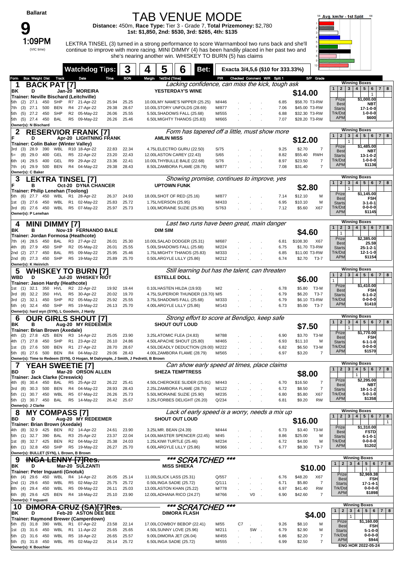| <b>Ballarat</b>                                                                    | <b>TAB VENUE MODE</b>                                                                                                      |                                  |                                                                                                                                                                                                                                                                 |                                                                   |                |     |                             |                                   |                                | Avg. km/hr - 1st Split |                                                      |                                                   |
|------------------------------------------------------------------------------------|----------------------------------------------------------------------------------------------------------------------------|----------------------------------|-----------------------------------------------------------------------------------------------------------------------------------------------------------------------------------------------------------------------------------------------------------------|-------------------------------------------------------------------|----------------|-----|-----------------------------|-----------------------------------|--------------------------------|------------------------|------------------------------------------------------|---------------------------------------------------|
|                                                                                    | Distance: 450m, Race Type: Tier 3 - Grade 7, Total Prizemoney: \$2,780<br>1st: \$1,850, 2nd: \$530, 3rd: \$265, 4th: \$135 |                                  |                                                                                                                                                                                                                                                                 |                                                                   |                |     |                             |                                   |                                |                        | <u>William</u>                                       |                                                   |
| 1:09PM                                                                             |                                                                                                                            |                                  |                                                                                                                                                                                                                                                                 |                                                                   |                |     |                             |                                   |                                |                        |                                                      |                                                   |
| (VIC time)                                                                         |                                                                                                                            |                                  | LEKTRA TINSEL (3) turned in a strong performance to score Warrnambool two runs back and she'll<br>continue to improve with more racing. MINI DIMMY (4) has been handily placed in her past two and<br>she's nearing another win. WHISKEY TO BURN (5) has claims |                                                                   |                |     |                             |                                   |                                |                        |                                                      |                                                   |
|                                                                                    | <b>Watchdog Tips:</b>                                                                                                      |                                  |                                                                                                                                                                                                                                                                 |                                                                   |                |     |                             |                                   |                                |                        |                                                      |                                                   |
| <b>Box Weight Dist Track</b><br>Form                                               | Date                                                                                                                       | 3<br><b>BON</b><br>Time          | 5<br>4<br>1st/2nd (Time)<br>Margin                                                                                                                                                                                                                              | Bet:<br>b                                                         | PIR            |     | Checked Comment W/R Split 1 | Exacta 3/4,5,6 (\$10 for 333.33%) |                                | S/P Grade              |                                                      |                                                   |
| <b>BACK PAT [7]</b><br>1                                                           |                                                                                                                            |                                  |                                                                                                                                                                                                                                                                 | Lacking confidence, can miss the kick, tough ask                  |                |     |                             |                                   |                                |                        |                                                      | <b>Winning Boxes</b>                              |
| ΒK<br>D<br>Trainer: Neville Bischard (Leitchville)                                 | Jan-20 MOREIRA                                                                                                             |                                  |                                                                                                                                                                                                                                                                 | <b>YESTERDAY'S WINE</b>                                           |                |     |                             |                                   | \$14.00                        |                        | 2 <br>3 <br>1                                        | $4 \mid 5 \mid 6$<br>$7 \mid 8$<br>$\mathbf{1}$   |
| 27.1<br>450<br>SHP<br>(2)<br>5th                                                   | R7 21-Apr-22                                                                                                               | 25.94<br>25.25                   |                                                                                                                                                                                                                                                                 | 10.00LMY NAME'S NIPPER (25.25)                                    | M/446          |     |                             | 6.85                              | \$58.70 T3-RW                  |                        | Prize<br><b>Best</b>                                 | \$1,000.00<br><b>NBT</b>                          |
| (3)<br>27.1<br>500<br>BEN<br>7th<br>SHP<br>(5)<br>27.2<br>450<br>5th               | R4 27-Apr-22<br>R2 05-May-22                                                                                               | 29.38<br>28.67<br>25.55<br>26.06 |                                                                                                                                                                                                                                                                 | 10.00LSTORY UNFOLDS (28.69)<br>5.50LSHADOWS FALL (25.68)          | M/877<br>M/555 |     |                             | 7.06<br>6.88                      | \$45.00 T3-RW<br>\$32.30 T3-RW |                        | <b>Starts</b><br>Trk/Dst                             | 17-1-0-0<br>$1 - 0 - 0 - 0$                       |
| BAL<br>5th (5) 27.4 450                                                            | R5 09-May-22                                                                                                               | 26.26<br>25.46                   |                                                                                                                                                                                                                                                                 | 6.50LMIGHTY THANOS (25.83)                                        | M/665          |     |                             | 7.07                              | \$28.20 T3-RW                  |                        | <b>APM</b>                                           | \$600                                             |
| Owner(s): N Bischard                                                               | <b>RESERVIOR FRANK [7]</b>                                                                                                 |                                  |                                                                                                                                                                                                                                                                 | Form has tapered off a little, must show more                     |                |     |                             |                                   |                                |                        |                                                      | <b>Winning Boxes</b>                              |
| D                                                                                  | Apr-20 LIGHTNING FRANK                                                                                                     |                                  | <b>AMLIN MISS</b>                                                                                                                                                                                                                                               |                                                                   |                |     |                             |                                   | \$12.00                        |                        | 2 <br>3 <sup>1</sup><br>$\mathbf{1}$<br>$\mathbf{1}$ | $4 \mid 5 \mid$<br>6<br>$7 \mid 8$                |
| Trainer: Colin Baker (Winter Valley)<br>28.9<br>390<br>WBL<br>3rd<br>(3)           | R10 18-Apr-22                                                                                                              | 22.34<br>22.83                   |                                                                                                                                                                                                                                                                 | 4.75LELECTRO GURU (22.50)                                         | S/75           |     |                             | 9.25                              | \$2.70                         | 7                      | Prize                                                | \$1,485.00                                        |
| GEL<br>(8)<br>29.0<br>400<br>5=                                                    | R <sub>5</sub><br>22-Apr-22                                                                                                | 23.20<br>22.43                   |                                                                                                                                                                                                                                                                 | 12.00LASTON CAREY (22.43)                                         | S/65           |     |                             | 8.82                              | \$55.40                        | <b>RWH</b>             | <b>Best</b><br><b>Starts</b>                         | <b>NBT</b><br>$13 - 1 - 0 - 2$                    |
| 400<br>GEL<br>29.5<br>6th<br>(4)<br>BEN<br>$(4)$ 29.9<br>500<br>7th                | R9<br>29-Apr-22<br>R4 04-May-22                                                                                            | 22.41<br>23.36<br>29.38<br>28.43 |                                                                                                                                                                                                                                                                 | 10.00LTHYBULLE BALE (22.68)<br>8.50LZAMBORA FLAME (28.79)         | S/76<br>M/877  |     |                             | 8.97<br>7.08                      | \$23.50<br>\$31.40             | 7<br>$\overline{7}$    | Trk/Dst<br><b>APM</b>                                | $1 - 0 - 0 - 0$<br>\$1136                         |
| Owner(s): C Baker                                                                  |                                                                                                                            |                                  |                                                                                                                                                                                                                                                                 |                                                                   |                |     |                             |                                   |                                |                        |                                                      | <b>Winning Boxes</b>                              |
| <b>LEKTRA TINSEL [7]</b><br>3<br>в                                                 | Oct-20 DYNA CHANCER                                                                                                        |                                  |                                                                                                                                                                                                                                                                 | Showing promise, continues to improve, yes<br><b>UPTOWN FUNK</b>  |                |     |                             |                                   |                                |                        | 2 <sub>1</sub><br>1<br>3                             | 4   5   6  <br>7 8                                |
| Trainer: Philip Lenehan (Toolong)                                                  |                                                                                                                            |                                  |                                                                                                                                                                                                                                                                 |                                                                   |                |     |                             |                                   | \$2.80                         |                        | $\mathbf{1}$<br>Prize                                | \$1,145.00                                        |
| $(6)$ 27.7<br>450<br>5th<br>WBL<br>$(3)$ 27.6<br>450<br>1st                        | WBL R1 28-Apr-22<br>R1 02-May-22                                                                                           | 24.93<br>26.37<br>25.72<br>25.83 | 1.75LIVERSON (25.95)                                                                                                                                                                                                                                            | 18.00LSHOT OF RED (25.16)                                         | M/877<br>M/433 |     |                             | 7.14<br>6.95                      | \$12.10<br>\$10.10             | M<br>M                 | <b>Best</b><br><b>Starts</b>                         | <b>FSH</b><br>$3 - 1 - 0 - 1$                     |
| $(6)$ 27.6<br>450<br>3rd                                                           | WBL R5 07-May-22                                                                                                           | 25.73<br>25.97                   |                                                                                                                                                                                                                                                                 | 1.00LMORAINE SUZIE (25.90)                                        | S/763          |     |                             | 7.12                              | \$5.60                         | X67                    | Trk/Dst<br><b>APM</b>                                | $0 - 0 - 0 - 0$<br>\$1145                         |
| Owner(s): P Lenehan                                                                |                                                                                                                            |                                  |                                                                                                                                                                                                                                                                 |                                                                   |                |     |                             |                                   |                                |                        |                                                      | <b>Winning Boxes</b>                              |
| <b>MINI DIMMY [7]</b><br>4<br>в<br>ΒK                                              | Nov-19 FERNANDO BALE                                                                                                       |                                  | <b>DIM SIM</b>                                                                                                                                                                                                                                                  | Last two runs have been great, main danger                        |                |     |                             |                                   |                                |                        | 2 <sup>1</sup><br>3 <br>1                            | 4   5   6   7   8                                 |
| Trainer: Jordan Formosa (Heathcote)                                                |                                                                                                                            |                                  |                                                                                                                                                                                                                                                                 |                                                                   |                |     |                             |                                   | \$4.60                         |                        | $\mathbf{1}$<br>Prize                                | \$2,385.00                                        |
| 28.5<br>450<br>BAL<br>7th (4)<br>SHP<br>(8)<br>27.9<br>450<br>4th                  | R3 27-Apr-22<br>R2 05-May-22                                                                                               | 26.01<br>25.30<br>25.55<br>26.01 |                                                                                                                                                                                                                                                                 | 10.00LSALAD DODGER (25.31)<br>5.00LSHADOWS FALL (25.68)           | M/687<br>M/224 |     |                             | 6.81<br>6.75                      | \$108.30                       | X67<br>\$1.70 T3-RW    | <b>Best</b><br><b>Starts</b>                         | 25.59<br>$25 - 1 - 2 - 1$                         |
| 450<br>BAL<br>2nd<br>(2)<br>27.7                                                   | R5<br>09-May-22                                                                                                            | 25.95<br>25.46                   |                                                                                                                                                                                                                                                                 | 1.75LMIGHTY THANOS (25.83)                                        | M/333          |     |                             | 6.85                              | \$11.00 T3-RW                  |                        | Trk/Dst                                              | 12-1-1-0                                          |
| 2nd (8) 27.3<br>SHP<br>450<br>Owner(s): K Heinrich                                 | R <sub>5</sub><br>19-May-22                                                                                                | 25.70<br>25.89                   |                                                                                                                                                                                                                                                                 | 0.50LARGYLE LILLY (25.86)                                         | M/212          |     |                             | 6.74                              | \$2.70                         | T3-7                   | <b>APM</b>                                           | \$1154                                            |
| 5                                                                                  | <b>WHISKEY TO BURN [7]</b>                                                                                                 |                                  |                                                                                                                                                                                                                                                                 | Still learning but has the talent, can threaten                   |                |     |                             |                                   |                                |                        | $2 \mid 3 \mid$                                      | <b>Winning Boxes</b><br>4   5   6  <br>7 8        |
| WBD<br>D<br>Trainer: Jason Hardy (Heathcote)                                       | <b>Jul-20 WHISKEY RIOT</b>                                                                                                 |                                  |                                                                                                                                                                                                                                                                 | <b>ESTELLE DOLL</b>                                               |                |     |                             |                                   | \$6.00                         |                        | 1<br>$\mathbf{1}$                                    |                                                   |
| 1st (1) 32.1<br>350<br>HVL                                                         | R2 22-Apr-22                                                                                                               | 19.44<br>19.92                   |                                                                                                                                                                                                                                                                 | 0.10LHASTEN HILDA (19.93)                                         | M/2            |     |                             | 6.78                              |                                | \$5.80 T3-M            | Prize<br><b>Best</b>                                 | \$1,410.00<br><b>FSH</b>                          |
| (8)<br>32.2<br>350<br>HVL<br>3rd<br>32.1<br>450<br>SHP<br>3rd<br>(2)               | R5 30-Apr-22<br>R2 05-May-22                                                                                               | 20.02<br>19.70<br>25.92<br>25.55 |                                                                                                                                                                                                                                                                 | 4.75LSUPERIOR THUNDER (19.70) M/5<br>3.75LSHADOWS FALL (25.68)    | M/333          |     |                             | 6.79<br>6.79                      | \$6.20                         | T3-7<br>\$6.10 T3-RW   | <b>Starts</b><br>Trk/Dst                             | $6 - 1 - 0 - 2$<br>$0 - 0 - 0 - 0$                |
| SHP<br>32.4<br>450<br>5th (4)                                                      | R5 19-May-22                                                                                                               | 25.70<br>26.13                   |                                                                                                                                                                                                                                                                 | 4.00LARGYLE LILLY (25.86)                                         | M/143          |     |                             | 6.73                              | \$5.00                         | T3-7                   | <b>APM</b>                                           | \$1410                                            |
| Owner(s): hard wyn (SYN), L Goodwin, J Hardy<br>6                                  | <b>OUR GIRLS SHOUT [7]</b>                                                                                                 |                                  |                                                                                                                                                                                                                                                                 | Strong effort to score at Bendigo, keep safe                      |                |     |                             |                                   |                                |                        |                                                      | <b>Winning Boxes</b>                              |
| ΒK<br>в                                                                            | Aug-20 MY REDEEMER                                                                                                         |                                  |                                                                                                                                                                                                                                                                 | <b>SHOUT OUT LOUD</b>                                             |                |     |                             |                                   | \$7.50                         |                        | 2 <br>3 <br>1<br>$\mathbf{1}$                        | 4   5   6<br>8<br>7 <sup>1</sup>                  |
| Trainer: Brian Brown (Axedale)<br>425<br>4th (2) 27.8<br>BEN                       | R3<br>14-Apr-22                                                                                                            | 23.90<br>25.05                   |                                                                                                                                                                                                                                                                 | 3.25LATOMIC FLEA (24.83)                                          | M/788          |     |                             | 6.90                              | \$3.70                         | тз-м                   | Prize                                                | \$1,770.00                                        |
| $(7)$ 27.8<br>450<br>SHP<br>4th                                                    | 23-Apr-22<br>R1                                                                                                            | 26.10<br>24.86                   |                                                                                                                                                                                                                                                                 | 4.50LAPACHE SHOUT (25.80)                                         | M/465          |     |                             | 6.93                              | \$11.10                        | M                      | <b>Best</b><br><b>Starts</b>                         | FSH<br>$6 - 1 - 1 - 0$                            |
| 500<br>BEN<br>(3)<br>27.6<br>1st<br>5th (6) 27.6 500 BEN R4 04-May-22              | R <sub>1</sub><br>27-Apr-22                                                                                                | 28.70<br>28.67<br>28.43<br>29.06 |                                                                                                                                                                                                                                                                 | 4.50LDEADLY DEDUCTION (29.00) M/222<br>4.00LZAMBORA FLAME (28.79) | M/565          |     |                             | 6.82<br>6.97                      | \$6.50<br>\$3.20               | T3-M<br>7              | Trk/Dst<br><b>APM</b>                                | $0 - 0 - 0 - 0$<br>\$1570                         |
| Owner(s): Time to Redeem (SYN), O Hogan, M Dalrymple, J Smith, J Pedretti, B Brown |                                                                                                                            |                                  |                                                                                                                                                                                                                                                                 |                                                                   |                |     |                             |                                   |                                |                        |                                                      |                                                   |
| <b>YEAH SWEETIE [7]</b>                                                            |                                                                                                                            |                                  |                                                                                                                                                                                                                                                                 | Can show early speed at times, place claims                       |                |     |                             |                                   |                                |                        | $2 \mid 3 \mid$<br>$\mathbf{1}$                      | <b>Winning Boxes</b><br>4   5   6  <br>$7 \mid 8$ |
| BD<br>D<br>Trainer: Jack Clarke (Creswick)                                         | Mar-20 ORSON ALLEN                                                                                                         |                                  |                                                                                                                                                                                                                                                                 | <b>SHEZA TEMPTRESS</b>                                            |                |     |                             |                                   | \$8.00                         |                        | Prize                                                | $\mathbf{1}$<br>\$2,295.00                        |
| 30.4<br>450<br>BAL<br>(6)<br>4th<br>(8)<br>30.3<br>500<br>BEN<br>3rd               | R5 25-Apr-22<br>R4 04-May-22                                                                                               | 26.22<br>25.41<br>28.93<br>28.43 |                                                                                                                                                                                                                                                                 | 4.50LCHEROKEE SLIDER (25.91)<br>2.25LZAMBORA FLAME (28.79)        | M/443<br>M/122 |     |                             | 6.70<br>6.72                      | \$16.50<br>\$8.50              | 7<br>7                 | <b>Best</b>                                          | <b>NBT</b><br>$18 - 1 - 1 - 2$                    |
| 5th (1) 30.7 450<br>WBL                                                            | R5 07-May-22                                                                                                               | 26.26<br>25.73                   |                                                                                                                                                                                                                                                                 | 5.50LMORAINE SUZIE (25.90)                                        | M/235          |     |                             | 6.80                              | \$5.80                         | X67                    | <b>Starts</b><br>Trk/Dst                             | $5 - 0 - 1 - 0$                                   |
| $(2)$ 30.7 450<br>BAL<br>5th<br>Owner(s): J Clarke                                 | R <sub>5</sub><br>14-Mav-22                                                                                                | 25.67<br>26.42                   |                                                                                                                                                                                                                                                                 | 3.25LFORBES DELIGHT (26.20)                                       | Q/234          |     |                             | 6.81                              | \$9.20                         | <b>RW</b>              | <b>APM</b>                                           | \$1358                                            |
| <b>MY COMPASS [7]</b><br>8                                                         |                                                                                                                            |                                  |                                                                                                                                                                                                                                                                 | Lack of early speed is a worry, needs a mix up                    |                |     |                             |                                   |                                |                        |                                                      | <b>Winning Boxes</b>                              |
| BD<br>D<br>Trainer: Brian Brown (Axedale)                                          | Aug-20 MY REDEEMER                                                                                                         |                                  |                                                                                                                                                                                                                                                                 | <b>SHOUT OUT LOUD</b>                                             |                |     |                             |                                   | \$16.00                        |                        | 2 <br>3 <br>1                                        | 4   5   6<br>8<br>7<br>$\mathbf{1}$               |
| 4th (8) 32.9<br>425<br>BEN                                                         | R2 14-Apr-22                                                                                                               | 23.90<br>24.61                   | 3.25LMR. BEAN (24.39)                                                                                                                                                                                                                                           |                                                                   | M/444          |     |                             | 6.73                              |                                | \$3.40 T3-M            | Prize<br><b>Best</b>                                 | \$1,310.00<br><b>FSTD</b>                         |
| 5th (1) 32.7<br>390<br>BAL<br>BEN<br>32.7 425<br>(8)<br>1st                        | R3 25-Apr-22<br>R2 04-May-22                                                                                               | 23.37<br>22.04<br>25.38<br>24.03 |                                                                                                                                                                                                                                                                 | 14.00LMASTER SPENCER (22.45)<br>1.25LKIWI TURTLE (25.46)          | M/45<br>M/234  |     |                             | 8.86<br>6.72                      | \$25.00<br>\$4.00              | M<br>M                 | <b>Starts</b><br>Trk/Dst                             | $6 - 1 - 0 - 1$<br>$0 - 0 - 0 - 0$                |
| 6th (1) 32.8 450 SHP                                                               | R5 19-May-22                                                                                                               | 25.70<br>26.27                   |                                                                                                                                                                                                                                                                 | 6.00LARGYLE LILLY (25.86)                                         | M/366          |     |                             | 6.77                              | \$8.30                         | T3-7                   | <b>APM</b>                                           | \$1202                                            |
| Owner(s): BULLET (SYN), L Brown, B Brown                                           |                                                                                                                            |                                  |                                                                                                                                                                                                                                                                 |                                                                   |                | *** |                             |                                   |                                |                        |                                                      | <b>Winning Boxes</b>                              |
| <b>INGA LENNY [7]Res.</b><br>9<br>ΒK<br>D                                          | Mar-20 SULZANTI                                                                                                            |                                  |                                                                                                                                                                                                                                                                 | *** SCRATCHED<br><b>MISS SHIEKA</b>                               |                |     |                             |                                   |                                | \$10.00                | $\mathbf{1}$                                         | 2   3   4   5   6   7   8                         |
| Trainer: Peter Inguanti (Gnotuk)<br>6th (4) 29.6<br>450<br>WBL                     | R4 14-Apr-22                                                                                                               | 26.05<br>25.14                   | 11.00LSLICK LASS (25.31)                                                                                                                                                                                                                                        |                                                                   | Q/557          |     |                             | 6.76                              | \$48.20                        | X67                    | Prize                                                | $\mathbf{1}$<br>\$2,969.38                        |
| 2nd (1) 29.6<br>450<br>WBL                                                         | R5<br>02-May-22                                                                                                            | 25.75<br>25.72                   | 0.50LINGA SADIE (25.72)                                                                                                                                                                                                                                         |                                                                   | Q/111          |     |                             | 6.71                              | \$5.80                         | $\overline{7}$         | <b>Best</b><br><b>Starts</b>                         | <b>FSH</b><br>$17 - 1 - 4 - 1$                    |
| 8th (4) 29.4<br>450<br>WBL<br>6th (8) 29.6 425<br><b>BEN</b>                       | 09-May-22<br>R <sub>5</sub><br>R4 18-May-22                                                                                | 26.11<br>25.03<br>23.90<br>25.10 | 13.00LASTON KHAN (25.22)                                                                                                                                                                                                                                        | 12.00LADHANA RICO (24.27)                                         | M/778<br>M/766 |     | V <sub>0</sub>              | 6.97<br>6.90                      | \$41.40<br>\$42.60             | RW<br>$\overline{7}$   | Trk/Dst<br><b>APM</b>                                | $0 - 0 - 0 - 0$<br>\$1898                         |
| Owner(s): T Inguanti                                                               |                                                                                                                            |                                  |                                                                                                                                                                                                                                                                 |                                                                   |                |     |                             |                                   |                                |                        |                                                      |                                                   |
| 10                                                                                 | <b>DIMORA CRUZ (SA)[7]Res.</b>                                                                                             |                                  |                                                                                                                                                                                                                                                                 | *** SCRATCHED                                                     |                | *** |                             |                                   |                                |                        | $\overline{2}$<br>$\mathbf{1}$                       | <b>Winning Boxes</b><br>3   4   5   6   7   8     |
| BK<br>D<br>Trainer: Raymond Brewer (Camperdown)                                    | Feb-20 ASTON DEE BEE                                                                                                       |                                  |                                                                                                                                                                                                                                                                 | <b>DIMORA FLASH</b>                                               |                |     |                             |                                   |                                | \$4.00                 | Prize                                                | \$1,160.00                                        |
| 390<br>5th (5)<br>31.8<br>WBL<br>31.6<br>450<br>WBL<br>1st (3)                     | R1<br>07-Apr-22<br>R1 11-Apr-22                                                                                            | 22.14<br>23.58<br>25.65<br>25.65 |                                                                                                                                                                                                                                                                 | 17.00LCOWBOY BEBOP (22.41)<br>4.50LSUNNY LOVE (25.96)             | M/55<br>M/211  | C7  | SW.                         | 9.26<br>6.79                      | \$8.10<br>\$2.90               | М<br>M                 | <b>Best</b>                                          | <b>FSH</b>                                        |
| 5th (2)<br>31.6<br>450<br>WBL                                                      | R <sub>5</sub><br>18-Apr-22                                                                                                | 26.65<br>25.57                   |                                                                                                                                                                                                                                                                 | 9.00LDIMORA JET (26.04)                                           | M/455          |     |                             | 6.86                              | \$2.20                         | $\overline{7}$         | <b>Starts</b><br>Trk/Dst                             | $5 - 1 - 0 - 0$<br>$0 - 0 - 0 - 0$                |
| (5)<br>31R<br><b>150</b><br><b>MRI</b><br>5th                                      | R5<br>$02-Ma(22)$                                                                                                          | 26.14<br>25.72                   |                                                                                                                                                                                                                                                                 | 650LINGA SADIE (25.72)                                            | <b>M/555</b>   |     |                             | 6 QQ                              | ፍን 50                          |                        | <b>APM</b>                                           | \$944                                             |

5th (2) 31.6 450 WBL R5 18-Apr-22 26.65 25.57 9.00LDIMORA JET (26.04) M/455 . . . 6.86 \$2.20 7 5th (5) 31.8 450 WBL R5 02-May-22 26.14 25.72 6.50LINGA SADIE (25.72) M/555 . . . 6.99 \$2.50 7

**ENG HOR 2022-05-24**

**Owner(s): K Bouchier**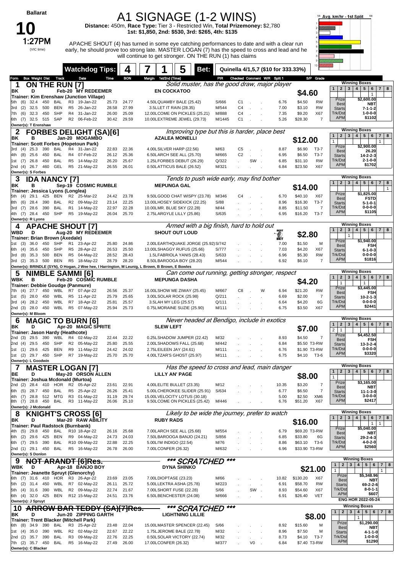| на<br>ш<br>п |
|--------------|
|--------------|

## **10** (VIC time)

# A1 SIGNAGE (1-2 WINS) **Distance:** 450m, **Race Type:** Tier 3 - Restricted Win, **Total Prizemoney:** \$2,780

**1st: \$1,850, 2nd: \$530, 3rd: \$265, 4th: \$135**

1:27PM APACHE SHOUT (4) has turned in some eye catching performances to date and with a clear run early, he should prove too strong late. MASTER LOGAN (7) has the speed to cross and lead and he will continue to get stronger. ON THE RUN (1) has claims



|                                                                                                 | <b>Watchdog Tips:</b>                       |                                  |                                    | 5<br>Bet:                                              |                |                                 | Quinella 4/1,5,7 (\$10 for 333.33%) |                    |                  |                                                              |                                                                                      |
|-------------------------------------------------------------------------------------------------|---------------------------------------------|----------------------------------|------------------------------------|--------------------------------------------------------|----------------|---------------------------------|-------------------------------------|--------------------|------------------|--------------------------------------------------------------|--------------------------------------------------------------------------------------|
| <b>Box Weight Dist Track</b><br>om                                                              | Date                                        | <b>BON</b><br>Time               | Margin 1st/2nd (Time)              |                                                        |                | PIR Checked Comment W/R Split 1 |                                     |                    | S/P Grade        |                                                              |                                                                                      |
| <b>ON THE RUN [7]</b><br>1                                                                      |                                             |                                  |                                    | Solid muster, has the good draw, major player          |                |                                 |                                     |                    |                  | 2 <sup>2</sup><br>$\mathbf{3}$<br>$\mathbf{1}$               | <b>Winning Boxes</b><br>5 <sub>5</sub><br>4 <br>$6\phantom{.}6$<br>$7 \mid 8$        |
| D<br>ΒK                                                                                         | Feb-20 MY REDEEMER                          |                                  |                                    | <b>EN COCKATOO</b>                                     |                |                                 |                                     | \$4.60             |                  |                                                              | $\mathbf{1}$                                                                         |
| Trainer: Kim Erenshaw (Junction Village)<br>(6)<br>32.4<br>450<br>BAL                           | R3 19-Jan-22                                |                                  |                                    |                                                        | S/666          | C <sub>1</sub>                  |                                     |                    | <b>RW</b>        | Prize                                                        | \$2,600.00                                                                           |
| 5th<br>(2)<br>32.5<br>500<br>BEN<br>3rd                                                         | R5 26-Jan-22                                | 25.73<br>24.77<br>27.99<br>28.58 |                                    | 4.50LQUAMBY BALE (25.42)<br>3.5LLET IT RAIN (28.35)    | M/544          | C <sub>4</sub>                  | 6.76<br>7.00                        | \$4.50<br>\$3.10   | <b>RW</b>        | Best<br><b>Starts</b>                                        | NBT<br>$7 - 1 - 1 - 2$                                                               |
| (6)<br>32.3<br>450<br>SHP<br>7th                                                                | R4 31-Jan-22                                | 26.00                            | 25.09                              | 12.00LCOME ON PICKLES (25.21)                          | M/888          | C <sub>4</sub>                  | 7.35                                | \$9.20             | X67              | Trk/Dst                                                      | $1 - 0 - 0 - 0$                                                                      |
| 32.5 515 SAP<br>(7)<br>6th                                                                      | R2 06-Feb-22                                | 29.59<br>30.42                   |                                    | 10.00LEXTREME JEWEL (29.73)                            | M/1445         | C <sub>1</sub>                  | 5.26                                | \$28.30            | $\overline{7}$   | <b>APM</b>                                                   | \$1102                                                                               |
| Owner(s): T Erenshaw                                                                            |                                             |                                  |                                    |                                                        |                |                                 |                                     |                    |                  |                                                              |                                                                                      |
| <b>FORBES DELIGHT (SA)[6]</b>                                                                   |                                             |                                  |                                    | Improving type but this is harder, place best          |                |                                 |                                     |                    |                  |                                                              | <b>Winning Boxes</b>                                                                 |
| ΒK<br>в                                                                                         | Jan-20 MOGAMBO                              |                                  |                                    | <b>AZALEA MONELLI</b>                                  |                |                                 |                                     | \$12.00            |                  | $\mathbf{2}$<br>$\mathbf{3}$<br>$\mathbf{1}$<br>$\mathbf{1}$ | 4<br>$5\overline{ }$<br>$6\phantom{1}$<br>8<br>7 <sup>1</sup><br>$\mathbf{1}$        |
| Trainer: Scott Forbes (Hopetoun Park)                                                           |                                             |                                  |                                    |                                                        |                |                                 |                                     |                    |                  | Prize                                                        | \$2,900.00                                                                           |
| 390<br>(4)<br>25.3<br>BAL<br>3rd                                                                | R4 31-Jan-22                                | 22.83                            | 22.36                              | 4.00LSILVER HARP (22.56)                               | M/63           | C <sub>5</sub>                  | 8.87                                | \$6.90             | T3-7             | Best                                                         | 26.20                                                                                |
| 450<br><b>BAL</b><br>4th (8)<br>25.6                                                            | R4 07-Feb-22                                | 25.36<br>26.12                   |                                    | 6.50LARCH SEE ALL (25.70)                              | M/665          | C <sub>2</sub>                  | 6.95                                | \$6.50             | T3-7             | <b>Starts</b>                                                | $14 - 2 - 2 - 3$                                                                     |
| 450<br>1st (7)<br>26.8<br>BAL<br>460<br>GEL<br>2nd (4)<br>26.7                                  | R5 14-May-22<br>R5 21-May-22                | 26.20<br>26.01<br>26.55          | 25.67                              | 1.25LFORBES DEBUT (26.29)<br>0.50LATTICUS BALE (26.52) | Q/322<br>M/321 | SW.                             | 6.85<br>6.84                        | \$31.10<br>\$23.50 | <b>RW</b><br>X67 | Trk/Dst<br><b>APM</b>                                        | $2 - 1 - 0 - 0$<br>\$1702                                                            |
| Owner(s): S Forbes                                                                              |                                             |                                  |                                    |                                                        |                |                                 |                                     |                    |                  |                                                              |                                                                                      |
| 3<br><b>IDA NANCY [7]</b>                                                                       |                                             |                                  |                                    | Tends to push wide early, may find bother              |                |                                 |                                     |                    |                  |                                                              | <b>Winning Boxes</b>                                                                 |
| в<br>ΒK                                                                                         | Sep-19 COSMIC RUMBLE                        |                                  |                                    | <b>MEPUNGA GAL</b>                                     |                |                                 |                                     |                    |                  | $\mathbf{1}$<br>2 <sup>2</sup><br>$\mathbf{3}$               | 5 <sup>1</sup><br>4 <br>$6\phantom{.}$<br>$7 \mid 8$                                 |
| Trainer: Jessica Lyons (Longlea)                                                                |                                             |                                  |                                    |                                                        |                |                                 |                                     | \$14.00            |                  |                                                              | $\mathbf{1}$                                                                         |
| 425<br>BEN<br>29.1<br>5th<br>(4)                                                                | R2 25-Mar-22                                | 24.42                            | 23.78                              | 9.50LGOOD CHAT WISPY (23.78)                           | M/346          | C <sub>4</sub>                  | 6.70                                | \$40.10            | X67              | Prize<br>Best                                                | \$1,825.00<br><b>FSTD</b>                                                            |
| 390<br>(6)<br>28.4<br>BAL<br>8th                                                                | R2 09-May-22                                | 23.14                            | 22.25                              | 13.00LHOSEY SIDEKICK (22.25)                           | S/88           |                                 | 8.96                                | \$16.30            | $T3-7$           | <b>Starts</b>                                                | $5 - 1 - 0 - 1$                                                                      |
| 390<br>3rd (7) 28.6<br>BAL                                                                      | R1 14-May-22                                | 22.97                            | 22.28                              | 10.00LMR. BLUE SKY (22.28)                             | M/44           |                                 | 8.85                                | \$11.50            | $\overline{7}$   | Trk/Dst<br><b>APM</b>                                        | $0 - 0 - 0 - 0$<br>\$1105                                                            |
| 28.4 450 SHP<br>4th (7)<br>Owner(s): R Lyons                                                    | R5 19-May-22                                | 25.70<br>26.04                   |                                    | 2.75LARGYLE LILLY (25.86)                              | S/635          |                                 | 6.95                                | \$16.20            | T3-7             |                                                              |                                                                                      |
| <b>APACHE SHOUT [7]</b>                                                                         |                                             |                                  |                                    | Armed with a big finish, hard to hold out              |                |                                 |                                     |                    |                  |                                                              | <b>Winning Boxes</b>                                                                 |
| <b>WBD</b><br>D                                                                                 | Aug-20 MY REDEEMER                          |                                  |                                    | <b>SHOUT OUT LOUD</b>                                  |                |                                 |                                     |                    |                  | $\mathbf{2}$<br>3<br>$\mathbf{1}$                            | $5\overline{ }$<br>$\overline{\mathbf{4}}$<br>6<br>7 <sup>1</sup><br>8               |
| Trainer: Brian Brown (Axedale)                                                                  |                                             |                                  |                                    |                                                        |                |                                 | $\mathcal{Q}_\text{eff}$            | \$2.80             |                  | $\mathbf{1}$                                                 |                                                                                      |
| 450<br>SHP<br>(3)<br>36.0<br>1st                                                                | R1 23-Apr-22                                | 25.80                            | 24.86                              | 2.00LEARTHQUAKE JORGE (25.92) S/742                    |                |                                 | 7.00                                | \$1.50             | M                | Prize<br><b>Best</b>                                         | \$1,940.00<br><b>FSH</b>                                                             |
| 35.6<br>450<br>SHP<br>6th (4)                                                                   | R5 28-Apr-22                                | 25.50<br>26.53                   |                                    | 13.00LSHAGGY RUFUS (25.66)                             | S/777          |                                 | 7.03                                | \$4.20             | X67              | <b>Starts</b>                                                | $6 - 1 - 0 - 3$                                                                      |
| 500<br>BEN<br>(8)<br>35.3<br>3rd                                                                | R5 04-May-22                                | 28.52                            | 28.43                              | 1.5LFABRIOLA YANIS (28.43)                             | S/633          |                                 | 6.96                                | \$5.30             | <b>RW</b>        | Trk/Dst                                                      | $0 - 0 - 0 - 0$                                                                      |
| (2)<br>500<br><b>BEN</b><br>35.3<br>3rd                                                         | R5 18-May-22                                | 28.79<br>28.20                   |                                    | 8.50LBAROOGA BOY (28.20)                               | M/544          |                                 | 6.92                                | \$6.10             | $\overline{7}$   | <b>APM</b>                                                   | \$1816                                                                               |
| Owner(s): BRINDLE (SYN), O Hogan, J Wee hee, I Harrington, M Leunig, L Brown, B Brown, E Bowles |                                             |                                  |                                    |                                                        |                |                                 |                                     |                    |                  |                                                              | <b>Winning Boxes</b>                                                                 |
| 5<br><b>NIMBLE SAMMI [6]</b>                                                                    |                                             |                                  |                                    | Can come out running, getting stronger, respect        |                |                                 |                                     |                    |                  | $\mathbf{1}$<br>$\mathbf{2}$<br>3                            | 5 <sup>5</sup><br>6<br>$7 \mid 8$<br>$\overline{4}$                                  |
| <b>WBK</b><br>в<br>Trainer: Debbie Goudge (Panmure)                                             | Feb-20 COSMIC RUMBLE                        |                                  |                                    | <b>MEPUNGA DASHA</b>                                   |                |                                 |                                     | \$4.20             |                  | $\mathbf{1}$                                                 | $\mathbf{1}$                                                                         |
| $(4)$ 27.7<br>450 WBL R7 07-Apr-22<br>7th                                                       |                                             | 26.56                            | 25.37                              | 16.00LSHOW ME ZIWAY (25.45)                            | M/667          | C8                              | 6.94<br>w                           | \$21.20            | <b>RW</b>        | Prize                                                        | \$3,445.00                                                                           |
| (5)<br>28.0<br>450<br>WBL<br>1st                                                                | R5 11-Apr-22                                | 25.79                            | 25.65                              | 3.00LSOLAR ROCK (25.98)                                | Q/211          |                                 | 6.69                                | \$2.00             | 7                | Best<br><b>Starts</b>                                        | FSH<br>$10 - 2 - 1 - 3$                                                              |
| WBL<br>28.2<br>450<br>3rd<br>(4)                                                                | R7 18-Apr-22                                | 25.81                            | 25.57                              | 3.5LAH MY LEG (25.57)                                  | Q/111          |                                 | 6.64                                | \$4.20             | 6G               | Trk/Dst                                                      | $0 - 0 - 0 - 0$                                                                      |
| 2nd (3) 28.0 450 WBL                                                                            | R5 07-May-22                                | 25.94<br>25.73                   |                                    | 0.75LMORAINE SUZIE (25.90)                             | M/111          |                                 | 6.75                                | \$3.50             | X67              | <b>APM</b>                                                   | \$2441                                                                               |
| Owner(s): M Bloom                                                                               |                                             |                                  |                                    |                                                        |                |                                 |                                     |                    |                  |                                                              |                                                                                      |
| 6<br><b>MAGIC TO BURN [6]</b>                                                                   |                                             |                                  |                                    | Never headed at Bendigo, include in exotics            |                |                                 |                                     |                    |                  | $\mathbf{2}$<br>$\mathbf{3}$<br>$\mathbf{1}$                 | <b>Winning Boxes</b><br>5 <sub>5</sub><br>4 <sup>1</sup><br>6<br>7 <sup>1</sup><br>8 |
| ΒK<br>D                                                                                         | Apr-20 MAGIC SPRITE                         |                                  | <b>SLEW LEFT</b>                   |                                                        |                |                                 |                                     | \$7.00             |                  | $\overline{2}$<br>$\mathbf{1}$                               |                                                                                      |
| Trainer: Jason Hardy (Heathcote)<br>390<br>(3)<br>29.5<br>WBL<br>2nd                            | R4 02-May-22                                | 22.22<br>22.44                   |                                    | 0.25LSHADOW JUMPER (22.42)                             | M/32           |                                 | 8.93                                | \$4.50             | 7                | Prize                                                        | \$4,452.50                                                                           |
| 450<br><b>SHP</b><br>2nd (4)<br>29.5                                                            | R2 05-May-22                                | 25.80<br>25.55                   |                                    | 2.00LSHADOWS FALL (25.68)                              | M/442          |                                 | 6.84                                | \$5.50 T3-RW       |                  | <b>Best</b><br><b>Starts</b>                                 | <b>FSH</b><br>$13 - 3 - 2 - 4$                                                       |
| 425<br><b>BEN</b><br>1st (1)<br>29.6                                                            | R9 11-May-22                                | 24.02<br>24.42                   |                                    | 2.75LEILEEN JAY (24.61)                                | M/111          |                                 | 6.76                                | \$1.90 T3-RW       |                  | Trk/Dst                                                      | $0 - 0 - 0 - 0$                                                                      |
| (2)<br>29.7<br>450<br>SHP<br>1st                                                                | R7 19-May-22                                | 25.70<br>25.70                   |                                    | 4.00LTZAR'S GHOST (25.97)                              | M/111          |                                 | 6.75                                | \$4.10             | T3-6             | <b>APM</b>                                                   | \$3320                                                                               |
| Owner(s): L Goodwin                                                                             |                                             |                                  |                                    |                                                        |                |                                 |                                     |                    |                  |                                                              | <b>Winning Boxes</b>                                                                 |
| 7<br><b>MASTER LOGAN [7]</b>                                                                    |                                             |                                  |                                    | Has the speed to cross and lead, main danger           |                |                                 |                                     |                    |                  |                                                              | 12345678                                                                             |
| ВE<br>D                                                                                         | May-20 ORSON ALLEN                          |                                  |                                    | LILLY AN' PAGE                                         |                |                                 |                                     | \$8.00             |                  | $\mathbf{1}$                                                 |                                                                                      |
| Trainer: Joshua Mcdonald (Murtoa)<br>2nd (2) 28.4<br>410<br>HOR                                 | R2 05-Apr-22                                | 22.91<br>23.61                   |                                    | 4.00LELITE BULLET (23.35)                              | M/12           |                                 | 10.35                               | \$3.20             | 7                | Prize                                                        | \$3,165.00                                                                           |
| 6th (5) 28.7<br>450 BAL                                                                         | R5 25-Apr-22                                | 26.26<br>25.41                   |                                    | 5.00LCHEROKEE SLIDER (25.91)                           | S/634          |                                 | 6.77                                | \$6.50             | $\overline{7}$   | <b>Best</b><br><b>Starts</b>                                 | NBT<br>$11 - 1 - 3 - 0$                                                              |
| (7)<br>28.8<br>512<br>MTG<br>4th                                                                | R3 01-Mav-22                                | 31.19                            | 29.74                              | 15.00LVELOCITY LOTUS (30.18)                           |                |                                 | 5.00                                | \$2.50             | XM <sub>6</sub>  | Trk/Dst                                                      | $3 - 0 - 0 - 0$                                                                      |
| 450<br>8th (7) 28.8<br>BAL                                                                      | R3 11-May-22                                | 26.06<br>25.10                   |                                    | 9.50LCOME ON PICKLES (25.42)                           | M/446          |                                 | 6.76                                | \$51.20            | X67              | <b>APM</b>                                                   | \$2417                                                                               |
| Owner(s): J Mcdonald                                                                            |                                             |                                  |                                    |                                                        |                |                                 |                                     |                    |                  |                                                              | <b>Winning Boxes</b>                                                                 |
| <b>KNIGHT'S CROSS [6]</b><br>8                                                                  |                                             |                                  |                                    | Likely to be wide the journey, prefer to watch         |                |                                 |                                     |                    |                  | 2 <sup>1</sup><br>3 <br>$\mathbf{1}$                         | 4 <br>5 <sup>5</sup><br>6<br>7 <sup>1</sup><br>8                                     |
| ΒK<br>D<br>Trainer: Paul Radstock (Burnbank)                                                    | Mar-20 RAW ABILITY                          |                                  | <b>RUBY RADS</b>                   |                                                        |                |                                 |                                     | \$16.00            |                  |                                                              | $\mathbf{1}$<br>$\mathbf{1}$                                                         |
| (5)<br>29.8<br>450<br>BAL<br>4th                                                                |                                             |                                  |                                    |                                                        |                |                                 | 6.79                                | \$69.20 T3-RW      |                  | Prize                                                        | \$5,040.00                                                                           |
|                                                                                                 |                                             |                                  |                                    |                                                        |                |                                 |                                     |                    |                  |                                                              | NBT<br>29-2-4-3                                                                      |
| $(2)$ 29.6<br>425<br>BEN<br>6th                                                                 | R10 18-Apr-22<br>R9 04-May-22               | 26.16<br>24.73<br>24.03          | 7.00LARCH SEE ALL (25.68)<br>25.68 | 7.50LBAROOGA BANJO (24.21)                             | M/554<br>S/856 |                                 | 6.85                                | \$33.80            | 6G               | <b>Best</b>                                                  | $4 - 0 - 2 - 0$                                                                      |
| 390<br><b>BAL</b><br>6th (7) 29.5                                                               | R10 09-May-22                               | 22.88                            | 22.25<br>5.00LI'M INDIGO (22.54)   |                                                        | M/76           |                                 | 8.86                                | \$63.10            | T3-6             | <b>Starts</b><br>Trk/Dst                                     |                                                                                      |
| 2nd (1) 29.1 450 BAL                                                                            | R5 16-May-22                                | 26.00<br>26.78                   | 7.00LCONFER (26.32)                |                                                        | M/632          |                                 | 6.96                                | \$33.90 T3-RW      |                  | <b>APM</b>                                                   | \$2560                                                                               |
| Owner(s): S Donlon                                                                              |                                             |                                  |                                    |                                                        |                |                                 |                                     |                    |                  |                                                              |                                                                                      |
| 9<br><del>NOT</del>                                                                             | <del>ARANDT [6]Res.</del>                   |                                  |                                    | *** SCRATCHED                                          | ***            |                                 |                                     |                    |                  |                                                              | <b>Winning Boxes</b>                                                                 |
| WBK<br>D                                                                                        | Apr-18 BANJO BOY                            |                                  |                                    | DYNA SHINKO                                            |                |                                 |                                     |                    |                  | 2 <sup>1</sup><br>$\mathbf{1}$<br>$\mathbf{1}$               | 3   4   5   6<br>7 <sup>1</sup><br>8<br>1                                            |
| Trainer: Jeanette Spruyt (Glenorchy)                                                            |                                             |                                  |                                    |                                                        |                |                                 |                                     |                    | \$21.00          | Prize                                                        | \$5,348.96                                                                           |
| 6th (7) 31.6<br>410                                                                             | HOR R3 26-Apr-22                            | 23.69<br>23.05                   | 7.00LDIOPTASE (23.23)              |                                                        | M/66           |                                 | 10.82                               | \$130.20           | X67<br><b>RW</b> | <b>Best</b>                                                  | NBT                                                                                  |
| 5th (2) 31.4<br>450<br>WBL<br>$(4)$ 31.6<br>390<br>WBL<br>5th                                   | R7 02-May-22<br>R2 09-May-22                | 26.11<br>22.74<br>21.67          | 25.72                              | 5.00LLEKTRA ASHA (25.78)<br>7.00LSHORT FUSE (22.28)    | M/223<br>S/66  | SW                              | 6.91<br>8.93                        | \$58.70<br>\$54.60 | X67              | <b>Starts</b><br>Trk/Dst                                     | 69-2-2-6<br>$8 - 0 - 1 - 1$                                                          |
| 6th (4) 32.0 425 BEN                                                                            | R12 15-May-22                               | 24.51<br>23.76                   |                                    | 6.50LBENCHESTER (24.08)                                | M/666          |                                 | 6.91                                | \$26.40            | <b>VET</b>       | <b>APM</b>                                                   | \$607                                                                                |
| Owner(s): J Spruyt                                                                              |                                             |                                  |                                    |                                                        |                |                                 |                                     |                    |                  |                                                              | <b>ENG HOR 2022-05-24</b>                                                            |
| <b>ARROW BAR TEDDY (SA)[7]Res.</b><br>10                                                        |                                             |                                  |                                    | *** SCRATCHED                                          | $***$          |                                 |                                     |                    |                  |                                                              | <b>Winning Boxes</b>                                                                 |
| D<br>ΒK                                                                                         | Jun-20 ZIPPING GARTH                        |                                  |                                    | <b>LIGHTNING LILLIE</b>                                |                |                                 |                                     |                    |                  | 2 <br>$\mathbf{1}$                                           | 3   4   5   6   7   8<br>$\mathbf{1}$                                                |
| Trainer: Trent Blacker (Mitchell Park)                                                          |                                             |                                  |                                    |                                                        |                |                                 |                                     |                    | \$8.00           | Prize                                                        | \$1,290.00                                                                           |
| 6th (8) 34.9<br>390<br>BAL<br>WBL                                                               | R3 25-Apr-22                                | 22.04<br>23.48                   |                                    | 15.00LMASTER SPENCER (22.45)                           | S/66           |                                 | 8.92                                | \$15.60            | M                | <b>Best</b>                                                  | NBT                                                                                  |
| 1st (4) 35.0<br>390<br>390<br><b>BAL</b><br>2nd (2)<br>35.7                                     | R2 02-May-22<br>R <sub>3</sub><br>09-May-22 | 22.67<br>22.22<br>22.76          | 22.25                              | 1.75LJEROME BALE (22.78)<br>0.50LSOLAR VICTORY (22.74) | M/32<br>M/32   |                                 | 8.96<br>8.73                        | \$7.50<br>\$4.10   | M<br>T3-7        | <b>Starts</b><br>Trk/Dst                                     | 4-1-1-0<br>$1 - 0 - 0 - 0$                                                           |
| 7th (2) 35.7 450<br>BAL                                                                         | R5 16-May-22                                | 26.00<br>27.49                   | 17.00LCONFER (26.32)               |                                                        | M/377          | V0                              | 6.84                                | \$7.40 T3-RW       |                  | <b>APM</b>                                                   | \$1290                                                                               |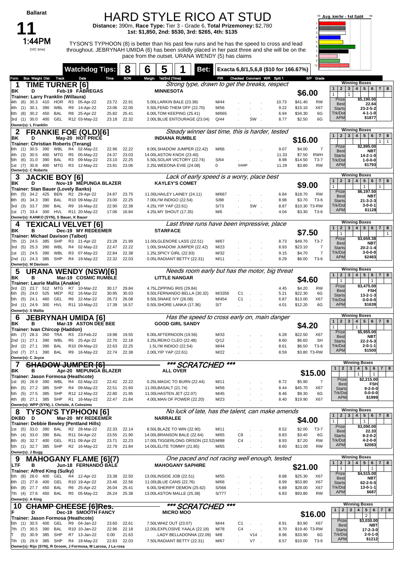|                | <b>Ballarat</b>                                               |                          |                                                |                        |                |                |   |                                                   | <b>HARD STYLE RICO AT STUD</b><br>Distance: 390m, Race Type: Tier 3 - Grade 6, Total Prizemoney: \$2,780                                                                                                                                                                                               |                 |                      |              |                                       |                                    |                              | ,,,,,,,,,,,,,,,,,,                          | 58 Avg. km/hr - 1st Split<br>68                                                    |                                          |
|----------------|---------------------------------------------------------------|--------------------------|------------------------------------------------|------------------------|----------------|----------------|---|---------------------------------------------------|--------------------------------------------------------------------------------------------------------------------------------------------------------------------------------------------------------------------------------------------------------------------------------------------------------|-----------------|----------------------|--------------|---------------------------------------|------------------------------------|------------------------------|---------------------------------------------|------------------------------------------------------------------------------------|------------------------------------------|
|                | 1:44PM<br>(VIC time)                                          |                          |                                                |                        |                |                |   |                                                   | 1st: \$1,850, 2nd: \$530, 3rd: \$265, 4th: \$135<br>TYSON'S TYPHOON (8) is better than his past few runs and he has the speed to cross and lead<br>throughout. JEBRYNAH UMIDA (6) has been solidly placed in her past three and she will be on the<br>pace from the outset. URANA WENDY (5) has claims |                 |                      |              |                                       |                                    |                              |                                             |                                                                                    |                                          |
|                |                                                               |                          |                                                | <b>Watchdog Tips:</b>  |                | 8              | 6 | 5                                                 | Bet:                                                                                                                                                                                                                                                                                                   |                 |                      |              | Exacta 6,8/1,5,6,8 (\$10 for 166.67%) |                                    |                              |                                             |                                                                                    |                                          |
| Form<br>1      | <b>Box Weight Dist</b>                                        | Track                    | Date<br><b>TIME TURNER [6]</b>                 |                        | Time           | <b>BON</b>     |   | Margin 1st/2nd (Time)                             | Strong type, drawn to get the breaks, respect                                                                                                                                                                                                                                                          | PIR             |                      |              | Checked Comment W/R Split 1           |                                    | S/P Grade                    |                                             | <b>Winning Boxes</b>                                                               |                                          |
| ΒK             | D                                                             |                          | Feb-19 FABREGAS                                |                        |                |                |   | <b>MINNESOTA</b>                                  |                                                                                                                                                                                                                                                                                                        |                 |                      |              |                                       |                                    | \$6.00                       | $\mathbf{1}$<br>$\mathbf{1}$                | 2 3 4 5 6 7 8<br>$\mathbf{1}$                                                      |                                          |
| 4th            | Trainer: Larry Franklin (Willaura)<br>(6)<br>30.3<br>410      | HOR                      | R3                                             | 05-Apr-22              | 23.72          | 22.91          |   | 5.00LLARKIN BALE (23.38)                          |                                                                                                                                                                                                                                                                                                        | M/44            |                      |              | 10.73                                 | \$41.40                            | <b>RW</b>                    | Prize<br><b>Best</b>                        | \$5,190.00<br>22.64                                                                |                                          |
| 4th            | 390<br>(1)<br>30.1<br>30.2<br>450                             | WBL<br><b>BAL</b>        | R <sub>9</sub><br>R8                           | 14-Apr-22<br>25-Apr-22 | 23.06<br>25.82 | 22.00<br>25.41 |   | 6.00LTOM KEEPING (25.41)                          | 5.50LFEND THEM OFF (22.70)                                                                                                                                                                                                                                                                             | M/56<br>M/665   |                      |              |                                       | 9.22<br>\$15.10<br>6.94<br>\$34.30 | X67                          | <b>Starts</b><br>6G<br>Trk/Dst              | $23 - 2 - 5 - 2$<br>4-1-1-0                                                        |                                          |
| 6th            | (8)<br>3rd (1) 30.0<br>400                                    | GEL                      | R12 03-May-22                                  |                        | 23.18          | 22.32          |   |                                                   | 2.00LBLUE ENTOURAGE (23.04)                                                                                                                                                                                                                                                                            | Q/44            |                      | SW           |                                       | 8.77                               | \$2.50                       | <b>APM</b><br>6G                            | \$1877                                                                             |                                          |
| 2              | Owner(s): L Franklin                                          |                          | <b>FRANKIE FOE (QLD)[6]</b>                    |                        |                |                |   |                                                   | Steady winner last time, this is harder, tested                                                                                                                                                                                                                                                        |                 |                      |              |                                       |                                    |                              |                                             | <b>Winning Boxes</b>                                                               |                                          |
| ΒK             | D<br><b>Trainer: Christian Roberts (Terang)</b>               |                          | May-20 HOT PRICE                               |                        |                |                |   | <b>INDIANA RUMBLE</b>                             |                                                                                                                                                                                                                                                                                                        |                 |                      |              |                                       |                                    | \$16.00                      | $\mathbf{1}$                                | 3   4   5   6<br>$\overline{2}$                                                    | $\overline{7}$<br>8<br>1<br>$\mathbf{1}$ |
| 6th            | 390<br>30.5<br>(1)                                            | WBL                      | R4 02-May-22                                   |                        | 22.96          | 22.22          |   |                                                   | 8.00LSHADOW JUMPER (22.42)                                                                                                                                                                                                                                                                             | M/66            |                      |              |                                       | 9.07                               | \$4.00                       | Prize<br>7<br><b>Best</b>                   | \$2,895.00<br>NBT                                                                  |                                          |
| 4th<br>5th     | (3)<br>30.5<br>400<br>390<br>(6)<br>31.0                      | MTG<br>BAL               | R <sub>5</sub><br>R <sub>3</sub>               | 05-May-22<br>09-May-22 | 24.37<br>23.10 | 23.03<br>22.25 |   | 14.00LASTON KNOX (23.40)                          | 5.50LSOLAR VICTORY (22.74)                                                                                                                                                                                                                                                                             | S/64            |                      |              |                                       | 11.33<br>\$14.50<br>8.98           | \$7.50<br><b>RWH</b><br>T3-7 | <b>Starts</b><br>Trk/Dst                    | $14 - 2 - 1 - 0$<br>$1 - 0 - 0 - 0$                                                |                                          |
| 1st (7)        | 30.8<br>400<br>Owner(s): C Roberts                            | MTG                      | R3                                             | 12-May-22              | 23.91          | 23.06          |   | 2.25LWEEONA EVIE (24.08)                          |                                                                                                                                                                                                                                                                                                        | 0               | SAMP                 |              | 11.29                                 |                                    | \$3.80<br><b>RW</b>          | <b>APM</b>                                  | \$1793                                                                             |                                          |
| 3<br>ΒK        | D                                                             |                          | <b>JACKIE BOY [6]</b><br>Nov-19 MEPUNGA BLAZER |                        |                |                |   | <b>KAYLEY'S COMET</b>                             | Lack of early speed is a worry, place best                                                                                                                                                                                                                                                             |                 |                      |              |                                       |                                    |                              | $\mathbf{1}$                                | <b>Winning Boxes</b><br>$3 \mid 4 \mid$<br>$5 \mid 6$<br>$\overline{2}$            | 7 <sup>1</sup><br>8                      |
|                | Trainer: Stan Bauer (Lovely Banks)                            |                          |                                                |                        |                |                |   |                                                   |                                                                                                                                                                                                                                                                                                        |                 |                      |              |                                       |                                    | \$9.00                       | $\mathbf{1}$<br>Prize                       | $\mathbf{1}$<br>\$6,197.50                                                         | $\mathbf{1}$                             |
| 6th<br>8th     | (5)<br>34.2<br>425<br>34.3<br>390<br>(6)                      | BEN<br><b>BAL</b>        | R <sub>2</sub><br>R10 09-May-22                | 29-Apr-22              | 24.87<br>23.00 | 23.75<br>22.25 |   | 7.00LI'M INDIGO (22.54)                           | 11.00LHAILEY LAINEY (24.11)                                                                                                                                                                                                                                                                            | M/667<br>S/88   |                      |              |                                       | 6.84<br>\$18.70<br>8.98            | <b>RW</b><br>\$3.70<br>T3-6  | <b>Best</b><br><b>Starts</b>                | NBT<br>$21 - 3 - 2 - 3$                                                            |                                          |
| 3rd            | 390<br>(3)<br>33.7                                            | <b>BAL</b>               | R9 16-May-22                                   |                        | 22.90          | 22.38          |   | 4.25LYIP YAP (22.61)                              |                                                                                                                                                                                                                                                                                                        | S/73            |                      | SW           |                                       | 8.87                               | \$10.30 T3-RW                | Trk/Dst<br><b>APM</b>                       | $3 - 0 - 0 - 1$<br>\$1128                                                          |                                          |
|                | 1st (7) 33.4 300<br>Owner(s): KANKO (SYN), S Bauer, K Bauer   | HVL                      | R11 20-May-22                                  |                        | 17.06          | 16.84          |   | 4.25LMY SHOUT (17.35)                             |                                                                                                                                                                                                                                                                                                        | M/6             |                      |              |                                       | 4.04                               | \$3.30<br>T3-6               |                                             |                                                                                    |                                          |
| 4              |                                                               |                          | <b>TEXICALI VELVET [6]</b>                     |                        |                |                |   |                                                   | Last three runs have been impressive, place                                                                                                                                                                                                                                                            |                 |                      |              |                                       |                                    |                              | $\mathbf{1}$                                | <b>Winning Boxes</b><br>3   4   5   6<br>$\overline{2}$                            | 7 <sup>1</sup><br>8                      |
| ΒK             | в<br>Trainer: Michael Davison (Talbot)                        |                          | Dec-19 MY REDEEMER                             |                        |                |                |   | <b>STARFACE</b>                                   |                                                                                                                                                                                                                                                                                                        |                 |                      |              |                                       |                                    | \$7.50                       |                                             | $\mathbf{1}$                                                                       | $\mathbf{1}$                             |
| 7th (2)        | 24.5<br>385                                                   | SHP                      | R3                                             | 21-Apr-22              | 23.28          | 21.99          |   |                                                   | 11.00LGLENORE LASS (22.51)                                                                                                                                                                                                                                                                             | M/67            |                      |              |                                       | 8.73<br>\$49.70                    | $T3-7$                       | Prize<br><b>Best</b>                        | \$3,659.38<br>NBT                                                                  |                                          |
| 3rd<br>1st (2) | 390<br>(5)<br>25.3<br>24.5<br>390                             | WBL<br>WBL               | R4<br>R <sub>3</sub>                           | 02-May-22<br>07-May-22 | 22.47<br>22.84 | 22.22<br>22.38 |   | 1.25LSPICY GIRL (22.93)                           | 1.00LSHADOW JUMPER (22.42)                                                                                                                                                                                                                                                                             | M/23<br>M/32    |                      |              |                                       | \$23.10<br>8.93<br>9.15            | \$4.70                       | 7<br><b>Starts</b><br>7<br>Trk/Dst          | $20 - 2 - 1 - 4$<br>$3 - 0 - 0 - 0$                                                |                                          |
|                | 2nd (1) 24.3 385<br>Owner(s): M Davison                       | <b>SHP</b>               | R4 19-May-22                                   |                        | 22.32          | 22.03          |   |                                                   | 0.05LRADIANT BETTY (22.31)                                                                                                                                                                                                                                                                             | M/11            |                      |              |                                       | 8.29                               | \$6.00<br>T3-6               | <b>APM</b>                                  | \$2483                                                                             |                                          |
| 5              |                                                               |                          | <b>URANA WENDY (NSW)[6]</b>                    |                        |                |                |   |                                                   | Needs room early but has the motor, big threat                                                                                                                                                                                                                                                         |                 |                      |              |                                       |                                    |                              |                                             | <b>Winning Boxes</b>                                                               |                                          |
| ΒK             | в<br>Trainer: Laurie Mallia (Anakie)                          |                          | Mar-19 COSMIC RUMBLE                           |                        |                |                |   | <b>LITTLE NANGAR</b>                              |                                                                                                                                                                                                                                                                                                        |                 |                      |              |                                       |                                    | \$4.60                       | $\mathbf{1}$                                | $\mathbf{2}$<br>3 <sup>1</sup><br>4 <br>$5 \mid 6$<br>$\mathbf{1}$<br>$\mathbf{1}$ | 7 8                                      |
| 3rd            | (2)<br>23.7<br>512                                            | MTG                      | R7                                             | 10-Mar-22              | 30.17          | 29.84          |   | 4.75LZIPPING IRIS (29.84)                         |                                                                                                                                                                                                                                                                                                        |                 |                      |              |                                       | 4.45                               | \$4.20                       | Prize<br><b>RW</b><br><b>Best</b>           | \$3,475.00<br>FSH                                                                  |                                          |
| 6th<br>5th     | (5)<br>24.0<br>525<br>460<br>(5)<br>24.1                      | MEP<br>GEL               | R2<br>R6                                       | 16-Mar-22<br>22-Mar-22 | 30.95<br>26.73 | 30.03<br>26.08 |   | 9.50LSNAKE IVY (26.08)                            | 9.50LFERNANDO BELLA (30.32)                                                                                                                                                                                                                                                                            | M/3356<br>M/454 | C1<br>C <sub>1</sub> |              |                                       | 5.21<br>\$22.30<br>\$13.00<br>6.87 | X67                          | 6G<br><b>Starts</b><br>Trk/Dst              | $13 - 2 - 1 - 3$<br>$0 - 0 - 0 - 0$                                                |                                          |
| 3rd            | 24.9<br>300<br>(1)                                            | HVL                      | R11 10-May-22                                  |                        | 17.39          | 16.57          |   | 0.50LSHORE LANKA (17.36)                          |                                                                                                                                                                                                                                                                                                        | S/7             |                      |              |                                       | \$12.20<br>4.01                    |                              | <b>APM</b><br>6G                            | \$1639                                                                             |                                          |
| 6              | Owner(s): S Mallia                                            |                          | <b>JEBRYNAH UMIDA [6]</b>                      |                        |                |                |   |                                                   | Has the speed to cross early on, main danger                                                                                                                                                                                                                                                           |                 |                      |              |                                       |                                    |                              |                                             | <b>Winning Boxes</b>                                                               |                                          |
| ΒK             | в<br>Trainer: Ivan Chircop (Haddon)                           |                          | Mar-19 ASTON DEE BEE                           |                        |                |                |   | <b>GOOD GIRL SANDY</b>                            |                                                                                                                                                                                                                                                                                                        |                 |                      |              |                                       |                                    | \$4.20                       | $\mathbf{1}$<br>$\mathbf{1}$                | $4 \mid 5 \mid 6$<br>$\overline{2}$<br>3 <sup>1</sup><br>$\mathbf{1}$              | 7 8                                      |
|                | 4th (7) 28.3 350                                              | TRA                      | R3                                             | 23-Feb-22              | 19.98          | 19.55          |   | 6.00LAFTERNOON (19.56)                            |                                                                                                                                                                                                                                                                                                        | M/33            |                      |              |                                       | \$22.50<br>6.28                    | X67                          | Prize<br><b>Best</b>                        | \$5,955.00<br><b>NBT</b>                                                           |                                          |
| 3rd            | 2nd (1) 27.1<br>390<br>$(2)$ 27.1 390                         | WBL<br><b>BAL</b>        | R <sub>5</sub><br>R10 09-May-22                | 25-Apr-22              | 22.70<br>22.63 | 22.18<br>22.25 |   | 3.25LREIKO CLEO (22.48)<br>1.5LI'M INDIGO (22.54) |                                                                                                                                                                                                                                                                                                        | Q/12<br>M/44    |                      |              |                                       | 8.60<br>8.61                       | \$6.60<br>\$6.50<br>T3-6     | <b>SH</b><br><b>Starts</b><br>Trk/Dst       | $22 - 2 - 5 - 3$<br>$2 - 0 - 1 - 1$                                                |                                          |
|                | 2nd (7) 27.1 390                                              | BAL                      | R9                                             | 16-May-22              | 22.74          | 22.38          |   | 2.00LYIP YAP (22.61)                              |                                                                                                                                                                                                                                                                                                        | M/22            |                      |              |                                       | 8.59                               | \$3.80 T3-RW                 | <b>APM</b>                                  | \$1500                                                                             |                                          |
| 7              | Owner(s): C Joyce                                             |                          | <b>SHADOW JUMPER [6]</b>                       |                        |                |                |   |                                                   | *** SCRATCHED                                                                                                                                                                                                                                                                                          | $***$           |                      |              |                                       |                                    |                              |                                             | <b>Winning Boxes</b>                                                               |                                          |
| ΒK             | в<br>Trainer: Jason Formosa (Heathcote)                       |                          | Apr-20 MEPUNGA BLAZER                          |                        |                |                |   | <b>ALL OVER</b>                                   |                                                                                                                                                                                                                                                                                                        |                 |                      |              |                                       |                                    | \$15.00                      | $\mathbf{1}$                                | $2^{\circ}$<br>3 <sup>1</sup><br>4   5   6<br>$\mathbf{1}$                         | $7 \mid 8$<br>1                          |
|                | 1st (6) 26.9 390                                              | WBL                      | R4 02-May-22                                   |                        | 22.42          | 22.22          |   |                                                   | 0.25LMAGIC TO BURN (22.44)                                                                                                                                                                                                                                                                             | M/11            |                      |              |                                       | 8.72                               | \$5.90                       | 7                                           | Prize<br>\$2,215.00<br><b>Best</b>                                                 | <b>FSH</b>                               |
| 6th (5)        | 27.2<br>385<br>5th (5) 27.5<br>385                            | <b>SHP</b><br><b>SHP</b> | R4 09-May-22<br>R12 12-May-22                  |                        | 22.51<br>22.80 | 21.60<br>21.95 |   | 11.00LBASALT (21.74)<br>11.00LHASTEN JET (22.07)  |                                                                                                                                                                                                                                                                                                        | M/56<br>M/45    |                      |              |                                       | 8.44<br>\$45.70<br>8.46            | X67<br>\$9.30                | Trk/Dst<br>6G                               | <b>Starts</b><br>$9 - 2 - 0 - 0$<br>$0 - 0 - 0 - 0$                                |                                          |
|                | 4th (8) 27.1 385 SHP                                          |                          | R1 16-May-22                                   |                        | 22.47          | 21.84          |   |                                                   | 4.00LMAN OF POWER (22.20)                                                                                                                                                                                                                                                                              | M/23            |                      |              |                                       | 8.40<br>\$19.90                    | X67                          |                                             | <b>APM</b><br>\$1999                                                               |                                          |
| 8              | Owner(s): WPP (SYN), L Christie, A Colosimo                   |                          | TYSON'S TYPHOON [6]                            |                        |                |                |   |                                                   | No luck of late, has the talent, can make amends                                                                                                                                                                                                                                                       |                 |                      |              |                                       |                                    |                              |                                             | <b>Winning Boxes</b>                                                               |                                          |
|                | DKBD D                                                        |                          | Mar-20 MY REDEEMER                             |                        |                |                |   | <b>NARRALEE</b>                                   |                                                                                                                                                                                                                                                                                                        |                 |                      |              |                                       |                                    | \$4.00                       | $\mathbf{1}$<br>1                           | 3   4   5   6   7   8<br>$2^{\circ}$<br>$\mathbf{1}$                               |                                          |
| 1st (5)        | Trainer: Debbie Bewley (Pentland Hills)<br>390<br>33.0        | BAL                      | R2 28-Mar-22                                   |                        | 22.33          | 22.14          |   | 8.50LBLAZE TO WIN (22.90)                         |                                                                                                                                                                                                                                                                                                        | M/11            |                      |              |                                       | 8.52                               | \$2.00<br>$T3-7$             | Prize<br><b>Best</b>                        | \$3,090.00<br>22.33                                                                |                                          |
| 5th (4)<br>8th | 33.0 390<br>32.7 400<br>(6)                                   | <b>BAL</b><br>GEL        | R11 04-Apr-22<br>R11 09-Apr-22                 |                        | 23.55<br>23.71 | 21.90<br>22.23 |   |                                                   | 14.00LBRANSON BALE (22.64)<br>17.00LTIGGERLONG ORSON (22.52) M/88                                                                                                                                                                                                                                      | M/65            | C8<br>C <sub>4</sub> |              |                                       | 8.83<br>8.93                       | \$3.40<br>\$7.20             | 6G<br><b>Starts</b><br><b>RW</b><br>Trk/Dst | $8 - 2 - 0 - 2$<br>$4 - 2 - 0 - 0$                                                 |                                          |
|                | 5th (1) 32.7 385                                              | SHP                      | R2 16-May-22                                   |                        | 22.79          | 21.84          |   | 14.00LELITE TOMMY (21.85)                         |                                                                                                                                                                                                                                                                                                        | M/65            |                      |              |                                       | 8.60<br>\$11.00                    |                              | <b>APM</b><br><b>RW</b>                     | \$2083                                                                             |                                          |
| 9              | Owner(s): J Bugg                                              |                          | <b>MAHOGANY FLAME [6](7)</b>                   |                        |                |                |   |                                                   | One paced and not racing well enough, tested                                                                                                                                                                                                                                                           |                 |                      |              |                                       |                                    |                              |                                             | <b>Winning Boxes</b>                                                               |                                          |
| LTF            | в                                                             |                          | Jun-18 FERNANDO BALE                           |                        |                |                |   |                                                   | <b>MAHOGANY SAPHIRE</b>                                                                                                                                                                                                                                                                                |                 |                      |              |                                       |                                    | \$21.00                      | $\mathbf{1}$<br>$\mathbf{1}$                | 2 3 4 5 6 7 8<br>$\mathbf{1}$                                                      |                                          |
|                | <b>Trainer: Alfred King (Sulky)</b><br>5th (8) 28.0<br>400    | GEL                      | R4 12-Apr-22                                   |                        | 23.38          | 22.50          |   | 13.00LINSIDE JOB (22.51)                          |                                                                                                                                                                                                                                                                                                        | M/55            |                      |              |                                       | \$25.30<br>8.88                    | X67                          | Prize<br><b>Best</b>                        | \$4,515.00<br>NBT                                                                  |                                          |
| 6th            | 27.8<br>(2)<br>400<br>6th (8) 27.7 450                        | GEL<br><b>BAL</b>        | R10 19-Apr-22<br>R6                            | 25-Apr-22              | 23.46<br>26.04 | 22.56<br>25.41 |   | 11.00LBLUE CANS (22.76)                           | 6.00LSHERIFF DEMON (25.62)                                                                                                                                                                                                                                                                             | M/66<br>S/566   |                      |              |                                       | 8.99<br>\$53.80<br>\$28.00<br>6.89 | X67<br>X67                   | <b>Starts</b><br>Trk/Dst                    | $62 - 2 - 5 - 5$<br>$13 - 0 - 1 - 1$                                               |                                          |
|                | 7th (4) 27.6<br>450                                           | BAL                      | R <sub>5</sub>                                 | 05-May-22              | 26.24          | 25.38          |   | 13.00LASTON MALLE (25.38)                         |                                                                                                                                                                                                                                                                                                        | S/777           |                      |              |                                       | 6.83<br>\$93.80                    | <b>RW</b>                    | <b>APM</b>                                  | \$687                                                                              |                                          |
| 10             | Owner(s): A King                                              |                          | <b>CHAMP CHEESE [6]Res.</b>                    |                        |                |                |   |                                                   | *** SCRATCHED                                                                                                                                                                                                                                                                                          | ***             |                      |              |                                       |                                    |                              |                                             | <b>Winning Boxes</b>                                                               |                                          |
|                | D                                                             |                          | Dec-19 SMOOTH FANCY                            |                        |                |                |   | <b>MICRO MOO</b>                                  |                                                                                                                                                                                                                                                                                                        |                 |                      |              |                                       |                                    | \$16.00                      | $\mathbf{1}$                                | $2^{\circ}$<br>3 <sup>1</sup><br>4<br>$\overline{2}$                               | $5 \mid 6 \mid 7 \mid 8$                 |
| 5th (1)        | Trainer: Jason Formosa (Heathcote)<br>30.5<br>400             | GEL                      | R9 04-Jan-22                                   |                        | 23.60          | 22.61          |   | 7.50LWHIZ OUT (23.07)                             |                                                                                                                                                                                                                                                                                                        | M/44            | C <sub>1</sub>       |              | $\mathbf{r}$                          | 8.91                               | X67<br>\$3.90                |                                             | Prize<br>\$3,030.00<br><b>Best</b>                                                 | NBT                                      |
| 7th (7)        | 30.5<br>390<br>(5)<br>30.9<br>385                             | BAL<br><b>SHP</b>        | R10 10-Jan-22<br>R7 13-Jan-22                  |                        | 22.96<br>0.00  | 22.18<br>21.63 |   |                                                   | 12.00LEXPLOSIVE YAALA (22.18)<br>.LADY BELLADONNA (22.09)                                                                                                                                                                                                                                              | M/78<br>M/8     | C <sub>4</sub>       | $V14$ .      |                                       | 8.70<br>\$33.90<br>8.96            | \$19.40 T3-RW                | Trk/Dst<br>6G                               | <b>Starts</b><br>$17 - 2 - 3 - 0$<br>2-0-1-0                                       |                                          |
| 7th (3)        | 29.9<br>385                                                   | <b>SHP</b>               | R4 19-May-22                                   |                        | 22.83          | 22.03          |   |                                                   | 7.50LRADIANT BETTY (22.31)                                                                                                                                                                                                                                                                             | M/67            | $\mathbf{r}$         | V7<br>$\sim$ |                                       | \$10.00<br>8.57                    | T3-6                         |                                             | <b>APM</b>                                                                         | \$1212                                   |
|                | Owner(s): Rijo (SYN), R Groom, J Formosa, M Larosa, J La rosa |                          |                                                |                        |                |                |   |                                                   |                                                                                                                                                                                                                                                                                                        |                 |                      |              |                                       |                                    |                              |                                             |                                                                                    |                                          |